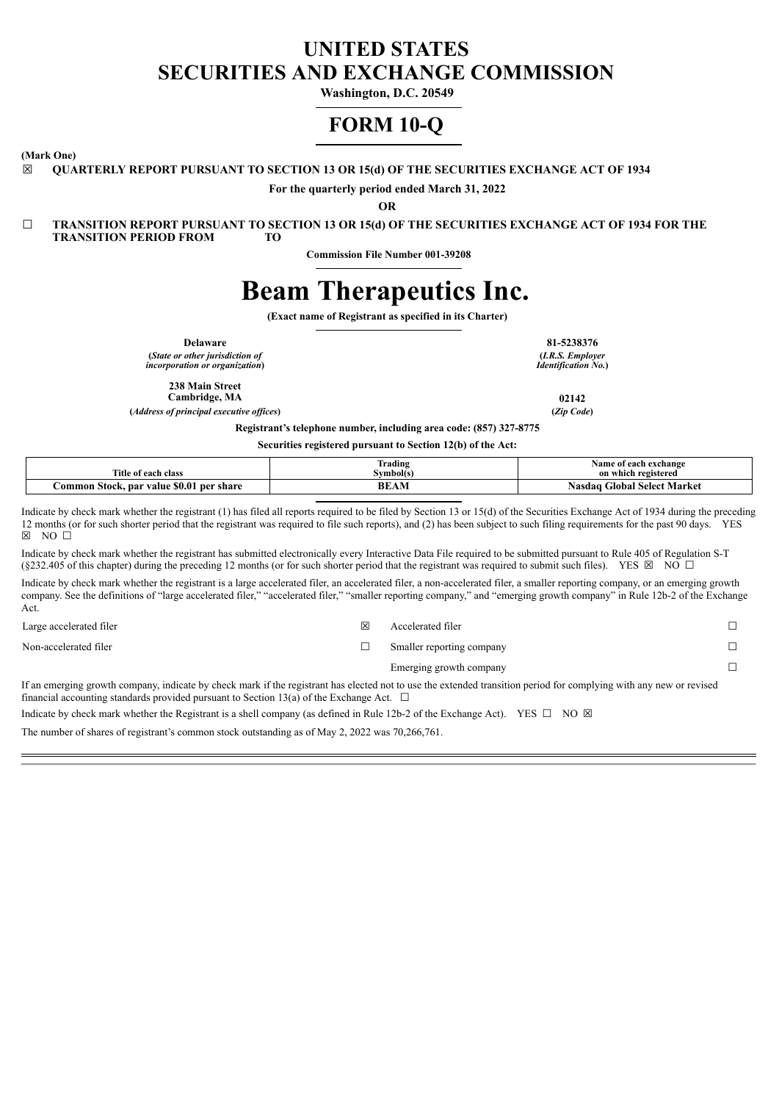## **UNITED STATES SECURITIES AND EXCHANGE COMMISSION**

**Washington, D.C. 20549**

# **FORM 10-Q**

**(Mark One)**

☒ **QUARTERLY REPORT PURSUANT TO SECTION 13 OR 15(d) OF THE SECURITIES EXCHANGE ACT OF 1934**

**For the quarterly period ended March 31, 2022**

**OR**

☐ **TRANSITION REPORT PURSUANT TO SECTION 13 OR 15(d) OF THE SECURITIES EXCHANGE ACT OF 1934 FOR THE TRANSITION PERIOD FROM** 

**Commission File Number 001-39208**

# **Beam Therapeutics Inc.**

**(Exact name of Registrant as specified in its Charter)**

**Delaware 81-5238376**

**(***State or other jurisdiction of incorporation or organization***)**

> **238 Main Street Cambridge, MA 02142**

**(***Address of principal executive of ices***) (***Zip Code***)**

**(***I.R.S. Employer Identification No.***)**

**Registrant's telephone number, including area code: (857) 327-8775**

**Securities registered pursuant to Section 12(b) of the Act:**

| ritle<br>e of each class                             | $\sim$<br>Trading<br>Symbol(s | e of each exchange<br>Name<br>on which<br>1 registered |
|------------------------------------------------------|-------------------------------|--------------------------------------------------------|
| value \$0.0<br>. per share<br>. Stock. par<br>ommon: | Bl<br>AM                      | Select Market<br>√ lobal ∙<br>Nasdad                   |

Indicate by check mark whether the registrant (1) has filed all reports required to be filed by Section 13 or 15(d) of the Securities Exchange Act of 1934 during the preceding 12 months (or for such shorter period that the registrant was required to file such reports), and (2) has been subject to such filing requirements for the past 90 days. YES  $\boxtimes$  NO  $\square$ 

Indicate by check mark whether the registrant has submitted electronically every Interactive Data File required to be submitted pursuant to Rule 405 of Regulation S-T (§232.405 of this chapter) during the preceding 12 months (or for such shorter period that the registrant was required to submit such files). YES  $\boxtimes$  NO  $\Box$ 

Indicate by check mark whether the registrant is a large accelerated filer, an accelerated filer, a non-accelerated filer, a smaller reporting company, or an emerging growth company. See the definitions of "large accelerated filer," "accelerated filer," "smaller reporting company," and "emerging growth company" in Rule 12b-2 of the Exchange Act.

Large accelerated filer  $\Box$  Accelerated filer  $\Box$ 

Non-accelerated filer □ □ □ Smaller reporting company □

Emerging growth company  $\Box$ 

If an emerging growth company, indicate by check mark if the registrant has elected not to use the extended transition period for complying with any new or revised financial accounting standards provided pursuant to Section 13(a) of the Exchange Act.  $\Box$ 

Indicate by check mark whether the Registrant is a shell company (as defined in Rule 12b-2 of the Exchange Act). YES  $\Box$  NO  $\boxtimes$ 

The number of shares of registrant's common stock outstanding as of May 2, 2022 was 70,266,761.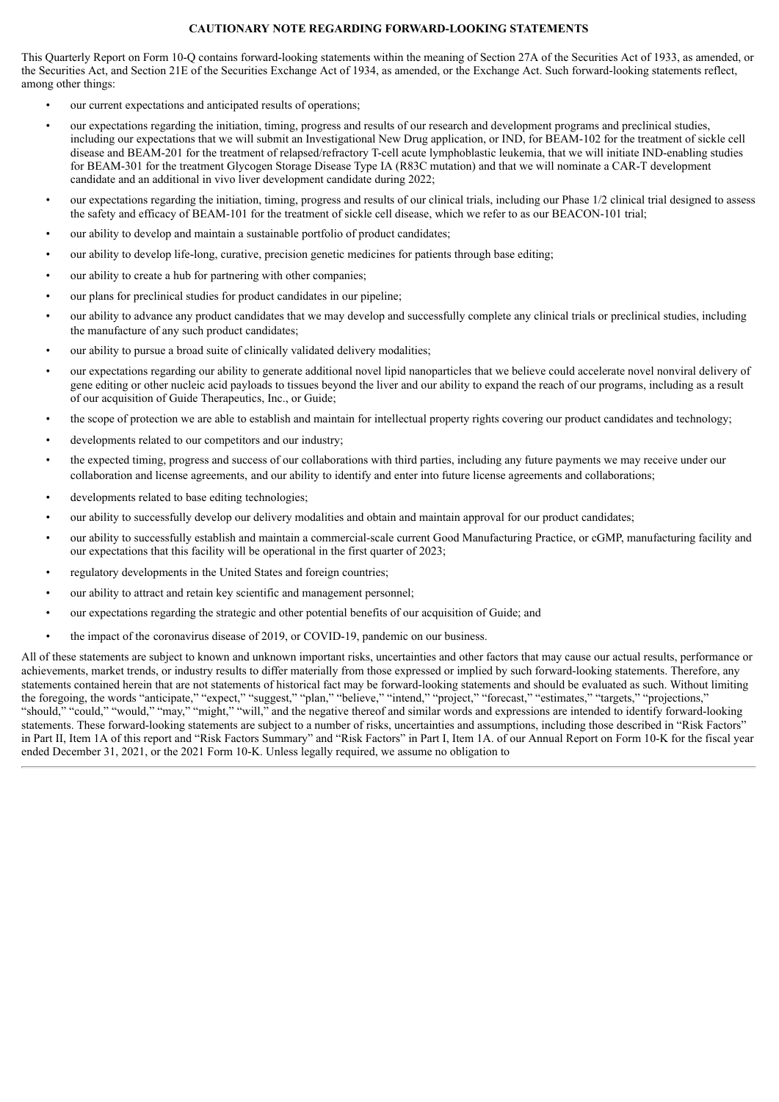## **CAUTIONARY NOTE REGARDING FORWARD-LOOKING STATEMENTS**

This Quarterly Report on Form 10-Q contains forward-looking statements within the meaning of Section 27A of the Securities Act of 1933, as amended, or the Securities Act, and Section 21E of the Securities Exchange Act of 1934, as amended, or the Exchange Act. Such forward-looking statements reflect, among other things:

- our current expectations and anticipated results of operations;
- our expectations regarding the initiation, timing, progress and results of our research and development programs and preclinical studies, including our expectations that we will submit an Investigational New Drug application, or IND, for BEAM-102 for the treatment of sickle cell disease and BEAM-201 for the treatment of relapsed/refractory T-cell acute lymphoblastic leukemia, that we will initiate IND-enabling studies for BEAM-301 for the treatment Glycogen Storage Disease Type IA (R83C mutation) and that we will nominate a CAR-T development candidate and an additional in vivo liver development candidate during 2022;
- our expectations regarding the initiation, timing, progress and results of our clinical trials, including our Phase 1/2 clinical trial designed to assess the safety and efficacy of BEAM-101 for the treatment of sickle cell disease, which we refer to as our BEACON-101 trial;
- our ability to develop and maintain a sustainable portfolio of product candidates;
- our ability to develop life-long, curative, precision genetic medicines for patients through base editing;
- our ability to create a hub for partnering with other companies;
- our plans for preclinical studies for product candidates in our pipeline;
- our ability to advance any product candidates that we may develop and successfully complete any clinical trials or preclinical studies, including the manufacture of any such product candidates;
- our ability to pursue a broad suite of clinically validated delivery modalities;
- our expectations regarding our ability to generate additional novel lipid nanoparticles that we believe could accelerate novel nonviral delivery of gene editing or other nucleic acid payloads to tissues beyond the liver and our ability to expand the reach of our programs, including as a result of our acquisition of Guide Therapeutics, Inc., or Guide;
- the scope of protection we are able to establish and maintain for intellectual property rights covering our product candidates and technology;
- developments related to our competitors and our industry:
- the expected timing, progress and success of our collaborations with third parties, including any future payments we may receive under our collaboration and license agreements, and our ability to identify and enter into future license agreements and collaborations;
- developments related to base editing technologies;
- our ability to successfully develop our delivery modalities and obtain and maintain approval for our product candidates;
- our ability to successfully establish and maintain a commercial-scale current Good Manufacturing Practice, or cGMP, manufacturing facility and our expectations that this facility will be operational in the first quarter of 2023;
- regulatory developments in the United States and foreign countries;
- our ability to attract and retain key scientific and management personnel;
- our expectations regarding the strategic and other potential benefits of our acquisition of Guide; and
- the impact of the coronavirus disease of 2019, or COVID-19, pandemic on our business.

All of these statements are subject to known and unknown important risks, uncertainties and other factors that may cause our actual results, performance or achievements, market trends, or industry results to differ materially from those expressed or implied by such forward-looking statements. Therefore, any statements contained herein that are not statements of historical fact may be forward-looking statements and should be evaluated as such. Without limiting the foregoing, the words "anticipate," "expect," "suggest," "plan," "believe," "intend," "project," "forecast," "estimates," "targets," "projections," "should," "could," "would," "may," "might," "will," and the negative thereof and similar words and expressions are intended to identify forward-looking statements. These forward-looking statements are subject to a number of risks, uncertainties and assumptions, including those described in "Risk Factors" in Part II, Item 1A of this report and "Risk Factors Summary" and "Risk Factors" in Part I, Item 1A. of our Annual Report on Form 10-K for the fiscal year ended December 31, 2021, or the 2021 Form 10-K. Unless legally required, we assume no obligation to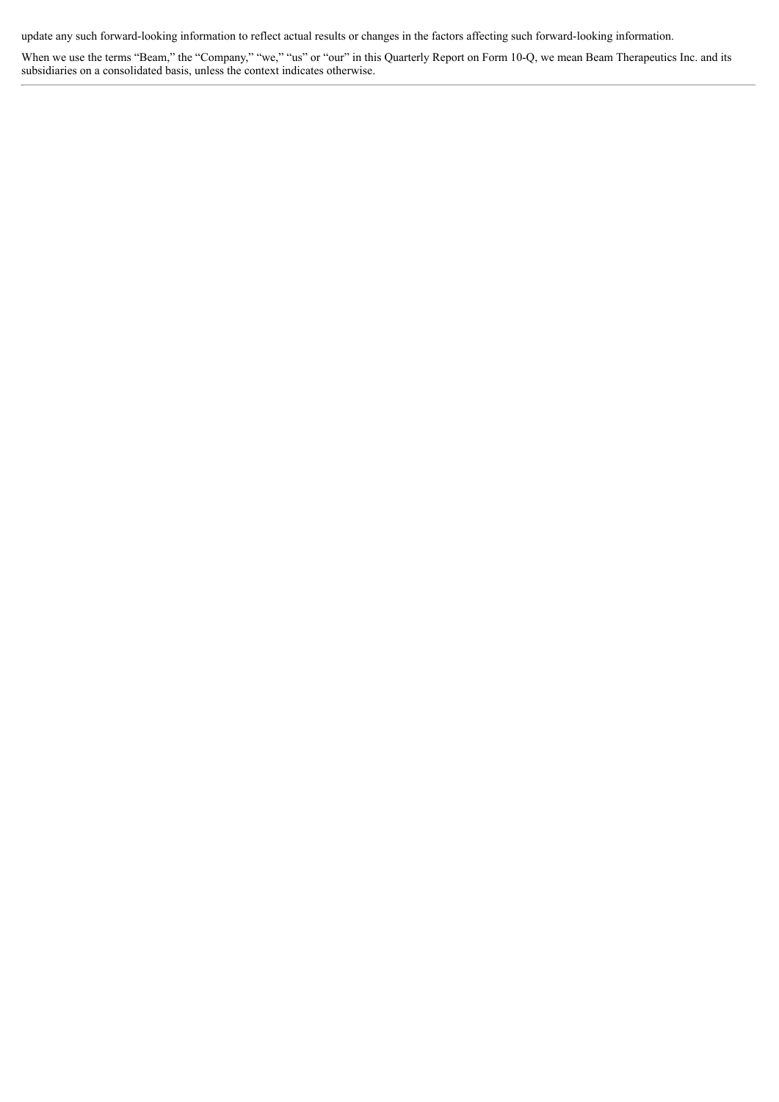update any such forward-looking information to reflect actual results or changes in the factors affecting such forward-looking information.

When we use the terms "Beam," the "Company," "we," "us" or "our" in this Quarterly Report on Form 10-Q, we mean Beam Therapeutics Inc. and its subsidiaries on a consolidated basis, unless the context indicates otherwise.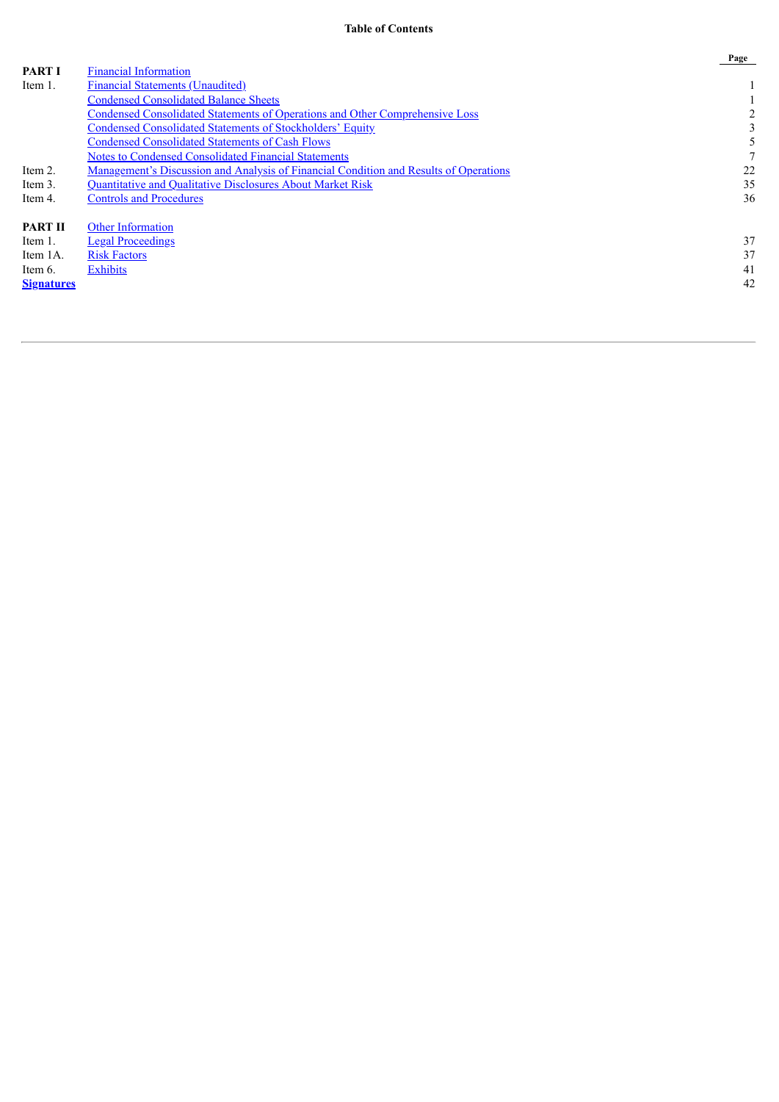## **Table of Contents**

|                   |                                                                                       | Page |
|-------------------|---------------------------------------------------------------------------------------|------|
| <b>PART I</b>     | <b>Financial Information</b>                                                          |      |
| Item 1.           | <b>Financial Statements (Unaudited)</b>                                               |      |
|                   | <b>Condensed Consolidated Balance Sheets</b>                                          |      |
|                   | <b>Condensed Consolidated Statements of Operations and Other Comprehensive Loss</b>   |      |
|                   | <b>Condensed Consolidated Statements of Stockholders' Equity</b>                      |      |
|                   | <b>Condensed Consolidated Statements of Cash Flows</b>                                |      |
|                   | <b>Notes to Condensed Consolidated Financial Statements</b>                           |      |
| Item 2.           | Management's Discussion and Analysis of Financial Condition and Results of Operations | 22   |
| Item 3.           | Quantitative and Qualitative Disclosures About Market Risk                            | 35   |
| Item 4.           | <b>Controls and Procedures</b>                                                        | 36   |
| <b>PART II</b>    | <b>Other Information</b>                                                              |      |
| Item 1.           | <b>Legal Proceedings</b>                                                              | 37   |
| Item 1A.          | <b>Risk Factors</b>                                                                   | 37   |
| Item 6.           | <b>Exhibits</b>                                                                       | 41   |
| <b>Signatures</b> |                                                                                       | 42   |
|                   |                                                                                       |      |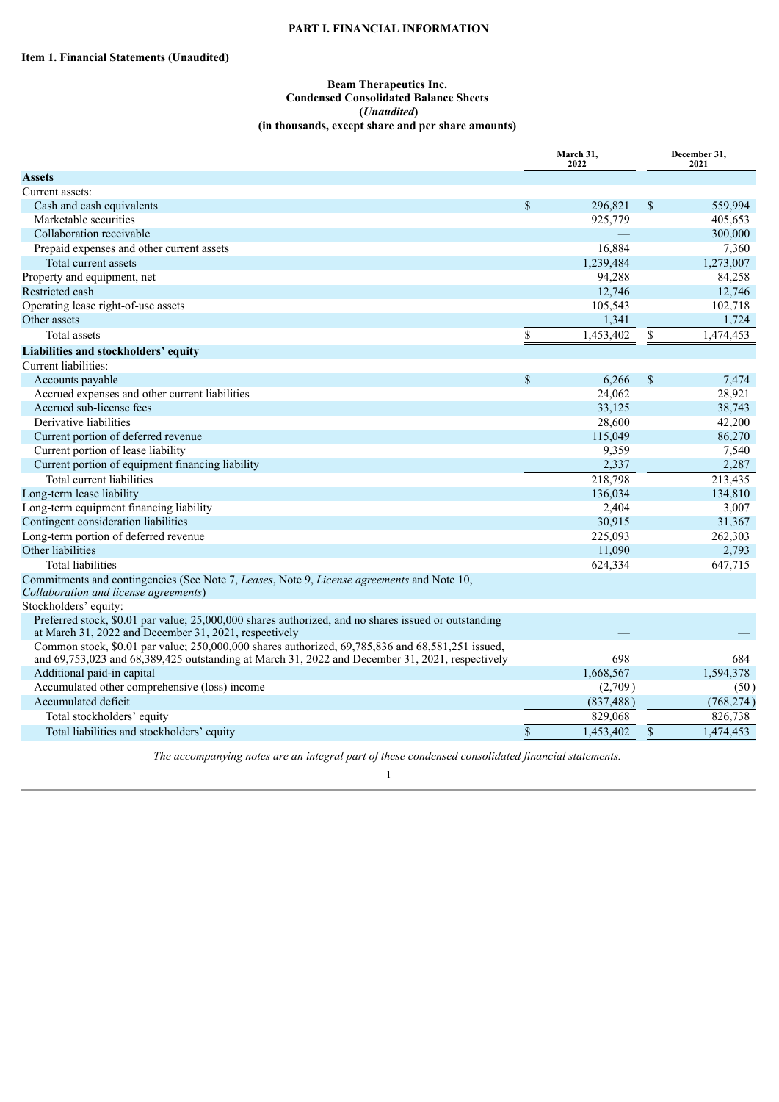## **PART I. FINANCIAL INFORMATION**

## **Beam Therapeutics Inc. Condensed Consolidated Balance Sheets (***Unaudited***) (in thousands, except share and per share amounts)**

<span id="page-4-2"></span><span id="page-4-1"></span><span id="page-4-0"></span>

|                                                                                                                                                                                                     |                 | March 31,<br>2022 |             | December 31,<br>2021 |
|-----------------------------------------------------------------------------------------------------------------------------------------------------------------------------------------------------|-----------------|-------------------|-------------|----------------------|
| <b>Assets</b>                                                                                                                                                                                       |                 |                   |             |                      |
| Current assets:                                                                                                                                                                                     |                 |                   |             |                      |
| Cash and cash equivalents                                                                                                                                                                           | $\mathcal{S}$   | 296,821           | \$          | 559,994              |
| Marketable securities                                                                                                                                                                               |                 | 925,779           |             | 405,653              |
| Collaboration receivable                                                                                                                                                                            |                 |                   |             | 300,000              |
| Prepaid expenses and other current assets                                                                                                                                                           |                 | 16,884            |             | 7,360                |
| Total current assets                                                                                                                                                                                |                 | 1,239,484         |             | 1,273,007            |
| Property and equipment, net                                                                                                                                                                         |                 | 94,288            |             | 84,258               |
| Restricted cash                                                                                                                                                                                     |                 | 12,746            |             | 12,746               |
| Operating lease right-of-use assets                                                                                                                                                                 |                 | 105,543           |             | 102,718              |
| Other assets                                                                                                                                                                                        |                 | 1,341             |             | 1,724                |
| <b>Total assets</b>                                                                                                                                                                                 | $\overline{\$}$ | 1,453,402         | \$          | 1,474,453            |
| Liabilities and stockholders' equity                                                                                                                                                                |                 |                   |             |                      |
| Current liabilities:                                                                                                                                                                                |                 |                   |             |                      |
| Accounts payable                                                                                                                                                                                    | $\mathbf S$     | 6,266             | \$          | 7,474                |
| Accrued expenses and other current liabilities                                                                                                                                                      |                 | 24,062            |             | 28,921               |
| Accrued sub-license fees                                                                                                                                                                            |                 | 33,125            |             | 38,743               |
| Derivative liabilities                                                                                                                                                                              |                 | 28,600            |             | 42,200               |
| Current portion of deferred revenue                                                                                                                                                                 |                 | 115,049           |             | 86,270               |
| Current portion of lease liability                                                                                                                                                                  |                 | 9,359             |             | 7,540                |
| Current portion of equipment financing liability                                                                                                                                                    |                 | 2,337             |             | 2,287                |
| Total current liabilities                                                                                                                                                                           |                 | 218,798           |             | 213,435              |
| Long-term lease liability                                                                                                                                                                           |                 | 136,034           |             | 134,810              |
| Long-term equipment financing liability                                                                                                                                                             |                 | 2,404             |             | 3,007                |
| Contingent consideration liabilities                                                                                                                                                                |                 | 30,915            |             | 31,367               |
| Long-term portion of deferred revenue                                                                                                                                                               |                 | 225,093           |             | 262,303              |
| Other liabilities                                                                                                                                                                                   |                 | 11,090            |             | 2,793                |
| <b>Total liabilities</b>                                                                                                                                                                            |                 | 624,334           |             | 647,715              |
| Commitments and contingencies (See Note 7, Leases, Note 9, License agreements and Note 10,<br>Collaboration and license agreements)                                                                 |                 |                   |             |                      |
| Stockholders' equity:                                                                                                                                                                               |                 |                   |             |                      |
| Preferred stock, \$0.01 par value; 25,000,000 shares authorized, and no shares issued or outstanding<br>at March 31, 2022 and December 31, 2021, respectively                                       |                 |                   |             |                      |
| Common stock, \$0.01 par value; 250,000,000 shares authorized, 69,785,836 and 68,581,251 issued,<br>and 69,753,023 and 68,389,425 outstanding at March 31, 2022 and December 31, 2021, respectively |                 | 698               |             | 684                  |
| Additional paid-in capital                                                                                                                                                                          |                 | 1,668,567         |             | 1,594,378            |
| Accumulated other comprehensive (loss) income                                                                                                                                                       |                 | (2,709)           |             | (50)                 |
| Accumulated deficit                                                                                                                                                                                 |                 | (837, 488)        |             | (768, 274)           |
| Total stockholders' equity                                                                                                                                                                          |                 | 829.068           |             | 826,738              |
| Total liabilities and stockholders' equity                                                                                                                                                          | \$              | 1,453,402         | $\mathbf S$ | 1,474,453            |

*The accompanying notes are an integral part of these condensed consolidated financial statements.*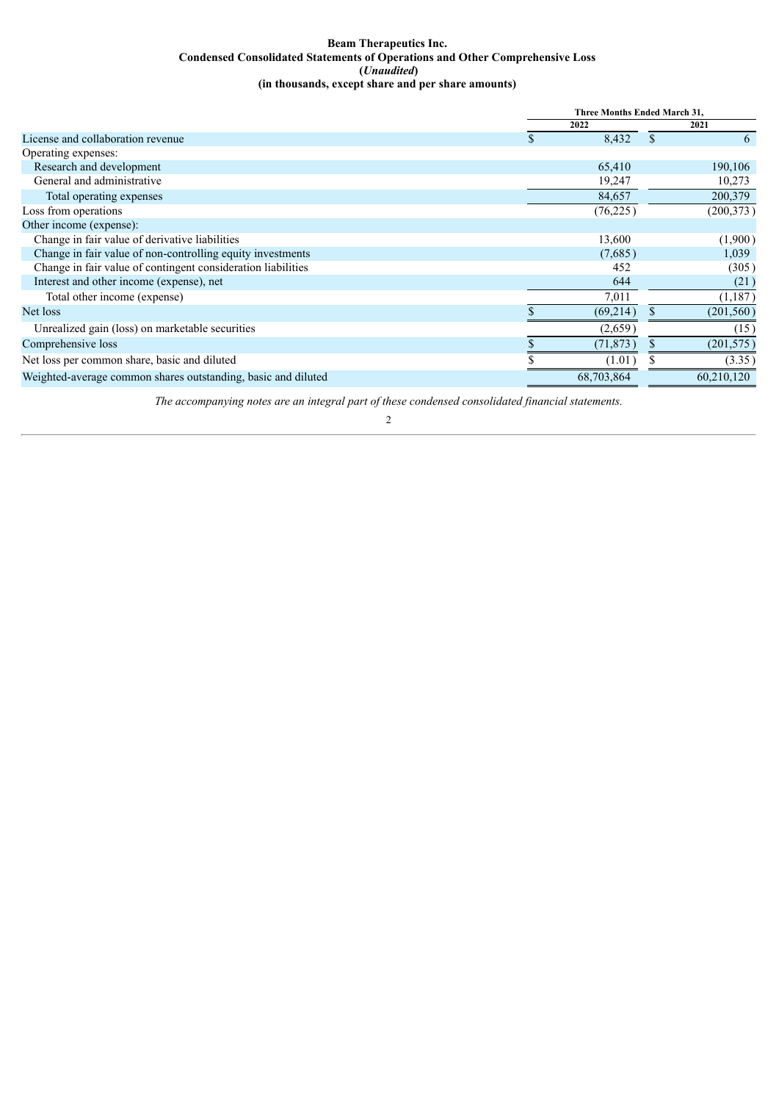#### **Beam Therapeutics Inc. Condensed Consolidated Statements of Operations and Other Comprehensive Loss (***Unaudited***) (in thousands, except share and per share amounts)**

<span id="page-5-0"></span>

|                                                               |      | Three Months Ended March 31, |            |  |  |
|---------------------------------------------------------------|------|------------------------------|------------|--|--|
|                                                               | 2022 |                              | 2021       |  |  |
| License and collaboration revenue                             |      | 8,432<br><sup>\$</sup>       | 6          |  |  |
| Operating expenses:                                           |      |                              |            |  |  |
| Research and development                                      |      | 65,410                       | 190,106    |  |  |
| General and administrative                                    |      | 19,247                       | 10,273     |  |  |
| Total operating expenses                                      |      | 84,657                       | 200,379    |  |  |
| Loss from operations                                          |      | (76, 225)                    | (200, 373) |  |  |
| Other income (expense):                                       |      |                              |            |  |  |
| Change in fair value of derivative liabilities                |      | 13,600                       | (1,900)    |  |  |
| Change in fair value of non-controlling equity investments    |      | (7,685)                      | 1,039      |  |  |
| Change in fair value of contingent consideration liabilities  |      | 452                          | (305)      |  |  |
| Interest and other income (expense), net                      |      | 644                          | (21)       |  |  |
| Total other income (expense)                                  |      | 7,011                        | (1,187)    |  |  |
| Net loss                                                      |      | (69,214)                     | (201, 560) |  |  |
| Unrealized gain (loss) on marketable securities               |      | (2,659)                      | (15)       |  |  |
| Comprehensive loss                                            |      | (71, 873)<br>S.              | (201, 575) |  |  |
| Net loss per common share, basic and diluted                  |      | (1.01)                       | (3.35)     |  |  |
| Weighted-average common shares outstanding, basic and diluted |      | 68,703,864                   | 60,210,120 |  |  |

*The accompanying notes are an integral part of these condensed consolidated financial statements.*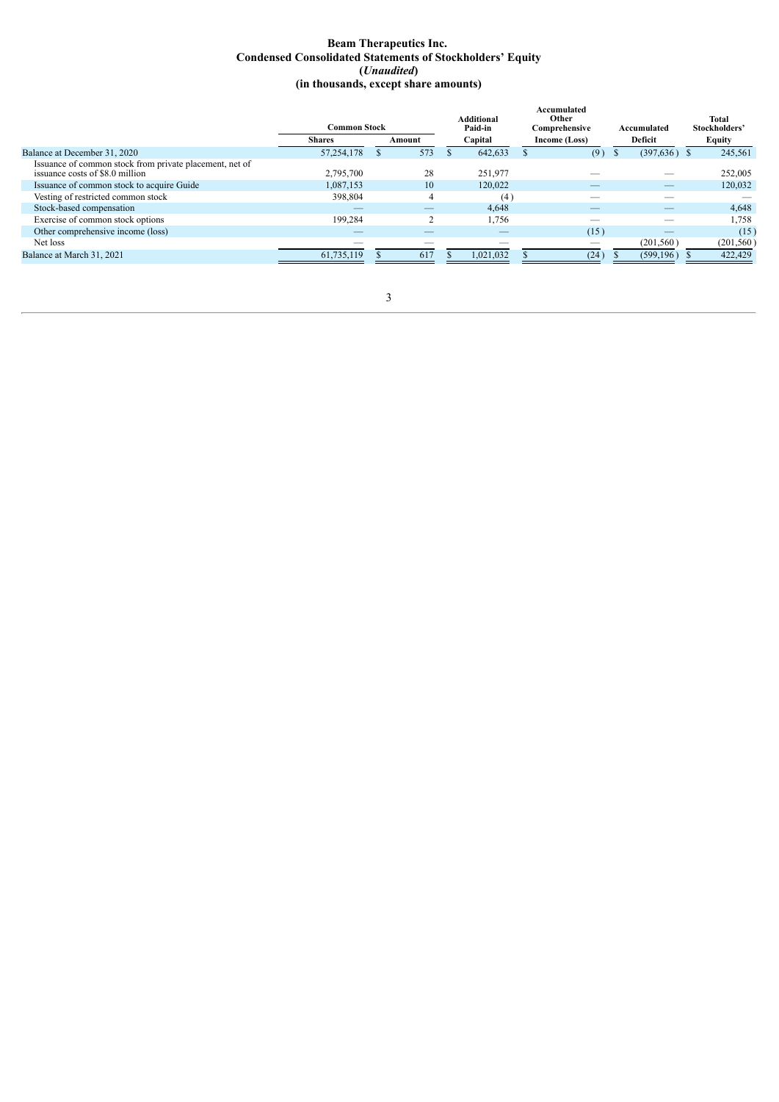#### **Beam Therapeutics Inc. Condensed Consolidated Statements of Stockholders' Equity (***Unaudited***) (in thousands, except share amounts)**

<span id="page-6-0"></span>

|                                                                                            | <b>Common Stock</b> |        |     |  | <b>Additional</b><br>Paid-in |               | Accumulated<br>Other<br>Comprehensive | Accumulated |                 |  | <b>Total</b><br>Stockholders' |
|--------------------------------------------------------------------------------------------|---------------------|--------|-----|--|------------------------------|---------------|---------------------------------------|-------------|-----------------|--|-------------------------------|
|                                                                                            | <b>Shares</b>       | Amount |     |  | Capital                      | Income (Loss) |                                       | Deficit     |                 |  | Equity                        |
| Balance at December 31, 2020                                                               | 57,254,178          |        | 573 |  | 642,633                      |               | (9)                                   | - 5         | $(397,636)$ \$  |  | 245,561                       |
| Issuance of common stock from private placement, net of<br>issuance costs of \$8.0 million | 2,795,700           |        | 28  |  | 251,977                      |               |                                       |             |                 |  | 252,005                       |
| Issuance of common stock to acquire Guide                                                  | 1,087,153           |        | 10  |  | 120,022                      |               |                                       |             |                 |  | 120,032                       |
| Vesting of restricted common stock                                                         | 398,804             |        | 4   |  | (4)                          |               |                                       |             |                 |  |                               |
| Stock-based compensation                                                                   |                     |        |     |  | 4,648                        |               |                                       |             |                 |  | 4,648                         |
| Exercise of common stock options                                                           | 199.284             |        |     |  | 1,756                        |               |                                       |             |                 |  | 1,758                         |
| Other comprehensive income (loss)                                                          |                     |        |     |  |                              |               | (15)                                  |             |                 |  | (15)                          |
| Net loss                                                                                   |                     |        |     |  |                              |               |                                       |             | (201, 560)      |  | (201, 560)                    |
| Balance at March 31, 2021                                                                  | 61,735,119          |        | 617 |  | 1,021,032                    |               | (24)                                  |             | $(599, 196)$ \$ |  | 422,429                       |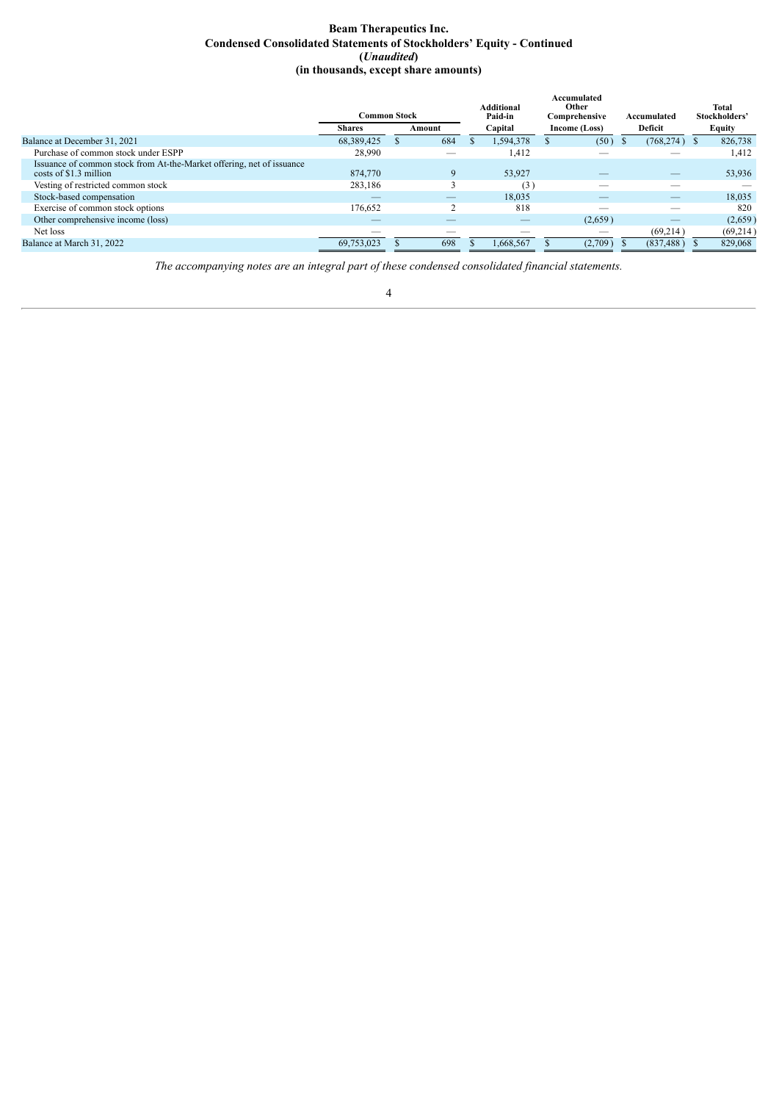#### **Beam Therapeutics Inc. Condensed Consolidated Statements of Stockholders' Equity - Continued (***Unaudited***) (in thousands, except share amounts)**

|                                                                                                 | <b>Common Stock</b> |  |        |         | Additional<br>Paid-in |               | Accumulated<br>Other<br>Comprehensive | Accumulated            | Total<br>Stockholders' |
|-------------------------------------------------------------------------------------------------|---------------------|--|--------|---------|-----------------------|---------------|---------------------------------------|------------------------|------------------------|
|                                                                                                 | <b>Shares</b>       |  | Amount | Capital |                       | Income (Loss) |                                       | Deficit                | <b>Equity</b>          |
| Balance at December 31, 2021                                                                    | 68,389,425          |  | 684    |         | 1,594,378             |               | (50)                                  | $(768, 274)$ \$<br>- 5 | 826,738                |
| Purchase of common stock under ESPP                                                             | 28,990              |  |        |         | 1,412                 |               |                                       |                        | 1,412                  |
| Issuance of common stock from At-the-Market offering, net of issuance<br>costs of \$1.3 million | 874,770             |  | 9      |         | 53,927                |               |                                       |                        | 53,936                 |
| Vesting of restricted common stock                                                              | 283,186             |  |        |         | (3)                   |               |                                       |                        |                        |
| Stock-based compensation                                                                        |                     |  |        |         | 18,035                |               |                                       |                        | 18,035                 |
| Exercise of common stock options                                                                | 176,652             |  | $\sim$ |         | 818                   |               |                                       |                        | 820                    |
| Other comprehensive income (loss)                                                               |                     |  |        |         |                       |               | (2,659)                               |                        | (2,659)                |
| Net loss                                                                                        |                     |  |        |         |                       |               |                                       | (69,214)               | (69,214)               |
| Balance at March 31, 2022                                                                       | 69.753.023          |  | 698    |         | 1,668,567             |               | (2,709)                               | (837, 488)             | 829,068                |

*The accompanying notes are an integral part of these condensed consolidated financial statements.*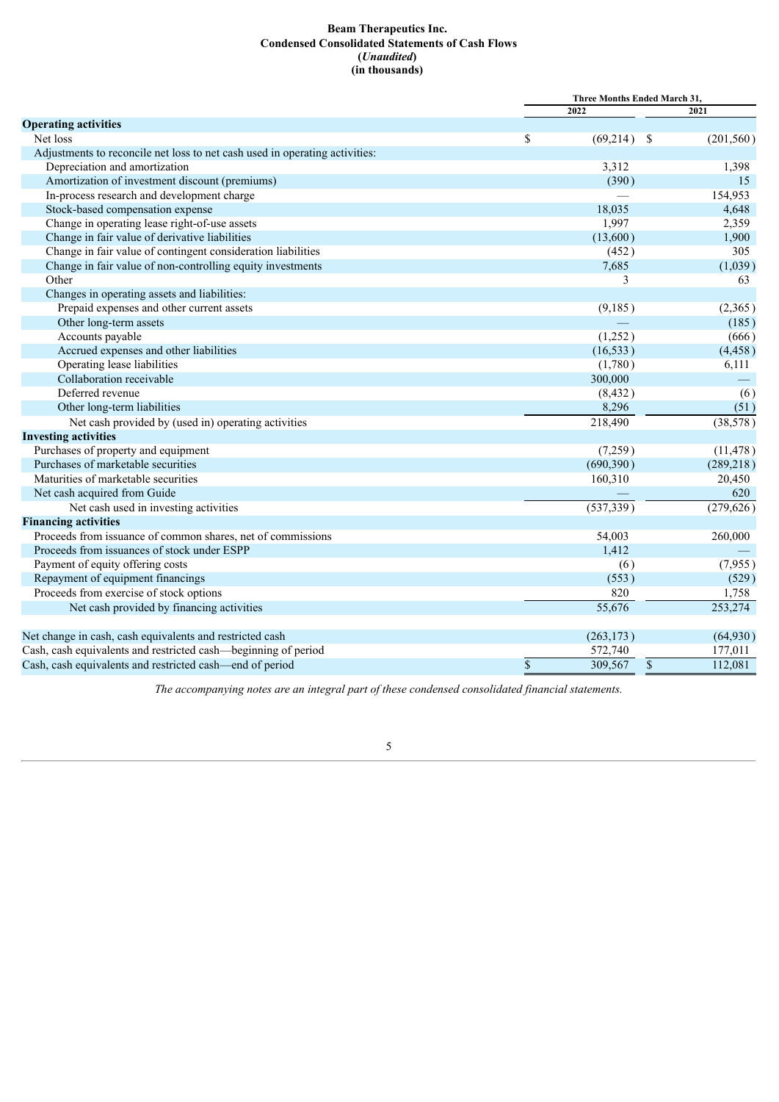#### **Beam Therapeutics Inc. Condensed Consolidated Statements of Cash Flows (***Unaudited***) (in thousands)**

<span id="page-8-0"></span>

|                                                                             | Three Months Ended March 31, |               |                           |            |  |
|-----------------------------------------------------------------------------|------------------------------|---------------|---------------------------|------------|--|
|                                                                             |                              | 2022          |                           | 2021       |  |
| <b>Operating activities</b>                                                 |                              |               |                           |            |  |
| Net loss                                                                    | \$                           | $(69,214)$ \$ |                           | (201, 560) |  |
| Adjustments to reconcile net loss to net cash used in operating activities: |                              |               |                           |            |  |
| Depreciation and amortization                                               |                              | 3,312         |                           | 1,398      |  |
| Amortization of investment discount (premiums)                              |                              | (390)         |                           | 15         |  |
| In-process research and development charge                                  |                              |               |                           | 154,953    |  |
| Stock-based compensation expense                                            |                              | 18,035        |                           | 4,648      |  |
| Change in operating lease right-of-use assets                               |                              | 1,997         |                           | 2,359      |  |
| Change in fair value of derivative liabilities                              |                              | (13,600)      |                           | 1,900      |  |
| Change in fair value of contingent consideration liabilities                |                              | (452)         |                           | 305        |  |
| Change in fair value of non-controlling equity investments                  |                              | 7,685         |                           | (1,039)    |  |
| Other                                                                       |                              | 3             |                           | 63         |  |
| Changes in operating assets and liabilities:                                |                              |               |                           |            |  |
| Prepaid expenses and other current assets                                   |                              | (9,185)       |                           | (2,365)    |  |
| Other long-term assets                                                      |                              | $\equiv$      |                           | (185)      |  |
| Accounts payable                                                            |                              | (1,252)       |                           | (666)      |  |
| Accrued expenses and other liabilities                                      |                              | (16, 533)     |                           | (4, 458)   |  |
| Operating lease liabilities                                                 |                              | (1,780)       |                           | 6,111      |  |
| Collaboration receivable                                                    |                              | 300,000       |                           |            |  |
| Deferred revenue                                                            |                              | (8, 432)      |                           | (6)        |  |
| Other long-term liabilities                                                 |                              | 8,296         |                           | (51)       |  |
| Net cash provided by (used in) operating activities                         |                              | 218,490       |                           | (38,578)   |  |
| <b>Investing activities</b>                                                 |                              |               |                           |            |  |
| Purchases of property and equipment                                         |                              | (7,259)       |                           | (11, 478)  |  |
| Purchases of marketable securities                                          |                              | (690, 390)    |                           | (289, 218) |  |
| Maturities of marketable securities                                         |                              | 160,310       |                           | 20,450     |  |
| Net cash acquired from Guide                                                |                              |               |                           | 620        |  |
| Net cash used in investing activities                                       |                              | (537, 339)    |                           | (279, 626) |  |
| <b>Financing activities</b>                                                 |                              |               |                           |            |  |
| Proceeds from issuance of common shares, net of commissions                 |                              | 54,003        |                           | 260,000    |  |
| Proceeds from issuances of stock under ESPP                                 |                              | 1,412         |                           |            |  |
| Payment of equity offering costs                                            |                              | (6)           |                           | (7,955)    |  |
| Repayment of equipment financings                                           |                              | (553)         |                           | (529)      |  |
| Proceeds from exercise of stock options                                     |                              | 820           |                           | 1,758      |  |
| Net cash provided by financing activities                                   |                              | 55,676        |                           | 253,274    |  |
| Net change in cash, cash equivalents and restricted cash                    |                              | (263, 173)    |                           | (64,930)   |  |
| Cash, cash equivalents and restricted cash—beginning of period              |                              | 572,740       |                           | 177,011    |  |
| Cash, cash equivalents and restricted cash—end of period                    | \$                           | 309,567       | $\boldsymbol{\mathsf{S}}$ | 112,081    |  |

*The accompanying notes are an integral part of these condensed consolidated financial statements.*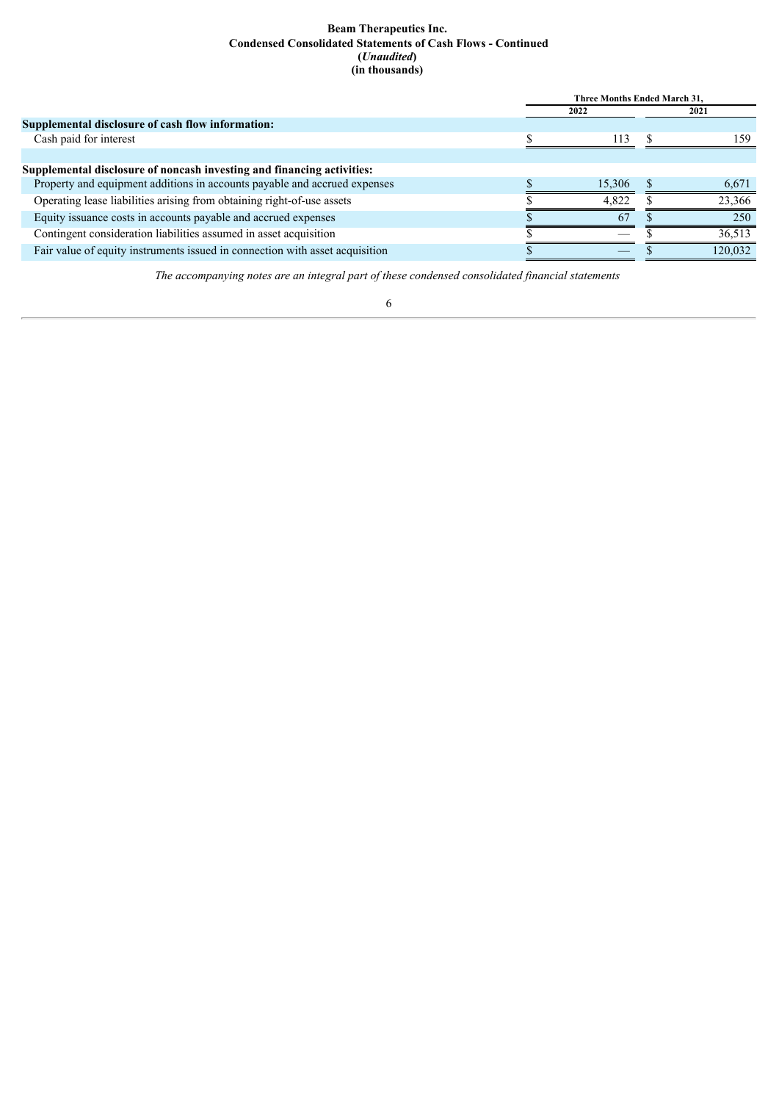#### **Beam Therapeutics Inc. Condensed Consolidated Statements of Cash Flows - Continued (***Unaudited***) (in thousands)**

| <b>Three Months Ended March 31.</b> |        |  |         |  |  |
|-------------------------------------|--------|--|---------|--|--|
|                                     | 2022   |  | 2021    |  |  |
|                                     |        |  |         |  |  |
|                                     | 113    |  | 159     |  |  |
|                                     |        |  |         |  |  |
|                                     |        |  |         |  |  |
|                                     | 15.306 |  | 6.671   |  |  |
|                                     | 4.822  |  | 23,366  |  |  |
|                                     | 67     |  | 250     |  |  |
|                                     |        |  | 36,513  |  |  |
|                                     |        |  | 120.032 |  |  |
|                                     |        |  |         |  |  |

*The accompanying notes are an integral part of these condensed consolidated financial statements*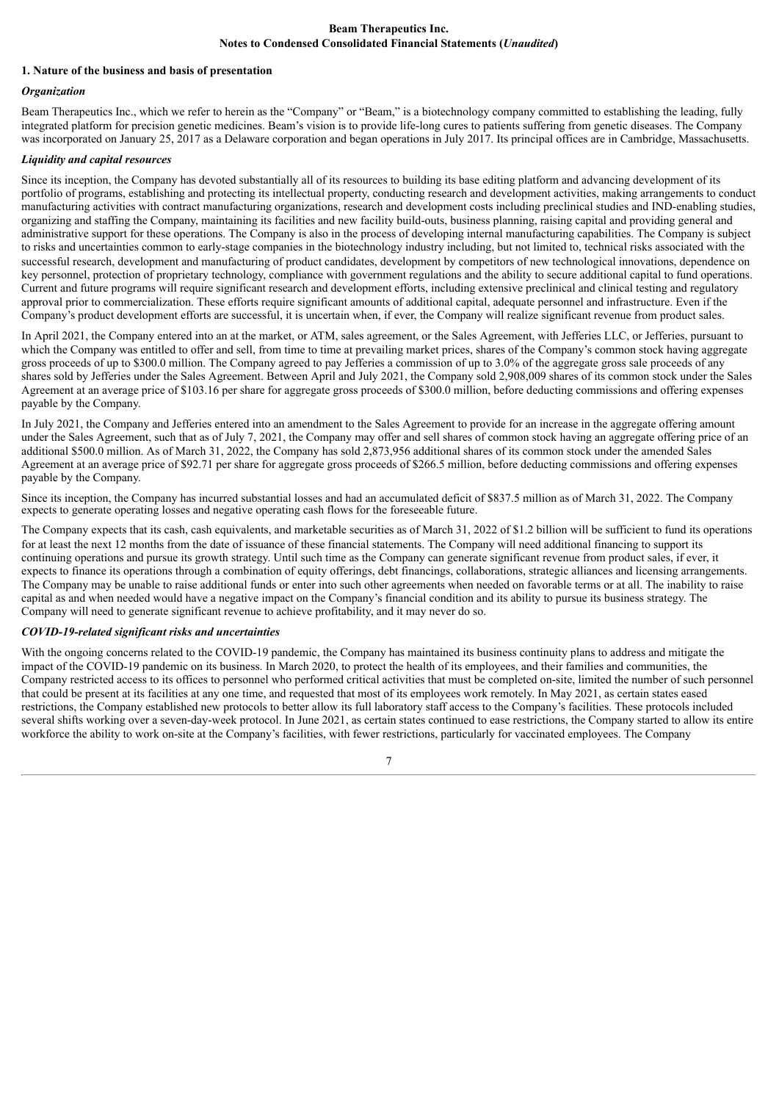#### **Beam Therapeutics Inc. Notes to Condensed Consolidated Financial Statements (***Unaudited***)**

## <span id="page-10-0"></span>**1. Nature of the business and basis of presentation**

## *Organization*

Beam Therapeutics Inc., which we refer to herein as the "Company" or "Beam," is a biotechnology company committed to establishing the leading, fully integrated platform for precision genetic medicines. Beam's vision is to provide life-long cures to patients suffering from genetic diseases. The Company was incorporated on January 25, 2017 as a Delaware corporation and began operations in July 2017. Its principal offices are in Cambridge, Massachusetts.

## *Liquidity and capital resources*

Since its inception, the Company has devoted substantially all of its resources to building its base editing platform and advancing development of its portfolio of programs, establishing and protecting its intellectual property, conducting research and development activities, making arrangements to conduct manufacturing activities with contract manufacturing organizations, research and development costs including preclinical studies and IND-enabling studies, organizing and staffing the Company, maintaining its facilities and new facility build-outs, business planning, raising capital and providing general and administrative support for these operations. The Company is also in the process of developing internal manufacturing capabilities. The Company is subject to risks and uncertainties common to early-stage companies in the biotechnology industry including, but not limited to, technical risks associated with the successful research, development and manufacturing of product candidates, development by competitors of new technological innovations, dependence on key personnel, protection of proprietary technology, compliance with government regulations and the ability to secure additional capital to fund operations. Current and future programs will require significant research and development efforts, including extensive preclinical and clinical testing and regulatory approval prior to commercialization. These efforts require significant amounts of additional capital, adequate personnel and infrastructure. Even if the Company's product development efforts are successful, it is uncertain when, if ever, the Company will realize significant revenue from product sales.

In April 2021, the Company entered into an at the market, or ATM, sales agreement, or the Sales Agreement, with Jefferies LLC, or Jefferies, pursuant to which the Company was entitled to offer and sell, from time to time at prevailing market prices, shares of the Company's common stock having aggregate gross proceeds of up to \$300.0 million. The Company agreed to pay Jefferies a commission of up to 3.0% of the aggregate gross sale proceeds of any shares sold by Jefferies under the Sales Agreement. Between April and July 2021, the Company sold 2,908,009 shares of its common stock under the Sales Agreement at an average price of \$103.16 per share for aggregate gross proceeds of \$300.0 million, before deducting commissions and offering expenses payable by the Company.

In July 2021, the Company and Jefferies entered into an amendment to the Sales Agreement to provide for an increase in the aggregate offering amount under the Sales Agreement, such that as of July 7, 2021, the Company may offer and sell shares of common stock having an aggregate offering price of an additional \$500.0 million. As of March 31, 2022, the Company has sold 2,873,956 additional shares of its common stock under the amended Sales Agreement at an average price of \$92.71 per share for aggregate gross proceeds of \$266.5 million, before deducting commissions and offering expenses payable by the Company.

Since its inception, the Company has incurred substantial losses and had an accumulated deficit of \$837.5 million as of March 31, 2022. The Company expects to generate operating losses and negative operating cash flows for the foreseeable future.

The Company expects that its cash, cash equivalents, and marketable securities as of March 31, 2022 of \$1.2 billion will be sufficient to fund its operations for at least the next 12 months from the date of issuance of these financial statements. The Company will need additional financing to support its continuing operations and pursue its growth strategy. Until such time as the Company can generate significant revenue from product sales, if ever, it expects to finance its operations through a combination of equity offerings, debt financings, collaborations, strategic alliances and licensing arrangements. The Company may be unable to raise additional funds or enter into such other agreements when needed on favorable terms or at all. The inability to raise capital as and when needed would have a negative impact on the Company's financial condition and its ability to pursue its business strategy. The Company will need to generate significant revenue to achieve profitability, and it may never do so.

## *COVID-19-related significant risks and uncertainties*

With the ongoing concerns related to the COVID-19 pandemic, the Company has maintained its business continuity plans to address and mitigate the impact of the COVID-19 pandemic on its business. In March 2020, to protect the health of its employees, and their families and communities, the Company restricted access to its offices to personnel who performed critical activities that must be completed on-site, limited the number of such personnel that could be present at its facilities at any one time, and requested that most of its employees work remotely. In May 2021, as certain states eased restrictions, the Company established new protocols to better allow its full laboratory staff access to the Company's facilities. These protocols included several shifts working over a seven-day-week protocol. In June 2021, as certain states continued to ease restrictions, the Company started to allow its entire workforce the ability to work on-site at the Company's facilities, with fewer restrictions, particularly for vaccinated employees. The Company

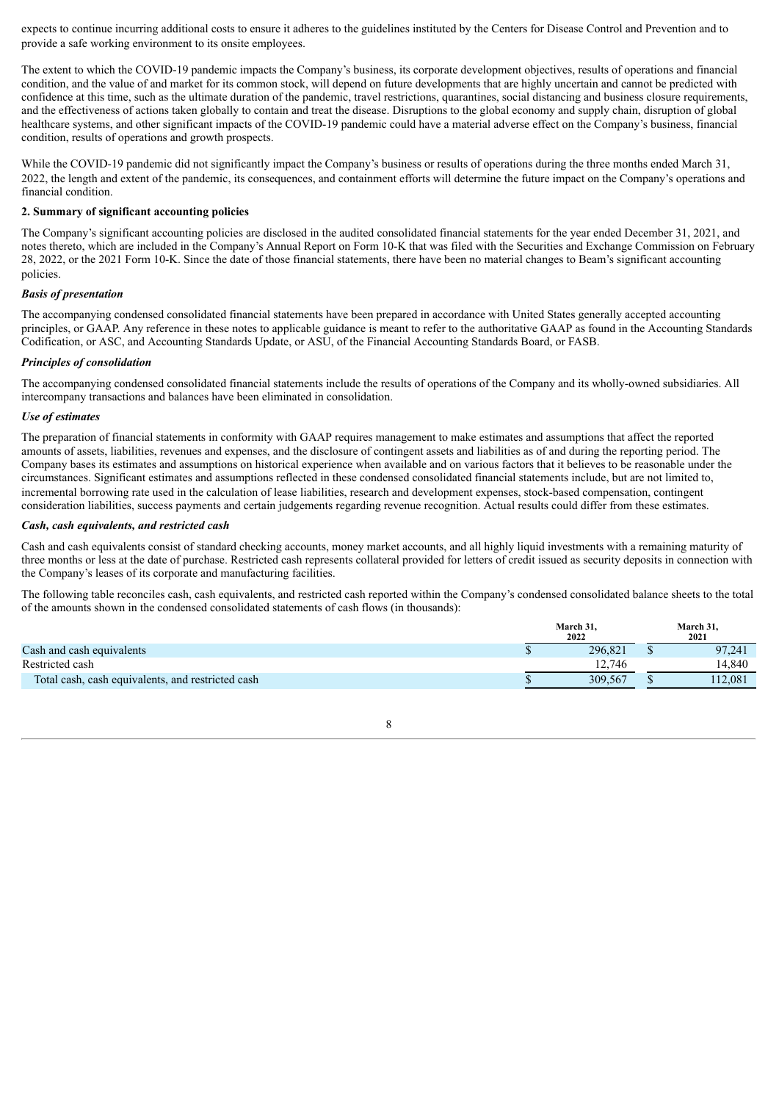expects to continue incurring additional costs to ensure it adheres to the guidelines instituted by the Centers for Disease Control and Prevention and to provide a safe working environment to its onsite employees.

The extent to which the COVID-19 pandemic impacts the Company's business, its corporate development objectives, results of operations and financial condition, and the value of and market for its common stock, will depend on future developments that are highly uncertain and cannot be predicted with confidence at this time, such as the ultimate duration of the pandemic, travel restrictions, quarantines, social distancing and business closure requirements, and the effectiveness of actions taken globally to contain and treat the disease. Disruptions to the global economy and supply chain, disruption of global healthcare systems, and other significant impacts of the COVID-19 pandemic could have a material adverse effect on the Company's business, financial condition, results of operations and growth prospects.

While the COVID-19 pandemic did not significantly impact the Company's business or results of operations during the three months ended March 31, 2022, the length and extent of the pandemic, its consequences, and containment efforts will determine the future impact on the Company's operations and financial condition.

#### **2. Summary of significant accounting policies**

The Company's significant accounting policies are disclosed in the audited consolidated financial statements for the year ended December 31, 2021, and notes thereto, which are included in the Company's Annual Report on Form 10-K that was filed with the Securities and Exchange Commission on February 28, 2022, or the 2021 Form 10-K. Since the date of those financial statements, there have been no material changes to Beam's significant accounting policies.

## *Basis of presentation*

The accompanying condensed consolidated financial statements have been prepared in accordance with United States generally accepted accounting principles, or GAAP. Any reference in these notes to applicable guidance is meant to refer to the authoritative GAAP as found in the Accounting Standards Codification, or ASC, and Accounting Standards Update, or ASU, of the Financial Accounting Standards Board, or FASB.

### *Principles of consolidation*

The accompanying condensed consolidated financial statements include the results of operations of the Company and its wholly-owned subsidiaries. All intercompany transactions and balances have been eliminated in consolidation.

#### *Use of estimates*

The preparation of financial statements in conformity with GAAP requires management to make estimates and assumptions that affect the reported amounts of assets, liabilities, revenues and expenses, and the disclosure of contingent assets and liabilities as of and during the reporting period. The Company bases its estimates and assumptions on historical experience when available and on various factors that it believes to be reasonable under the circumstances. Significant estimates and assumptions reflected in these condensed consolidated financial statements include, but are not limited to, incremental borrowing rate used in the calculation of lease liabilities, research and development expenses, stock-based compensation, contingent consideration liabilities, success payments and certain judgements regarding revenue recognition. Actual results could differ from these estimates.

#### *Cash, cash equivalents, and restricted cash*

Cash and cash equivalents consist of standard checking accounts, money market accounts, and all highly liquid investments with a remaining maturity of three months or less at the date of purchase. Restricted cash represents collateral provided for letters of credit issued as security deposits in connection with the Company's leases of its corporate and manufacturing facilities.

The following table reconciles cash, cash equivalents, and restricted cash reported within the Company's condensed consolidated balance sheets to the total of the amounts shown in the condensed consolidated statements of cash flows (in thousands):

|                                                   | March 31,<br>2022 | <b>March 31.</b><br>2021 |
|---------------------------------------------------|-------------------|--------------------------|
| Cash and cash equivalents                         | 296.821           | 97.241                   |
| Restricted cash                                   | 12.746            | 14.840                   |
| Total cash, cash equivalents, and restricted cash | 309.567           | 12.081                   |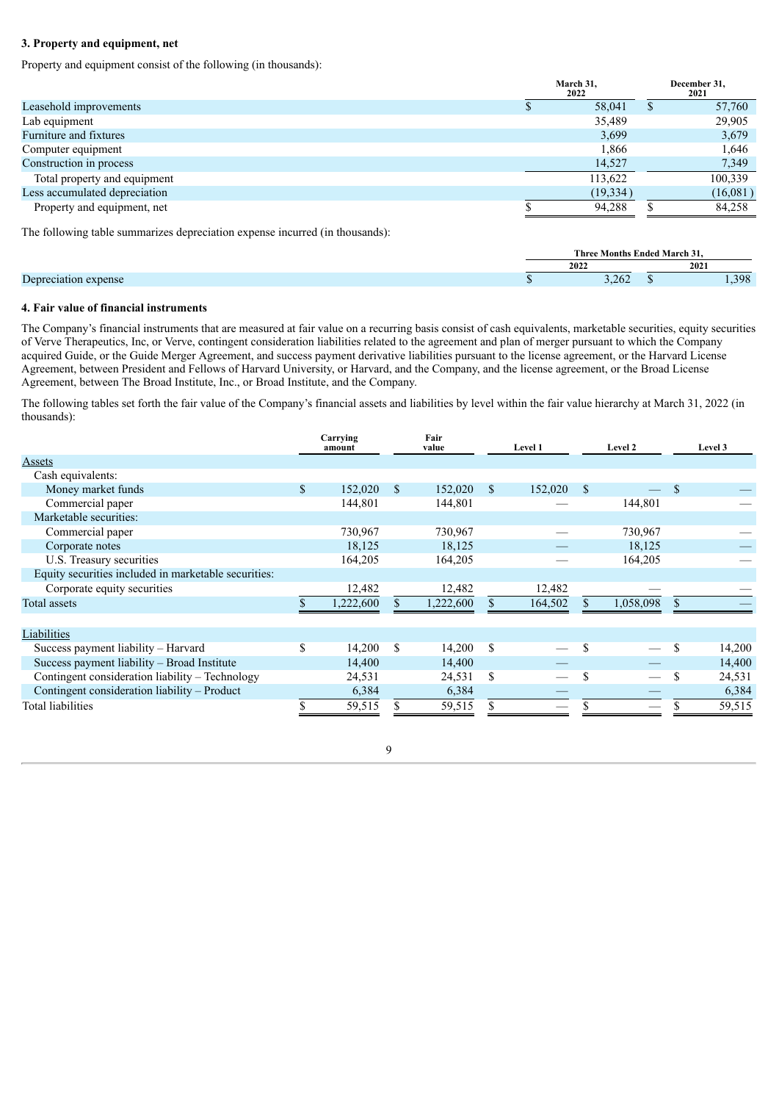### **3. Property and equipment, net**

Property and equipment consist of the following (in thousands):

|                               | March 31,<br>2022 |   |          |  |
|-------------------------------|-------------------|---|----------|--|
| Leasehold improvements        | 58,041            | D | 57,760   |  |
| Lab equipment                 | 35,489            |   | 29,905   |  |
| Furniture and fixtures        | 3,699             |   | 3,679    |  |
| Computer equipment            | 1,866             |   | 1,646    |  |
| Construction in process       | 14,527            |   | 7,349    |  |
| Total property and equipment  | 113.622           |   | 100,339  |  |
| Less accumulated depreciation | (19, 334)         |   | (16,081) |  |
| Property and equipment, net   | 94,288            |   | 84,258   |  |
|                               |                   |   |          |  |

The following table summarizes depreciation expense incurred (in thousands):

|  | ---<br>'hree<br>Manth | Ended March | $\sim$     |
|--|-----------------------|-------------|------------|
|  | 2022                  |             | 2021       |
|  | -04                   |             | 200<br>-77 |

#### **4. Fair value of financial instruments**

The Company's financial instruments that are measured at fair value on a recurring basis consist of cash equivalents, marketable securities, equity securities of Verve Therapeutics, Inc, or Verve, contingent consideration liabilities related to the agreement and plan of merger pursuant to which the Company acquired Guide, or the Guide Merger Agreement, and success payment derivative liabilities pursuant to the license agreement, or the Harvard License Agreement, between President and Fellows of Harvard University, or Harvard, and the Company, and the license agreement, or the Broad License Agreement, between The Broad Institute, Inc., or Broad Institute, and the Company.

The following tables set forth the fair value of the Company's financial assets and liabilities by level within the fair value hierarchy at March 31, 2022 (in thousands):

|                                                      | Carrying<br>amount |              | Fair<br>value |               | Level 1 |    | Level 2   |               | Level 3 |
|------------------------------------------------------|--------------------|--------------|---------------|---------------|---------|----|-----------|---------------|---------|
| Assets                                               |                    |              |               |               |         |    |           |               |         |
| Cash equivalents:                                    |                    |              |               |               |         |    |           |               |         |
| Money market funds                                   | \$<br>152,020      | $\mathbf{s}$ | 152,020       | <sup>S</sup>  | 152,020 | -S |           | <sup>\$</sup> |         |
| Commercial paper                                     | 144,801            |              | 144,801       |               |         |    | 144,801   |               |         |
| Marketable securities:                               |                    |              |               |               |         |    |           |               |         |
| Commercial paper                                     | 730,967            |              | 730,967       |               |         |    | 730,967   |               |         |
| Corporate notes                                      | 18,125             |              | 18,125        |               |         |    | 18,125    |               |         |
| U.S. Treasury securities                             | 164,205            |              | 164,205       |               |         |    | 164,205   |               |         |
| Equity securities included in marketable securities: |                    |              |               |               |         |    |           |               |         |
| Corporate equity securities                          | 12,482             |              | 12,482        |               | 12,482  |    |           |               |         |
| Total assets                                         | 1,222,600          |              | 1,222,600     |               | 164,502 | S. | 1,058,098 |               |         |
| Liabilities                                          |                    |              |               |               |         |    |           |               |         |
| Success payment liability – Harvard                  | \$<br>14,200       | S            | 14,200        | <sup>\$</sup> |         | \$ |           | -S            | 14,200  |
| Success payment liability - Broad Institute          | 14,400             |              | 14,400        |               |         |    |           |               | 14,400  |
| Contingent consideration liability – Technology      | 24,531             |              | 24,531        | S             |         | \$ |           | -S            | 24,531  |
| Contingent consideration liability – Product         | 6,384              |              | 6,384         |               |         |    |           |               | 6,384   |
| Total liabilities                                    | 59,515             |              | 59,515        |               |         |    |           |               | 59,515  |

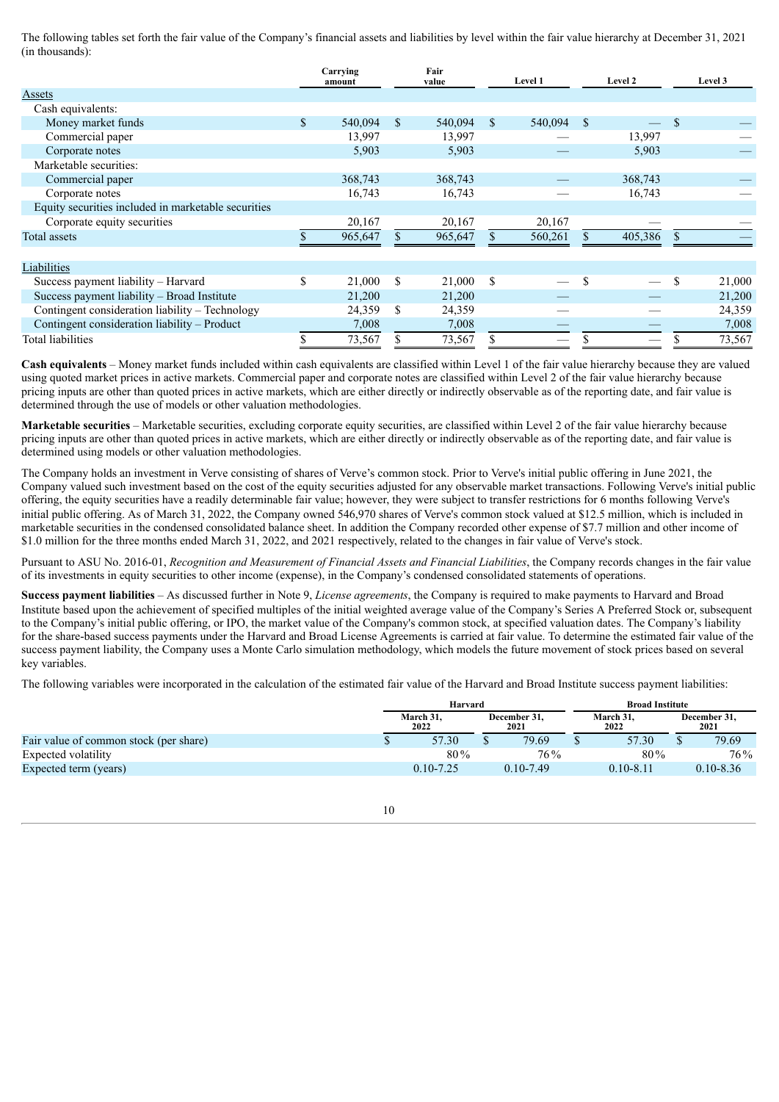The following tables set forth the fair value of the Company's financial assets and liabilities by level within the fair value hierarchy at December 31, 2021 (in thousands):

|                                                     |                    | Carrying<br>amount |               | Fair<br>value | Level 1       |                               |     |         | Level 2 |        | Level 3 |  |
|-----------------------------------------------------|--------------------|--------------------|---------------|---------------|---------------|-------------------------------|-----|---------|---------|--------|---------|--|
| <b>Assets</b>                                       |                    |                    |               |               |               |                               |     |         |         |        |         |  |
| Cash equivalents:                                   |                    |                    |               |               |               |                               |     |         |         |        |         |  |
| Money market funds                                  | $\mathbf{\hat{S}}$ | 540,094            | \$            | 540,094       | <sup>S</sup>  | 540,094                       | -S  |         | \$.     |        |         |  |
| Commercial paper                                    |                    | 13,997             |               | 13,997        |               |                               |     | 13,997  |         |        |         |  |
| Corporate notes                                     |                    | 5,903              |               | 5,903         |               |                               |     | 5,903   |         |        |         |  |
| Marketable securities:                              |                    |                    |               |               |               |                               |     |         |         |        |         |  |
| Commercial paper                                    |                    | 368,743            |               | 368,743       |               |                               |     | 368,743 |         |        |         |  |
| Corporate notes                                     |                    | 16,743             |               | 16,743        |               |                               |     | 16,743  |         |        |         |  |
| Equity securities included in marketable securities |                    |                    |               |               |               |                               |     |         |         |        |         |  |
| Corporate equity securities                         |                    | 20,167             |               | 20,167        |               | 20,167                        |     |         |         |        |         |  |
| Total assets                                        |                    | 965,647            | \$.           | 965,647       | $\mathcal{S}$ | 560,261                       | \$. | 405,386 |         |        |         |  |
| Liabilities                                         |                    |                    |               |               |               |                               |     |         |         |        |         |  |
| Success payment liability - Harvard                 | \$                 | 21,000             | <sup>\$</sup> | 21,000        | -S            |                               | \$  |         | S       | 21,000 |         |  |
| Success payment liability - Broad Institute         |                    | 21,200             |               | 21,200        |               |                               |     |         |         | 21,200 |         |  |
| Contingent consideration liability - Technology     |                    | 24,359             | S             | 24,359        |               |                               |     |         |         | 24,359 |         |  |
| Contingent consideration liability – Product        |                    | 7,008              |               | 7,008         |               |                               |     |         |         | 7,008  |         |  |
| Total liabilities                                   |                    | 73,567             |               | 73,567        | \$            | $\overbrace{\phantom{12332}}$ |     |         |         | 73,567 |         |  |

**Cash equivalents** – Money market funds included within cash equivalents are classified within Level 1 of the fair value hierarchy because they are valued using quoted market prices in active markets. Commercial paper and corporate notes are classified within Level 2 of the fair value hierarchy because pricing inputs are other than quoted prices in active markets, which are either directly or indirectly observable as of the reporting date, and fair value is determined through the use of models or other valuation methodologies.

**Marketable securities** – Marketable securities, excluding corporate equity securities, are classified within Level 2 of the fair value hierarchy because pricing inputs are other than quoted prices in active markets, which are either directly or indirectly observable as of the reporting date, and fair value is determined using models or other valuation methodologies.

The Company holds an investment in Verve consisting of shares of Verve's common stock. Prior to Verve's initial public offering in June 2021, the Company valued such investment based on the cost of the equity securities adjusted for any observable market transactions. Following Verve's initial public offering, the equity securities have a readily determinable fair value; however, they were subject to transfer restrictions for 6 months following Verve's initial public offering. As of March 31, 2022, the Company owned 546,970 shares of Verve's common stock valued at \$12.5 million, which is included in marketable securities in the condensed consolidated balance sheet. In addition the Company recorded other expense of \$7.7 million and other income of \$1.0 million for the three months ended March 31, 2022, and 2021 respectively, related to the changes in fair value of Verve's stock.

Pursuant to ASU No. 2016-01, *Recognition and Measurement of Financial Assets and Financial Liabilities*, the Company records changes in the fair value of its investments in equity securities to other income (expense), in the Company's condensed consolidated statements of operations.

**Success payment liabilities** – As discussed further in Note 9, *License agreements*, the Company is required to make payments to Harvard and Broad Institute based upon the achievement of specified multiples of the initial weighted average value of the Company's Series A Preferred Stock or, subsequent to the Company's initial public offering, or IPO, the market value of the Company's common stock, at specified valuation dates. The Company's liability for the share-based success payments under the Harvard and Broad License Agreements is carried at fair value. To determine the estimated fair value of the success payment liability, the Company uses a Monte Carlo simulation methodology, which models the future movement of stock prices based on several key variables.

The following variables were incorporated in the calculation of the estimated fair value of the Harvard and Broad Institute success payment liabilities:

|                                        | Harvard           |  |                      | <b>Broad Institute</b> |                          |  |                      |  |
|----------------------------------------|-------------------|--|----------------------|------------------------|--------------------------|--|----------------------|--|
|                                        | March 31,<br>2022 |  | December 31,<br>2021 |                        | <b>March 31,</b><br>2022 |  | December 31,<br>2021 |  |
| Fair value of common stock (per share) | 57.30             |  | 79.69                |                        | 57.30                    |  | 79.69                |  |
| Expected volatility                    | 80%               |  | 76%                  |                        | $80\%$                   |  | 76%                  |  |
| Expected term (years)                  | $0.10 - 7.25$     |  | $0.10 - 7.49$        |                        | $0.10 - 8.11$            |  | $0.10 - 8.36$        |  |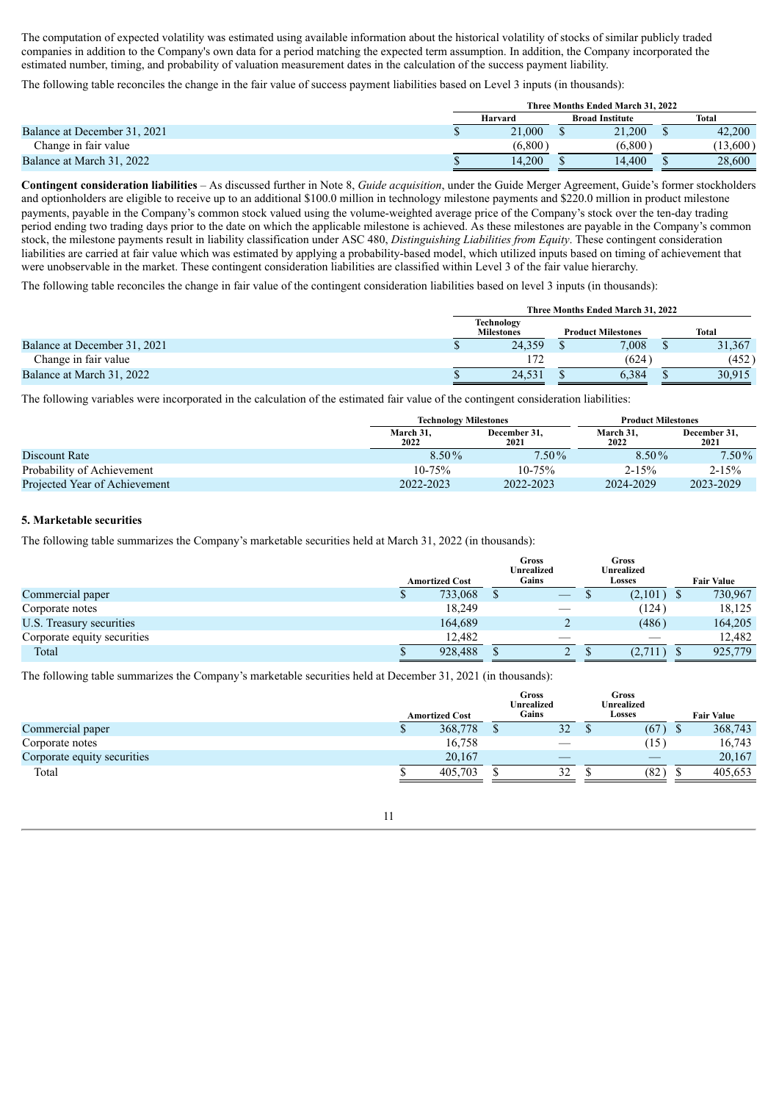The computation of expected volatility was estimated using available information about the historical volatility of stocks of similar publicly traded companies in addition to the Company's own data for a period matching the expected term assumption. In addition, the Company incorporated the estimated number, timing, and probability of valuation measurement dates in the calculation of the success payment liability.

The following table reconciles the change in the fair value of success payment liabilities based on Level 3 inputs (in thousands):

|                              | Three Months Ended March 31, 2022 |         |  |                        |  |              |  |
|------------------------------|-----------------------------------|---------|--|------------------------|--|--------------|--|
|                              |                                   | Harvard |  | <b>Broad Institute</b> |  | <b>Total</b> |  |
| Balance at December 31, 2021 |                                   | 21,000  |  | 21.200                 |  | 42,200       |  |
| Change in fair value         |                                   | (6.800) |  | (6.800)                |  | (13.600)     |  |
| Balance at March 31, 2022    |                                   | 14.200  |  | 14.400                 |  | 28,600       |  |

**Contingent consideration liabilities** – As discussed further in Note 8, *Guide acquisition*, under the Guide Merger Agreement, Guide's former stockholders and optionholders are eligible to receive up to an additional \$100.0 million in technology milestone payments and \$220.0 million in product milestone payments, payable in the Company's common stock valued using the volume-weighted average price of the Company's stock over the ten-day trading period ending two trading days prior to the date on which the applicable milestone is achieved. As these milestones are payable in the Company's common stock, the milestone payments result in liability classification under ASC 480, *Distinguishing Liabilities from Equity*. These contingent consideration liabilities are carried at fair value which was estimated by applying a probability-based model, which utilized inputs based on timing of achievement that were unobservable in the market. These contingent consideration liabilities are classified within Level 3 of the fair value hierarchy.

The following table reconciles the change in fair value of the contingent consideration liabilities based on level 3 inputs (in thousands):

|                              | Three Months Ended March 31, 2022      |  |                           |  |        |  |  |  |  |
|------------------------------|----------------------------------------|--|---------------------------|--|--------|--|--|--|--|
|                              | <b>Technology</b><br><b>Milestones</b> |  | <b>Product Milestones</b> |  | Total  |  |  |  |  |
| Balance at December 31, 2021 | 24.359                                 |  | 7.008                     |  | 31,367 |  |  |  |  |
| Change in fair value         | 172                                    |  | (624)                     |  | (452)  |  |  |  |  |
| Balance at March 31, 2022    | 24.531                                 |  | 6,384                     |  | 30,915 |  |  |  |  |

The following variables were incorporated in the calculation of the estimated fair value of the contingent consideration liabilities:

|                               | <b>Technology Milestones</b> |                      | <b>Product Milestones</b> |                      |  |
|-------------------------------|------------------------------|----------------------|---------------------------|----------------------|--|
|                               | March 31.<br>2022            | December 31,<br>2021 | March 31,<br>2022         | December 31.<br>2021 |  |
| Discount Rate                 | $8.50\%$                     | $7.50\%$             | $8.50\%$                  | $7.50\%$             |  |
| Probability of Achievement    | $10 - 75%$                   | $10 - 75%$           | $2 - 15%$                 | $2 - 15%$            |  |
| Projected Year of Achievement | 2022-2023                    | 2022-2023            | 2024-2029                 | 2023-2029            |  |

#### **5. Marketable securities**

The following table summarizes the Company's marketable securities held at March 31, 2022 (in thousands):

|                             | <b>Amortized Cost</b> | <b>Gross</b><br>Unrealized<br>Gains | <b>Gross</b><br>Unrealized<br><b>Losses</b> | <b>Fair Value</b> |
|-----------------------------|-----------------------|-------------------------------------|---------------------------------------------|-------------------|
|                             |                       |                                     |                                             |                   |
| Commercial paper            | 733,068               | $\hspace{0.05cm}$                   | (2,101)                                     | 730,967           |
| Corporate notes             | 18,249                |                                     | (124)                                       | 18,125            |
| U.S. Treasury securities    | 164,689               |                                     | (486)                                       | 164,205           |
| Corporate equity securities | 12.482                | __                                  |                                             | 12,482            |
| Total                       | 928,488               | $\bigcap$                           | (2,711)                                     | 925,779           |

The following table summarizes the Company's marketable securities held at December 31, 2021 (in thousands):

|                             | <b>Amortized Cost</b> | <b>Gross</b><br><b>Unrealized</b><br>Gains | Gross<br><b>Unrealized</b><br><b>Losses</b> | <b>Fair Value</b> |
|-----------------------------|-----------------------|--------------------------------------------|---------------------------------------------|-------------------|
| Commercial paper            | 368,778               | 32                                         | (67)                                        | 368,743           |
| Corporate notes             | 16,758                |                                            | 15)                                         | 16,743            |
| Corporate equity securities | 20.167                |                                            | _                                           | 20,167            |
| Total                       | 405,703               | 32                                         | (82)                                        | 405,653           |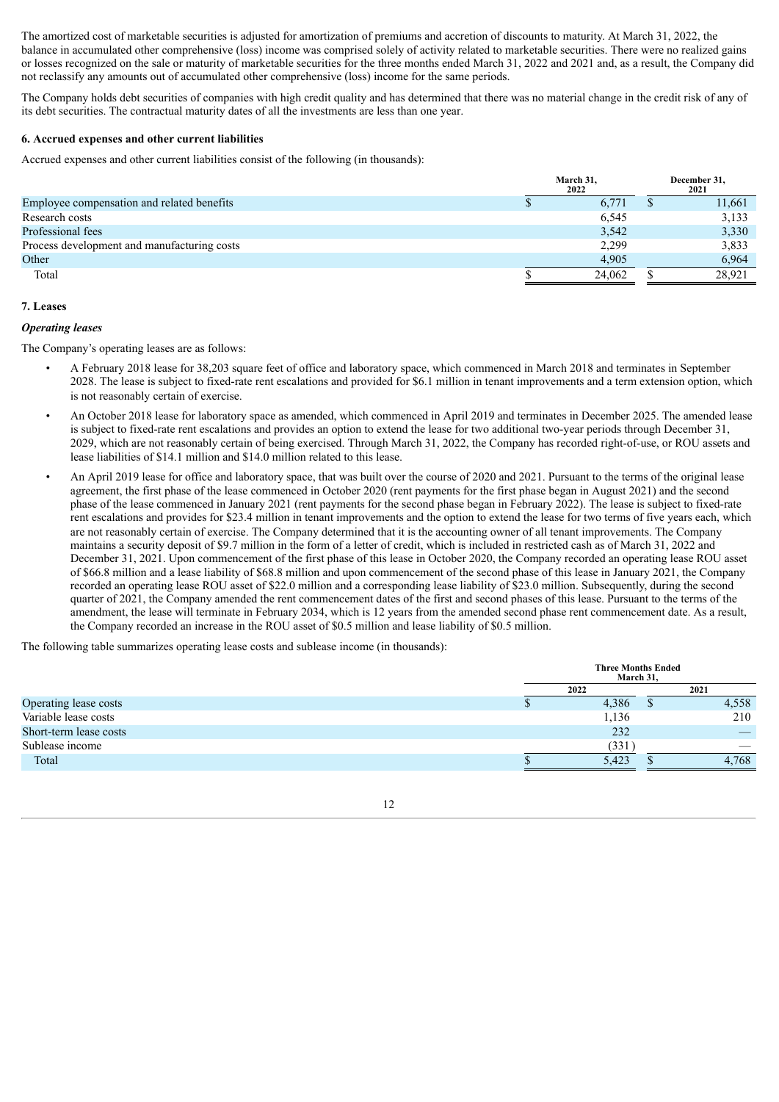The amortized cost of marketable securities is adjusted for amortization of premiums and accretion of discounts to maturity. At March 31, 2022, the balance in accumulated other comprehensive (loss) income was comprised solely of activity related to marketable securities. There were no realized gains or losses recognized on the sale or maturity of marketable securities for the three months ended March 31, 2022 and 2021 and, as a result, the Company did not reclassify any amounts out of accumulated other comprehensive (loss) income for the same periods.

The Company holds debt securities of companies with high credit quality and has determined that there was no material change in the credit risk of any of its debt securities. The contractual maturity dates of all the investments are less than one year.

#### **6. Accrued expenses and other current liabilities**

Accrued expenses and other current liabilities consist of the following (in thousands):

|                                             | March 31,<br>2022 | December 31,<br>2021 |
|---------------------------------------------|-------------------|----------------------|
| Employee compensation and related benefits  | 6,771             | 11,661               |
| Research costs                              | 6,545             | 3,133                |
| Professional fees                           | 3,542             | 3,330                |
| Process development and manufacturing costs | 2,299             | 3,833                |
| Other                                       | 4,905             | 6,964                |
| Total                                       | 24,062            | 28,921               |

## **7. Leases**

## *Operating leases*

The Company's operating leases are as follows:

- A February 2018 lease for 38,203 square feet of office and laboratory space, which commenced in March 2018 and terminates in September 2028. The lease is subject to fixed-rate rent escalations and provided for \$6.1 million in tenant improvements and a term extension option, which is not reasonably certain of exercise.
- An October 2018 lease for laboratory space as amended, which commenced in April 2019 and terminates in December 2025. The amended lease is subject to fixed-rate rent escalations and provides an option to extend the lease for two additional two-year periods through December 31, 2029, which are not reasonably certain of being exercised. Through March 31, 2022, the Company has recorded right-of-use, or ROU assets and lease liabilities of \$14.1 million and \$14.0 million related to this lease.
- An April 2019 lease for office and laboratory space, that was built over the course of 2020 and 2021. Pursuant to the terms of the original lease agreement, the first phase of the lease commenced in October 2020 (rent payments for the first phase began in August 2021) and the second phase of the lease commenced in January 2021 (rent payments for the second phase began in February 2022). The lease is subject to fixed-rate rent escalations and provides for \$23.4 million in tenant improvements and the option to extend the lease for two terms of five years each, which are not reasonably certain of exercise. The Company determined that it is the accounting owner of all tenant improvements. The Company maintains a security deposit of \$9.7 million in the form of a letter of credit, which is included in restricted cash as of March 31, 2022 and December 31, 2021. Upon commencement of the first phase of this lease in October 2020, the Company recorded an operating lease ROU asset of \$66.8 million and a lease liability of \$68.8 million and upon commencement of the second phase of this lease in January 2021, the Company recorded an operating lease ROU asset of \$22.0 million and a corresponding lease liability of \$23.0 million. Subsequently, during the second quarter of 2021, the Company amended the rent commencement dates of the first and second phases of this lease. Pursuant to the terms of the amendment, the lease will terminate in February 2034, which is 12 years from the amended second phase rent commencement date. As a result, the Company recorded an increase in the ROU asset of \$0.5 million and lease liability of \$0.5 million.

The following table summarizes operating lease costs and sublease income (in thousands):

|                        | <b>Three Months Ended</b><br>March 31, |       |
|------------------------|----------------------------------------|-------|
|                        | 2022                                   | 2021  |
| Operating lease costs  | 4,386                                  | 4,558 |
| Variable lease costs   | 1,136                                  | 210   |
| Short-term lease costs | 232                                    |       |
| Sublease income        | (331)                                  |       |
| Total                  | 5,423                                  | 4,768 |
|                        |                                        |       |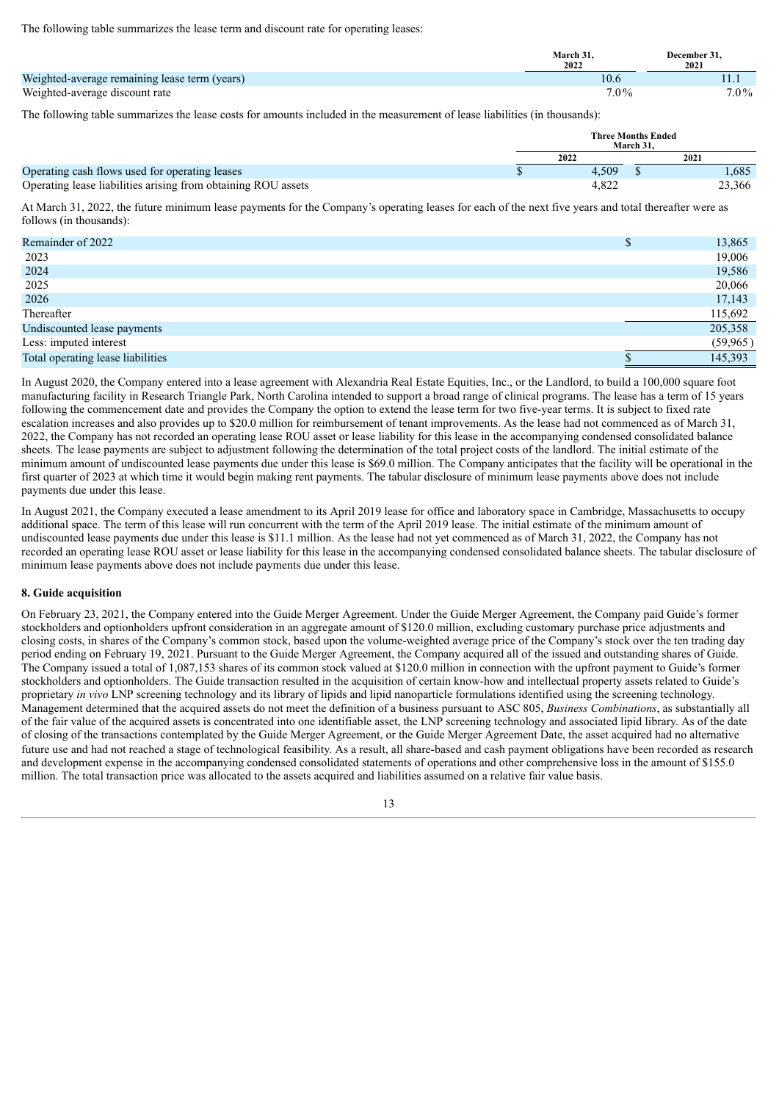The following table summarizes the lease term and discount rate for operating leases:

|                                               | March 31.<br>2022 | December 31.<br>2021 |
|-----------------------------------------------|-------------------|----------------------|
| Weighted-average remaining lease term (years) |                   |                      |
| Weighted-average discount rate                | $7.0\%$           | $7.0\%$              |

The following table summarizes the lease costs for amounts included in the measurement of lease liabilities (in thousands):

|                                                               |       | <b>Three Months Ended</b><br>March 31. |        |
|---------------------------------------------------------------|-------|----------------------------------------|--------|
|                                                               | 2022  |                                        | 2021   |
| Operating cash flows used for operating leases                | 4.509 |                                        | .685   |
| Operating lease liabilities arising from obtaining ROU assets | 4.822 |                                        | 23.366 |

At March 31, 2022, the future minimum lease payments for the Company's operating leases for each of the next five years and total thereafter were as follows (in thousands):

| Remainder of 2022                 | 13,865<br>ъ |
|-----------------------------------|-------------|
| 2023                              | 19,006      |
| 2024                              | 19,586      |
| 2025                              | 20,066      |
| 2026                              | 17,143      |
| Thereafter                        | 115,692     |
| Undiscounted lease payments       | 205,358     |
| Less: imputed interest            | (59,965)    |
| Total operating lease liabilities | 145,393     |

In August 2020, the Company entered into a lease agreement with Alexandria Real Estate Equities, Inc., or the Landlord, to build a 100,000 square foot manufacturing facility in Research Triangle Park, North Carolina intended to support a broad range of clinical programs. The lease has a term of 15 years following the commencement date and provides the Company the option to extend the lease term for two five-year terms. It is subject to fixed rate escalation increases and also provides up to \$20.0 million for reimbursement of tenant improvements. As the lease had not commenced as of March 31, 2022, the Company has not recorded an operating lease ROU asset or lease liability for this lease in the accompanying condensed consolidated balance sheets. The lease payments are subject to adjustment following the determination of the total project costs of the landlord. The initial estimate of the minimum amount of undiscounted lease payments due under this lease is \$69.0 million. The Company anticipates that the facility will be operational in the first quarter of 2023 at which time it would begin making rent payments. The tabular disclosure of minimum lease payments above does not include payments due under this lease.

In August 2021, the Company executed a lease amendment to its April 2019 lease for office and laboratory space in Cambridge, Massachusetts to occupy additional space. The term of this lease will run concurrent with the term of the April 2019 lease. The initial estimate of the minimum amount of undiscounted lease payments due under this lease is \$11.1 million. As the lease had not yet commenced as of March 31, 2022, the Company has not recorded an operating lease ROU asset or lease liability for this lease in the accompanying condensed consolidated balance sheets. The tabular disclosure of minimum lease payments above does not include payments due under this lease.

## **8. Guide acquisition**

On February 23, 2021, the Company entered into the Guide Merger Agreement. Under the Guide Merger Agreement, the Company paid Guide's former stockholders and optionholders upfront consideration in an aggregate amount of \$120.0 million, excluding customary purchase price adjustments and closing costs, in shares of the Company's common stock, based upon the volume-weighted average price of the Company's stock over the ten trading day period ending on February 19, 2021. Pursuant to the Guide Merger Agreement, the Company acquired all of the issued and outstanding shares of Guide. The Company issued a total of 1,087,153 shares of its common stock valued at \$120.0 million in connection with the upfront payment to Guide's former stockholders and optionholders. The Guide transaction resulted in the acquisition of certain know-how and intellectual property assets related to Guide's proprietary *in vivo* LNP screening technology and its library of lipids and lipid nanoparticle formulations identified using the screening technology. Management determined that the acquired assets do not meet the definition of a business pursuant to ASC 805, *Business Combinations*, as substantially all of the fair value of the acquired assets is concentrated into one identifiable asset, the LNP screening technology and associated lipid library. As of the date of closing of the transactions contemplated by the Guide Merger Agreement, or the Guide Merger Agreement Date, the asset acquired had no alternative future use and had not reached a stage of technological feasibility. As a result, all share-based and cash payment obligations have been recorded as research and development expense in the accompanying condensed consolidated statements of operations and other comprehensive loss in the amount of \$155.0 million. The total transaction price was allocated to the assets acquired and liabilities assumed on a relative fair value basis.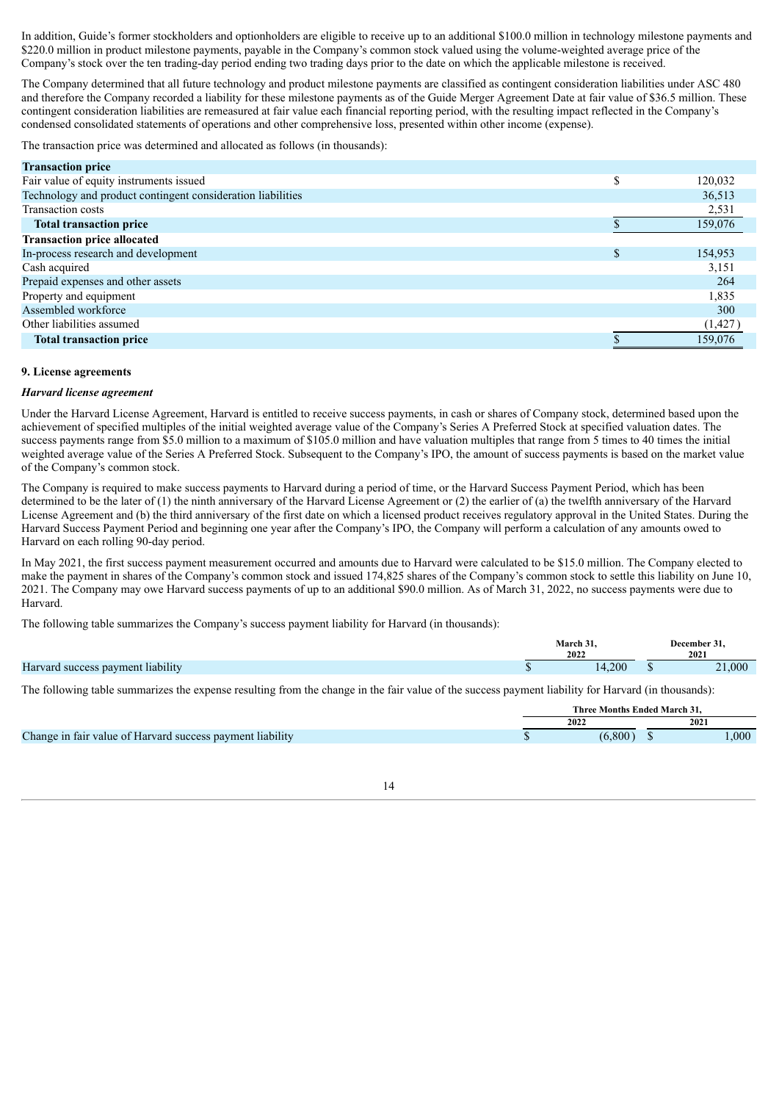In addition, Guide's former stockholders and optionholders are eligible to receive up to an additional \$100.0 million in technology milestone payments and \$220.0 million in product milestone payments, payable in the Company's common stock valued using the volume-weighted average price of the Company's stock over the ten trading-day period ending two trading days prior to the date on which the applicable milestone is received.

The Company determined that all future technology and product milestone payments are classified as contingent consideration liabilities under ASC 480 and therefore the Company recorded a liability for these milestone payments as of the Guide Merger Agreement Date at fair value of \$36.5 million. These contingent consideration liabilities are remeasured at fair value each financial reporting period, with the resulting impact reflected in the Company's condensed consolidated statements of operations and other comprehensive loss, presented within other income (expense).

The transaction price was determined and allocated as follows (in thousands):

| <b>Transaction price</b>                                    |   |          |
|-------------------------------------------------------------|---|----------|
| Fair value of equity instruments issued                     |   | 120,032  |
| Technology and product contingent consideration liabilities |   | 36,513   |
| Transaction costs                                           |   | 2,531    |
| <b>Total transaction price</b>                              |   | 159,076  |
| <b>Transaction price allocated</b>                          |   |          |
| In-process research and development                         | S | 154,953  |
| Cash acquired                                               |   | 3,151    |
| Prepaid expenses and other assets                           |   | 264      |
| Property and equipment                                      |   | 1,835    |
| Assembled workforce                                         |   | 300      |
| Other liabilities assumed                                   |   | (1, 427) |
| <b>Total transaction price</b>                              |   | 159,076  |

#### **9. License agreements**

#### *Harvard license agreement*

Under the Harvard License Agreement, Harvard is entitled to receive success payments, in cash or shares of Company stock, determined based upon the achievement of specified multiples of the initial weighted average value of the Company's Series A Preferred Stock at specified valuation dates. The success payments range from \$5.0 million to a maximum of \$105.0 million and have valuation multiples that range from 5 times to 40 times the initial weighted average value of the Series A Preferred Stock. Subsequent to the Company's IPO, the amount of success payments is based on the market value of the Company's common stock.

The Company is required to make success payments to Harvard during a period of time, or the Harvard Success Payment Period, which has been determined to be the later of (1) the ninth anniversary of the Harvard License Agreement or (2) the earlier of (a) the twelfth anniversary of the Harvard License Agreement and (b) the third anniversary of the first date on which a licensed product receives regulatory approval in the United States. During the Harvard Success Payment Period and beginning one year after the Company's IPO, the Company will perform a calculation of any amounts owed to Harvard on each rolling 90-day period.

In May 2021, the first success payment measurement occurred and amounts due to Harvard were calculated to be \$15.0 million. The Company elected to make the payment in shares of the Company's common stock and issued 174,825 shares of the Company's common stock to settle this liability on June 10, 2021. The Company may owe Harvard success payments of up to an additional \$90.0 million. As of March 31, 2022, no success payments were due to Harvard.

The following table summarizes the Company's success payment liability for Harvard (in thousands):

|                                  | March<br>2022 |  | December 3<br>2021 |
|----------------------------------|---------------|--|--------------------|
| Harvard success payment hability | 4.200         |  | 21,000             |
|                                  |               |  |                    |

The following table summarizes the expense resulting from the change in the fair value of the success payment liability for Harvard (in thousands):

|                                                           | Three Months Ended March 31. |      |
|-----------------------------------------------------------|------------------------------|------|
|                                                           | 2022                         | 2021 |
| Change in fair value of Harvard success payment liability | (6.800)                      | .000 |
|                                                           |                              |      |

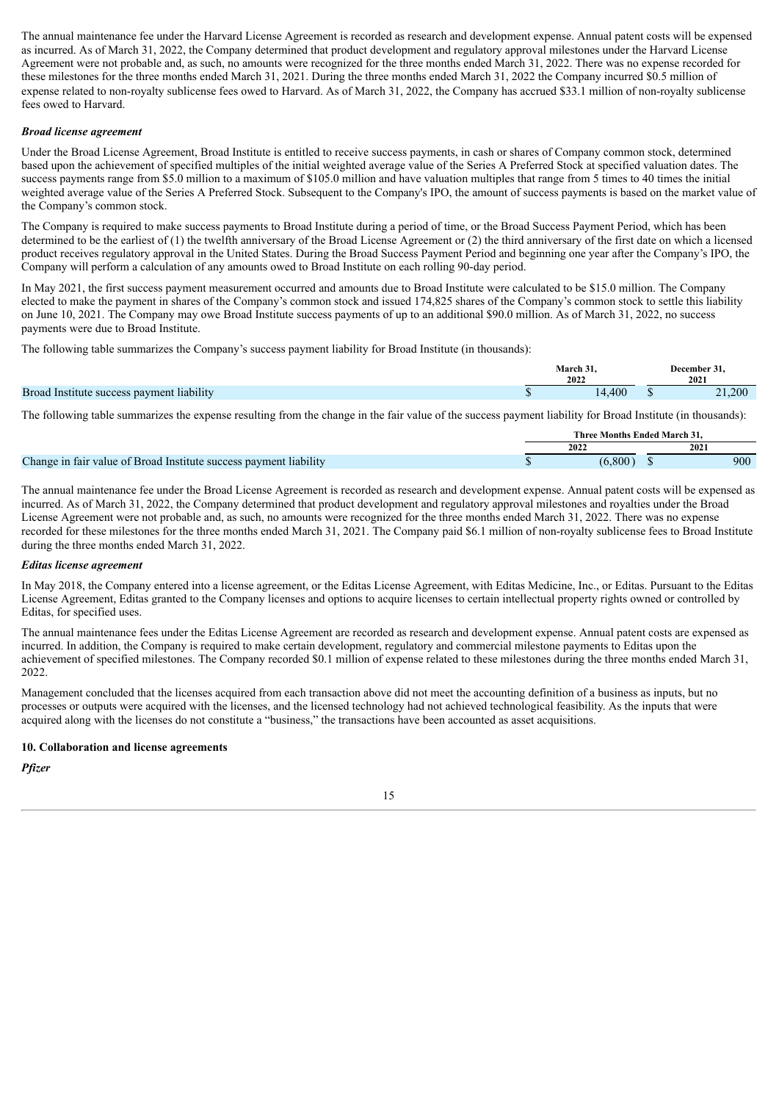The annual maintenance fee under the Harvard License Agreement is recorded as research and development expense. Annual patent costs will be expensed as incurred. As of March 31, 2022, the Company determined that product development and regulatory approval milestones under the Harvard License Agreement were not probable and, as such, no amounts were recognized for the three months ended March 31, 2022. There was no expense recorded for these milestones for the three months ended March 31, 2021. During the three months ended March 31, 2022 the Company incurred \$0.5 million of expense related to non-royalty sublicense fees owed to Harvard. As of March 31, 2022, the Company has accrued \$33.1 million of non-royalty sublicense fees owed to Harvard.

#### *Broad license agreement*

Under the Broad License Agreement, Broad Institute is entitled to receive success payments, in cash or shares of Company common stock, determined based upon the achievement of specified multiples of the initial weighted average value of the Series A Preferred Stock at specified valuation dates. The success payments range from \$5.0 million to a maximum of \$105.0 million and have valuation multiples that range from 5 times to 40 times the initial weighted average value of the Series A Preferred Stock. Subsequent to the Company's IPO, the amount of success payments is based on the market value of the Company's common stock.

The Company is required to make success payments to Broad Institute during a period of time, or the Broad Success Payment Period, which has been determined to be the earliest of (1) the twelfth anniversary of the Broad License Agreement or (2) the third anniversary of the first date on which a licensed product receives regulatory approval in the United States. During the Broad Success Payment Period and beginning one year after the Company's IPO, the Company will perform a calculation of any amounts owed to Broad Institute on each rolling 90-day period.

In May 2021, the first success payment measurement occurred and amounts due to Broad Institute were calculated to be \$15.0 million. The Company elected to make the payment in shares of the Company's common stock and issued 174,825 shares of the Company's common stock to settle this liability on June 10, 2021. The Company may owe Broad Institute success payments of up to an additional \$90.0 million. As of March 31, 2022, no success payments were due to Broad Institute.

The following table summarizes the Company's success payment liability for Broad Institute (in thousands):

|                                           | March 31.<br>2022 | December 31.<br>2021 |
|-------------------------------------------|-------------------|----------------------|
| Broad Institute success payment liability | 4.400             | 21,200               |

The following table summarizes the expense resulting from the change in the fair value of the success payment liability for Broad Institute (in thousands):

|                                                                   | Three Months Ended March 31. |     |
|-------------------------------------------------------------------|------------------------------|-----|
|                                                                   | 2022                         | 202 |
| Change in fair value of Broad Institute success payment liability | (6.800)                      | 900 |
|                                                                   |                              |     |

The annual maintenance fee under the Broad License Agreement is recorded as research and development expense. Annual patent costs will be expensed as incurred. As of March 31, 2022, the Company determined that product development and regulatory approval milestones and royalties under the Broad License Agreement were not probable and, as such, no amounts were recognized for the three months ended March 31, 2022. There was no expense recorded for these milestones for the three months ended March 31, 2021. The Company paid \$6.1 million of non-royalty sublicense fees to Broad Institute during the three months ended March 31, 2022.

#### *Editas license agreement*

In May 2018, the Company entered into a license agreement, or the Editas License Agreement, with Editas Medicine, Inc., or Editas. Pursuant to the Editas License Agreement, Editas granted to the Company licenses and options to acquire licenses to certain intellectual property rights owned or controlled by Editas, for specified uses.

The annual maintenance fees under the Editas License Agreement are recorded as research and development expense. Annual patent costs are expensed as incurred. In addition, the Company is required to make certain development, regulatory and commercial milestone payments to Editas upon the achievement of specified milestones. The Company recorded \$0.1 million of expense related to these milestones during the three months ended March 31, 2022.

Management concluded that the licenses acquired from each transaction above did not meet the accounting definition of a business as inputs, but no processes or outputs were acquired with the licenses, and the licensed technology had not achieved technological feasibility. As the inputs that were acquired along with the licenses do not constitute a "business," the transactions have been accounted as asset acquisitions.

#### **10. Collaboration and license agreements**

*Pfizer*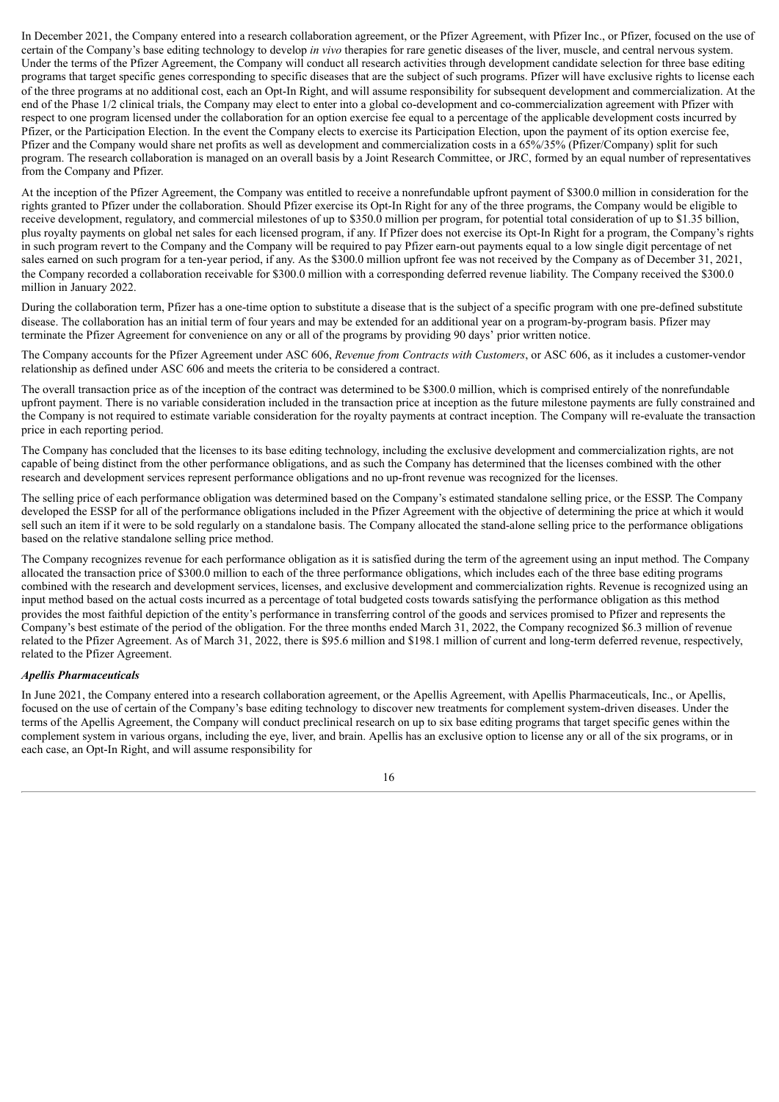In December 2021, the Company entered into a research collaboration agreement, or the Pfizer Agreement, with Pfizer Inc., or Pfizer, focused on the use of certain of the Company's base editing technology to develop *in vivo* therapies for rare genetic diseases of the liver, muscle, and central nervous system. Under the terms of the Pfizer Agreement, the Company will conduct all research activities through development candidate selection for three base editing programs that target specific genes corresponding to specific diseases that are the subject of such programs. Pfizer will have exclusive rights to license each of the three programs at no additional cost, each an Opt-In Right, and will assume responsibility for subsequent development and commercialization. At the end of the Phase 1/2 clinical trials, the Company may elect to enter into a global co-development and co-commercialization agreement with Pfizer with respect to one program licensed under the collaboration for an option exercise fee equal to a percentage of the applicable development costs incurred by Pfizer, or the Participation Election. In the event the Company elects to exercise its Participation Election, upon the payment of its option exercise fee, Pfizer and the Company would share net profits as well as development and commercialization costs in a 65%/35% (Pfizer/Company) split for such program. The research collaboration is managed on an overall basis by a Joint Research Committee, or JRC, formed by an equal number of representatives from the Company and Pfizer.

At the inception of the Pfizer Agreement, the Company was entitled to receive a nonrefundable upfront payment of \$300.0 million in consideration for the rights granted to Pfizer under the collaboration. Should Pfizer exercise its Opt-In Right for any of the three programs, the Company would be eligible to receive development, regulatory, and commercial milestones of up to \$350.0 million per program, for potential total consideration of up to \$1.35 billion, plus royalty payments on global net sales for each licensed program, if any. If Pfizer does not exercise its Opt-In Right for a program, the Company's rights in such program revert to the Company and the Company will be required to pay Pfizer earn-out payments equal to a low single digit percentage of net sales earned on such program for a ten-year period, if any. As the \$300.0 million upfront fee was not received by the Company as of December 31, 2021, the Company recorded a collaboration receivable for \$300.0 million with a corresponding deferred revenue liability. The Company received the \$300.0 million in January 2022.

During the collaboration term, Pfizer has a one-time option to substitute a disease that is the subject of a specific program with one pre-defined substitute disease. The collaboration has an initial term of four years and may be extended for an additional year on a program-by-program basis. Pfizer may terminate the Pfizer Agreement for convenience on any or all of the programs by providing 90 days' prior written notice.

The Company accounts for the Pfizer Agreement under ASC 606, *Revenue from Contracts with Customers*, or ASC 606, as it includes a customer-vendor relationship as defined under ASC 606 and meets the criteria to be considered a contract.

The overall transaction price as of the inception of the contract was determined to be \$300.0 million, which is comprised entirely of the nonrefundable upfront payment. There is no variable consideration included in the transaction price at inception as the future milestone payments are fully constrained and the Company is not required to estimate variable consideration for the royalty payments at contract inception. The Company will re-evaluate the transaction price in each reporting period.

The Company has concluded that the licenses to its base editing technology, including the exclusive development and commercialization rights, are not capable of being distinct from the other performance obligations, and as such the Company has determined that the licenses combined with the other research and development services represent performance obligations and no up-front revenue was recognized for the licenses.

The selling price of each performance obligation was determined based on the Company's estimated standalone selling price, or the ESSP. The Company developed the ESSP for all of the performance obligations included in the Pfizer Agreement with the objective of determining the price at which it would sell such an item if it were to be sold regularly on a standalone basis. The Company allocated the stand-alone selling price to the performance obligations based on the relative standalone selling price method.

The Company recognizes revenue for each performance obligation as it is satisfied during the term of the agreement using an input method. The Company allocated the transaction price of \$300.0 million to each of the three performance obligations, which includes each of the three base editing programs combined with the research and development services, licenses, and exclusive development and commercialization rights. Revenue is recognized using an input method based on the actual costs incurred as a percentage of total budgeted costs towards satisfying the performance obligation as this method provides the most faithful depiction of the entity's performance in transferring control of the goods and services promised to Pfizer and represents the Company's best estimate of the period of the obligation. For the three months ended March 31, 2022, the Company recognized \$6.3 million of revenue related to the Pfizer Agreement. As of March 31, 2022, there is \$95.6 million and \$198.1 million of current and long-term deferred revenue, respectively, related to the Pfizer Agreement.

## *Apellis Pharmaceuticals*

In June 2021, the Company entered into a research collaboration agreement, or the Apellis Agreement, with Apellis Pharmaceuticals, Inc., or Apellis, focused on the use of certain of the Company's base editing technology to discover new treatments for complement system-driven diseases. Under the terms of the Apellis Agreement, the Company will conduct preclinical research on up to six base editing programs that target specific genes within the complement system in various organs, including the eye, liver, and brain. Apellis has an exclusive option to license any or all of the six programs, or in each case, an Opt-In Right, and will assume responsibility for

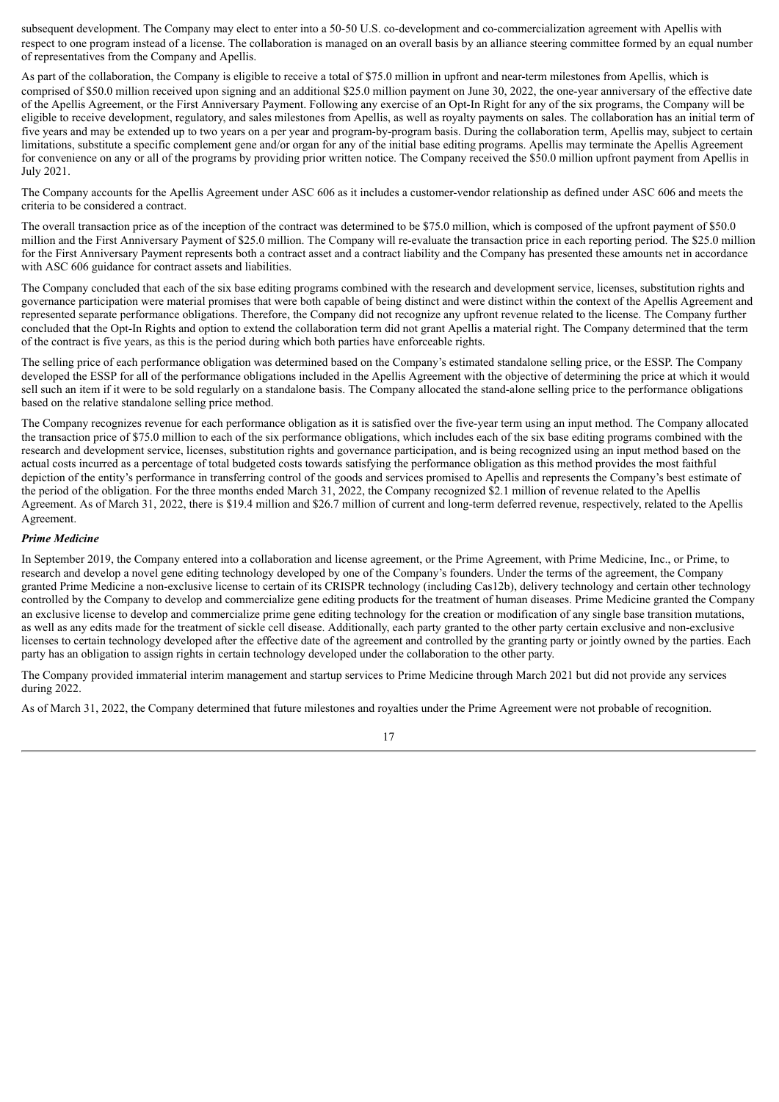subsequent development. The Company may elect to enter into a 50-50 U.S. co-development and co-commercialization agreement with Apellis with respect to one program instead of a license. The collaboration is managed on an overall basis by an alliance steering committee formed by an equal number of representatives from the Company and Apellis.

As part of the collaboration, the Company is eligible to receive a total of \$75.0 million in upfront and near-term milestones from Apellis, which is comprised of \$50.0 million received upon signing and an additional \$25.0 million payment on June 30, 2022, the one-year anniversary of the effective date of the Apellis Agreement, or the First Anniversary Payment. Following any exercise of an Opt-In Right for any of the six programs, the Company will be eligible to receive development, regulatory, and sales milestones from Apellis, as well as royalty payments on sales. The collaboration has an initial term of five years and may be extended up to two years on a per year and program-by-program basis. During the collaboration term, Apellis may, subject to certain limitations, substitute a specific complement gene and/or organ for any of the initial base editing programs. Apellis may terminate the Apellis Agreement for convenience on any or all of the programs by providing prior written notice. The Company received the \$50.0 million upfront payment from Apellis in July 2021.

The Company accounts for the Apellis Agreement under ASC 606 as it includes a customer-vendor relationship as defined under ASC 606 and meets the criteria to be considered a contract.

The overall transaction price as of the inception of the contract was determined to be \$75.0 million, which is composed of the upfront payment of \$50.0 million and the First Anniversary Payment of \$25.0 million. The Company will re-evaluate the transaction price in each reporting period. The \$25.0 million for the First Anniversary Payment represents both a contract asset and a contract liability and the Company has presented these amounts net in accordance with ASC 606 guidance for contract assets and liabilities.

The Company concluded that each of the six base editing programs combined with the research and development service, licenses, substitution rights and governance participation were material promises that were both capable of being distinct and were distinct within the context of the Apellis Agreement and represented separate performance obligations. Therefore, the Company did not recognize any upfront revenue related to the license. The Company further concluded that the Opt-In Rights and option to extend the collaboration term did not grant Apellis a material right. The Company determined that the term of the contract is five years, as this is the period during which both parties have enforceable rights.

The selling price of each performance obligation was determined based on the Company's estimated standalone selling price, or the ESSP. The Company developed the ESSP for all of the performance obligations included in the Apellis Agreement with the objective of determining the price at which it would sell such an item if it were to be sold regularly on a standalone basis. The Company allocated the stand-alone selling price to the performance obligations based on the relative standalone selling price method.

The Company recognizes revenue for each performance obligation as it is satisfied over the five-year term using an input method. The Company allocated the transaction price of \$75.0 million to each of the six performance obligations, which includes each of the six base editing programs combined with the research and development service, licenses, substitution rights and governance participation, and is being recognized using an input method based on the actual costs incurred as a percentage of total budgeted costs towards satisfying the performance obligation as this method provides the most faithful depiction of the entity's performance in transferring control of the goods and services promised to Apellis and represents the Company's best estimate of the period of the obligation. For the three months ended March 31, 2022, the Company recognized \$2.1 million of revenue related to the Apellis Agreement. As of March 31, 2022, there is \$19.4 million and \$26.7 million of current and long-term deferred revenue, respectively, related to the Apellis Agreement.

## *Prime Medicine*

In September 2019, the Company entered into a collaboration and license agreement, or the Prime Agreement, with Prime Medicine, Inc., or Prime, to research and develop a novel gene editing technology developed by one of the Company's founders. Under the terms of the agreement, the Company granted Prime Medicine a non-exclusive license to certain of its CRISPR technology (including Cas12b), delivery technology and certain other technology controlled by the Company to develop and commercialize gene editing products for the treatment of human diseases. Prime Medicine granted the Company an exclusive license to develop and commercialize prime gene editing technology for the creation or modification of any single base transition mutations, as well as any edits made for the treatment of sickle cell disease. Additionally, each party granted to the other party certain exclusive and non-exclusive licenses to certain technology developed after the effective date of the agreement and controlled by the granting party or jointly owned by the parties. Each party has an obligation to assign rights in certain technology developed under the collaboration to the other party.

The Company provided immaterial interim management and startup services to Prime Medicine through March 2021 but did not provide any services during 2022.

As of March 31, 2022, the Company determined that future milestones and royalties under the Prime Agreement were not probable of recognition.

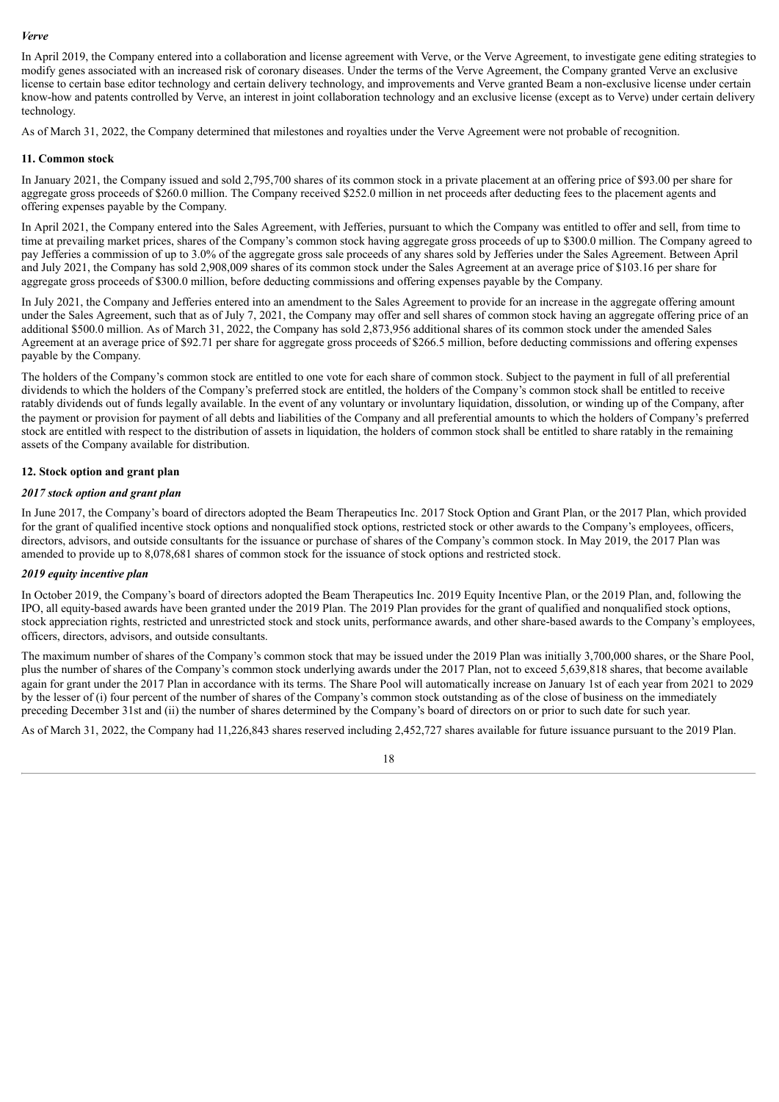#### *Verve*

In April 2019, the Company entered into a collaboration and license agreement with Verve, or the Verve Agreement, to investigate gene editing strategies to modify genes associated with an increased risk of coronary diseases. Under the terms of the Verve Agreement, the Company granted Verve an exclusive license to certain base editor technology and certain delivery technology, and improvements and Verve granted Beam a non-exclusive license under certain know-how and patents controlled by Verve, an interest in joint collaboration technology and an exclusive license (except as to Verve) under certain delivery technology.

As of March 31, 2022, the Company determined that milestones and royalties under the Verve Agreement were not probable of recognition.

### **11. Common stock**

In January 2021, the Company issued and sold 2,795,700 shares of its common stock in a private placement at an offering price of \$93.00 per share for aggregate gross proceeds of \$260.0 million. The Company received \$252.0 million in net proceeds after deducting fees to the placement agents and offering expenses payable by the Company.

In April 2021, the Company entered into the Sales Agreement, with Jefferies, pursuant to which the Company was entitled to offer and sell, from time to time at prevailing market prices, shares of the Company's common stock having aggregate gross proceeds of up to \$300.0 million. The Company agreed to pay Jefferies a commission of up to 3.0% of the aggregate gross sale proceeds of any shares sold by Jefferies under the Sales Agreement. Between April and July 2021, the Company has sold 2,908,009 shares of its common stock under the Sales Agreement at an average price of \$103.16 per share for aggregate gross proceeds of \$300.0 million, before deducting commissions and offering expenses payable by the Company.

In July 2021, the Company and Jefferies entered into an amendment to the Sales Agreement to provide for an increase in the aggregate offering amount under the Sales Agreement, such that as of July 7, 2021, the Company may offer and sell shares of common stock having an aggregate offering price of an additional \$500.0 million. As of March 31, 2022, the Company has sold 2,873,956 additional shares of its common stock under the amended Sales Agreement at an average price of \$92.71 per share for aggregate gross proceeds of \$266.5 million, before deducting commissions and offering expenses payable by the Company.

The holders of the Company's common stock are entitled to one vote for each share of common stock. Subject to the payment in full of all preferential dividends to which the holders of the Company's preferred stock are entitled, the holders of the Company's common stock shall be entitled to receive ratably dividends out of funds legally available. In the event of any voluntary or involuntary liquidation, dissolution, or winding up of the Company, after the payment or provision for payment of all debts and liabilities of the Company and all preferential amounts to which the holders of Company's preferred stock are entitled with respect to the distribution of assets in liquidation, the holders of common stock shall be entitled to share ratably in the remaining assets of the Company available for distribution.

## **12. Stock option and grant plan**

#### *2017 stock option and grant plan*

In June 2017, the Company's board of directors adopted the Beam Therapeutics Inc. 2017 Stock Option and Grant Plan, or the 2017 Plan, which provided for the grant of qualified incentive stock options and nonqualified stock options, restricted stock or other awards to the Company's employees, officers, directors, advisors, and outside consultants for the issuance or purchase of shares of the Company's common stock. In May 2019, the 2017 Plan was amended to provide up to 8,078,681 shares of common stock for the issuance of stock options and restricted stock.

#### *2019 equity incentive plan*

In October 2019, the Company's board of directors adopted the Beam Therapeutics Inc. 2019 Equity Incentive Plan, or the 2019 Plan, and, following the IPO, all equity-based awards have been granted under the 2019 Plan. The 2019 Plan provides for the grant of qualified and nonqualified stock options, stock appreciation rights, restricted and unrestricted stock and stock units, performance awards, and other share-based awards to the Company's employees, officers, directors, advisors, and outside consultants.

The maximum number of shares of the Company's common stock that may be issued under the 2019 Plan was initially 3,700,000 shares, or the Share Pool, plus the number of shares of the Company's common stock underlying awards under the 2017 Plan, not to exceed 5,639,818 shares, that become available again for grant under the 2017 Plan in accordance with its terms. The Share Pool will automatically increase on January 1st of each year from 2021 to 2029 by the lesser of (i) four percent of the number of shares of the Company's common stock outstanding as of the close of business on the immediately preceding December 31st and (ii) the number of shares determined by the Company's board of directors on or prior to such date for such year.

As of March 31, 2022, the Company had 11,226,843 shares reserved including 2,452,727 shares available for future issuance pursuant to the 2019 Plan.

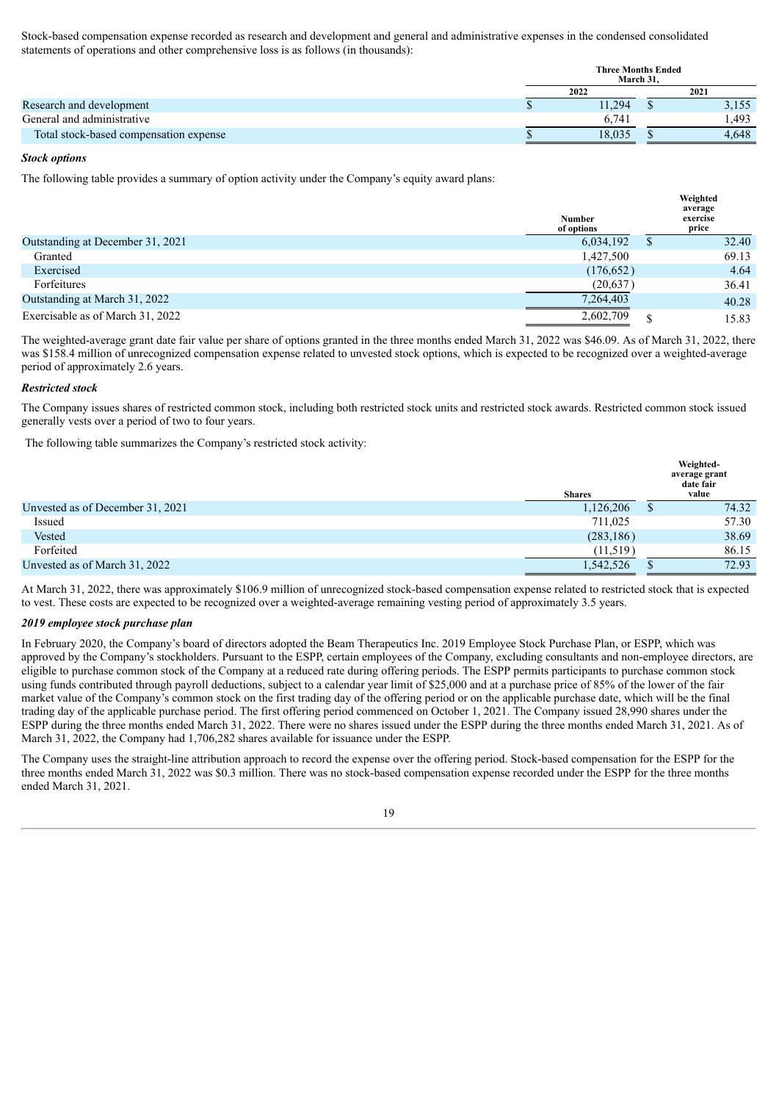Stock-based compensation expense recorded as research and development and general and administrative expenses in the condensed consolidated statements of operations and other comprehensive loss is as follows (in thousands):

|                                        | <b>Three Months Ended</b><br>March 31. |  |       |  |
|----------------------------------------|----------------------------------------|--|-------|--|
|                                        | 2022                                   |  | 2021  |  |
| Research and development               | 11,294                                 |  | 3,155 |  |
| General and administrative             | 6.741                                  |  | 1.493 |  |
| Total stock-based compensation expense | 18.035                                 |  | 4.648 |  |

## *Stock options*

The following table provides a summary of option activity under the Company's equity award plans:

|                                  | <b>Number</b><br>of options | Weighted<br>average<br>exercise<br>price |
|----------------------------------|-----------------------------|------------------------------------------|
| Outstanding at December 31, 2021 | 6,034,192                   | 32.40<br>D                               |
| Granted                          | 1,427,500                   | 69.13                                    |
| Exercised                        | (176, 652)                  | 4.64                                     |
| Forfeitures                      | (20, 637)                   | 36.41                                    |
| Outstanding at March 31, 2022    | 7,264,403                   | 40.28                                    |
| Exercisable as of March 31, 2022 | 2,602,709                   | 15.83<br>¢                               |

The weighted-average grant date fair value per share of options granted in the three months ended March 31, 2022 was \$46.09. As of March 31, 2022, there was \$158.4 million of unrecognized compensation expense related to unvested stock options, which is expected to be recognized over a weighted-average period of approximately 2.6 years.

#### *Restricted stock*

The Company issues shares of restricted common stock, including both restricted stock units and restricted stock awards. Restricted common stock issued generally vests over a period of two to four years.

The following table summarizes the Company's restricted stock activity:

|                                  | <b>Shares</b> | Weighted-<br>average grant<br>date fair<br>value |
|----------------------------------|---------------|--------------------------------------------------|
| Unvested as of December 31, 2021 | 1,126,206     | 74.32                                            |
| Issued                           | 711,025       | 57.30                                            |
| Vested                           | (283, 186)    | 38.69                                            |
| Forfeited                        | (11,519)      | 86.15                                            |
| Unvested as of March 31, 2022    | 1.542.526     | 72.93                                            |
|                                  |               |                                                  |

At March 31, 2022, there was approximately \$106.9 million of unrecognized stock-based compensation expense related to restricted stock that is expected to vest. These costs are expected to be recognized over a weighted-average remaining vesting period of approximately 3.5 years.

#### *2019 employee stock purchase plan*

In February 2020, the Company's board of directors adopted the Beam Therapeutics Inc. 2019 Employee Stock Purchase Plan, or ESPP, which was approved by the Company's stockholders. Pursuant to the ESPP, certain employees of the Company, excluding consultants and non-employee directors, are eligible to purchase common stock of the Company at a reduced rate during offering periods. The ESPP permits participants to purchase common stock using funds contributed through payroll deductions, subject to a calendar year limit of \$25,000 and at a purchase price of 85% of the lower of the fair market value of the Company's common stock on the first trading day of the offering period or on the applicable purchase date, which will be the final trading day of the applicable purchase period. The first offering period commenced on October 1, 2021. The Company issued 28,990 shares under the ESPP during the three months ended March 31, 2022. There were no shares issued under the ESPP during the three months ended March 31, 2021. As of March 31, 2022, the Company had 1,706,282 shares available for issuance under the ESPP.

The Company uses the straight-line attribution approach to record the expense over the offering period. Stock-based compensation for the ESPP for the three months ended March 31, 2022 was \$0.3 million. There was no stock-based compensation expense recorded under the ESPP for the three months ended March 31, 2021.

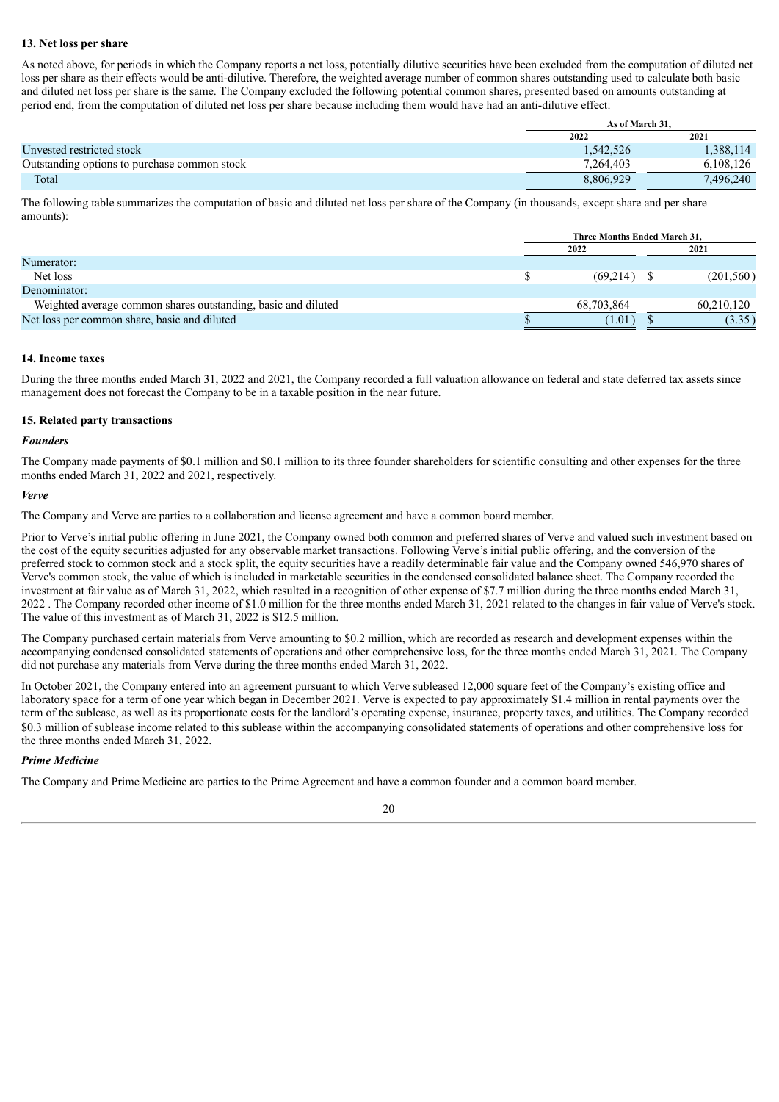## **13. Net loss per share**

As noted above, for periods in which the Company reports a net loss, potentially dilutive securities have been excluded from the computation of diluted net loss per share as their effects would be anti-dilutive. Therefore, the weighted average number of common shares outstanding used to calculate both basic and diluted net loss per share is the same. The Company excluded the following potential common shares, presented based on amounts outstanding at period end, from the computation of diluted net loss per share because including them would have had an anti-dilutive effect:

|                                              | As of March 31. |           |
|----------------------------------------------|-----------------|-----------|
|                                              | 2022            | 2021      |
| Unvested restricted stock                    | 1.542.526       | .388,114  |
| Outstanding options to purchase common stock | 7.264.403       | 6.108.126 |
| Total                                        | 8.806.929       | 7.496.240 |

The following table summarizes the computation of basic and diluted net loss per share of the Company (in thousands, except share and per share amounts):

|                                                               | Three Months Ended March 31. |               |  |            |
|---------------------------------------------------------------|------------------------------|---------------|--|------------|
|                                                               | 2022                         |               |  | 2021       |
| Numerator:                                                    |                              |               |  |            |
| Net loss                                                      |                              | $(69,214)$ \$ |  | (201, 560) |
| Denominator:                                                  |                              |               |  |            |
| Weighted average common shares outstanding, basic and diluted |                              | 68.703.864    |  | 60,210,120 |
| Net loss per common share, basic and diluted                  |                              | (1.01         |  | (3.35)     |

#### **14. Income taxes**

During the three months ended March 31, 2022 and 2021, the Company recorded a full valuation allowance on federal and state deferred tax assets since management does not forecast the Company to be in a taxable position in the near future.

#### **15. Related party transactions**

#### *Founders*

The Company made payments of \$0.1 million and \$0.1 million to its three founder shareholders for scientific consulting and other expenses for the three months ended March 31, 2022 and 2021, respectively.

#### *Verve*

The Company and Verve are parties to a collaboration and license agreement and have a common board member.

Prior to Verve's initial public offering in June 2021, the Company owned both common and preferred shares of Verve and valued such investment based on the cost of the equity securities adjusted for any observable market transactions. Following Verve's initial public offering, and the conversion of the preferred stock to common stock and a stock split, the equity securities have a readily determinable fair value and the Company owned 546,970 shares of Verve's common stock, the value of which is included in marketable securities in the condensed consolidated balance sheet. The Company recorded the investment at fair value as of March 31, 2022, which resulted in a recognition of other expense of \$7.7 million during the three months ended March 31, 2022 . The Company recorded other income of \$1.0 million for the three months ended March 31, 2021 related to the changes in fair value of Verve's stock. The value of this investment as of March 31, 2022 is \$12.5 million.

The Company purchased certain materials from Verve amounting to \$0.2 million, which are recorded as research and development expenses within the accompanying condensed consolidated statements of operations and other comprehensive loss, for the three months ended March 31, 2021. The Company did not purchase any materials from Verve during the three months ended March 31, 2022.

In October 2021, the Company entered into an agreement pursuant to which Verve subleased 12,000 square feet of the Company's existing office and laboratory space for a term of one year which began in December 2021. Verve is expected to pay approximately \$1.4 million in rental payments over the term of the sublease, as well as its proportionate costs for the landlord's operating expense, insurance, property taxes, and utilities. The Company recorded \$0.3 million of sublease income related to this sublease within the accompanying consolidated statements of operations and other comprehensive loss for the three months ended March 31, 2022.

#### *Prime Medicine*

The Company and Prime Medicine are parties to the Prime Agreement and have a common founder and a common board member.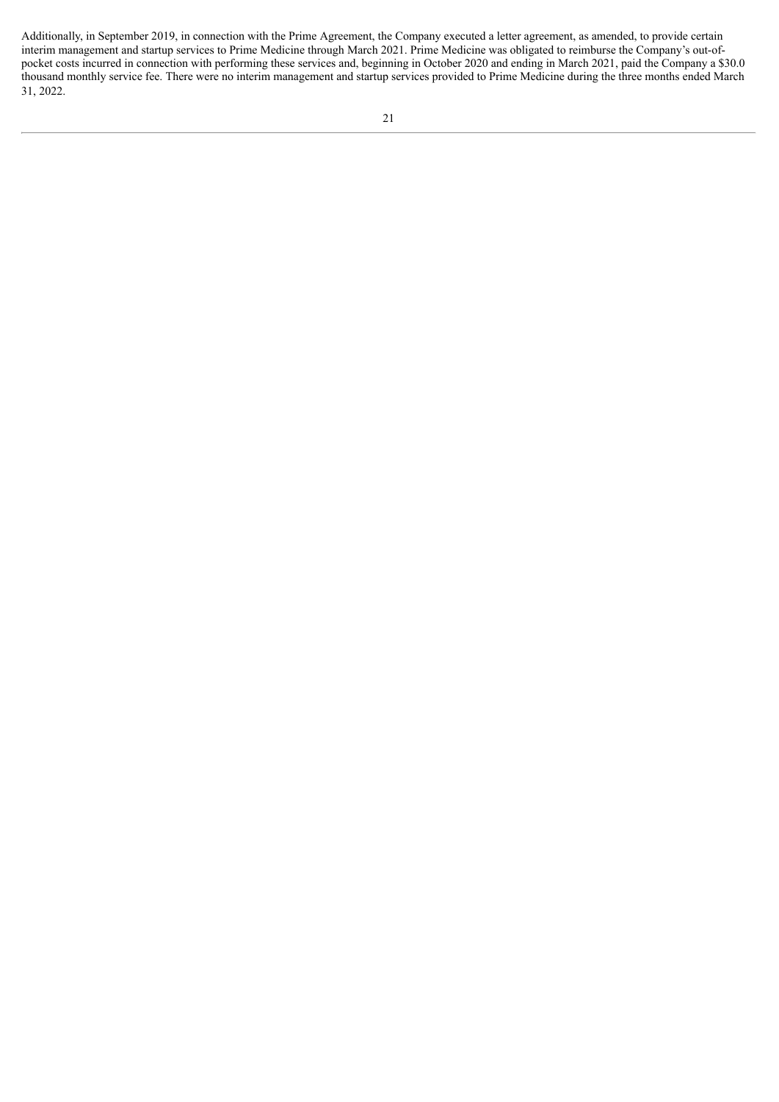Additionally, in September 2019, in connection with the Prime Agreement, the Company executed a letter agreement, as amended, to provide certain interim management and startup services to Prime Medicine through March 2021. Prime Medicine was obligated to reimburse the Company's out-ofpocket costs incurred in connection with performing these services and, beginning in October 2020 and ending in March 2021, paid the Company a \$30.0 thousand monthly service fee. There were no interim management and startup services provided to Prime Medicine during the three months ended March 31, 2022.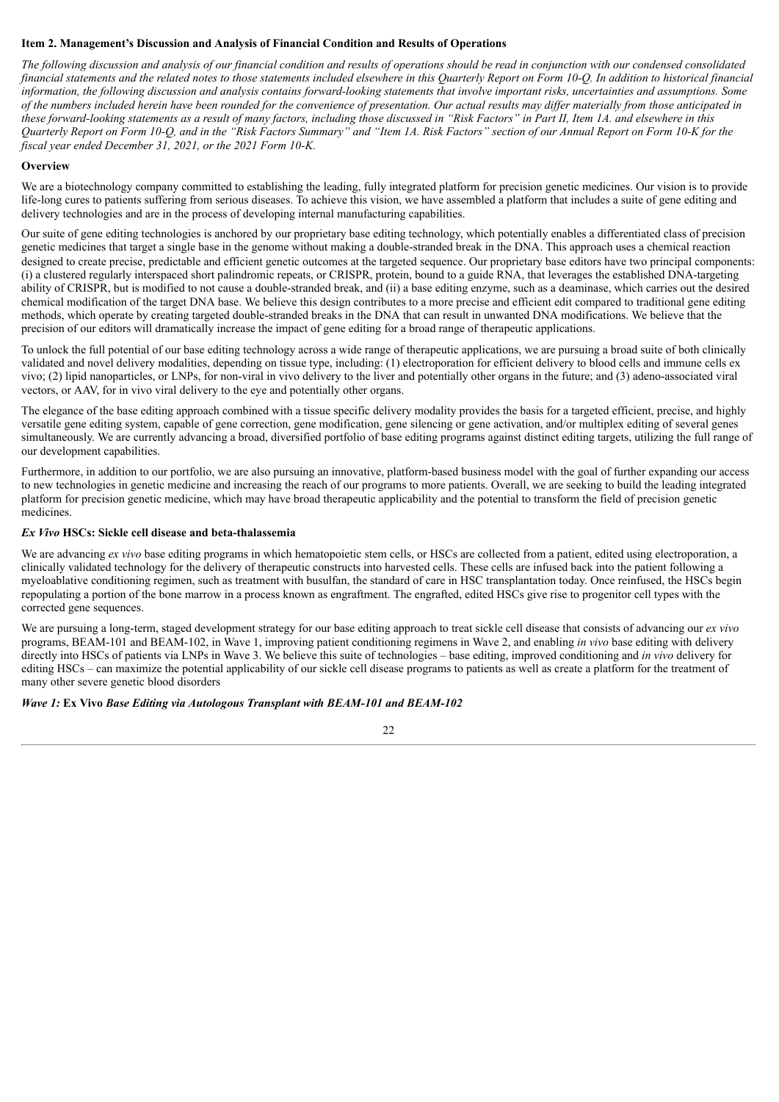## <span id="page-25-0"></span>**Item 2. Management's Discussion and Analysis of Financial Condition and Results of Operations**

The following discussion and analysis of our financial condition and results of operations should be read in conjunction with our condensed consolidated financial statements and the related notes to those statements included elsewhere in this Quarterly Report on Form 10-O. In addition to historical financial information, the following discussion and analysis contains forward-looking statements that involve important risks, uncertainties and assumptions. Some of the numbers included herein have been rounded for the convenience of presentation. Our actual results may differ materially from those anticipated in these forward-looking statements as a result of many factors, including those discussed in "Risk Factors" in Part II, Item 1A, and elsewhere in this Quarterly Report on Form 10-Q, and in the "Risk Factors Summary" and "Item 1A. Risk Factors" section of our Annual Report on Form 10-K for the *fiscal year ended December 31, 2021, or the 2021 Form 10-K.*

### **Overview**

We are a biotechnology company committed to establishing the leading, fully integrated platform for precision genetic medicines. Our vision is to provide life-long cures to patients suffering from serious diseases. To achieve this vision, we have assembled a platform that includes a suite of gene editing and delivery technologies and are in the process of developing internal manufacturing capabilities.

Our suite of gene editing technologies is anchored by our proprietary base editing technology, which potentially enables a differentiated class of precision genetic medicines that target a single base in the genome without making a double-stranded break in the DNA. This approach uses a chemical reaction designed to create precise, predictable and efficient genetic outcomes at the targeted sequence. Our proprietary base editors have two principal components: (i) a clustered regularly interspaced short palindromic repeats, or CRISPR, protein, bound to a guide RNA, that leverages the established DNA-targeting ability of CRISPR, but is modified to not cause a double-stranded break, and (ii) a base editing enzyme, such as a deaminase, which carries out the desired chemical modification of the target DNA base. We believe this design contributes to a more precise and efficient edit compared to traditional gene editing methods, which operate by creating targeted double-stranded breaks in the DNA that can result in unwanted DNA modifications. We believe that the precision of our editors will dramatically increase the impact of gene editing for a broad range of therapeutic applications.

To unlock the full potential of our base editing technology across a wide range of therapeutic applications, we are pursuing a broad suite of both clinically validated and novel delivery modalities, depending on tissue type, including: (1) electroporation for efficient delivery to blood cells and immune cells ex vivo; (2) lipid nanoparticles, or LNPs, for non-viral in vivo delivery to the liver and potentially other organs in the future; and (3) adeno-associated viral vectors, or AAV, for in vivo viral delivery to the eye and potentially other organs.

The elegance of the base editing approach combined with a tissue specific delivery modality provides the basis for a targeted efficient, precise, and highly versatile gene editing system, capable of gene correction, gene modification, gene silencing or gene activation, and/or multiplex editing of several genes simultaneously. We are currently advancing a broad, diversified portfolio of base editing programs against distinct editing targets, utilizing the full range of our development capabilities.

Furthermore, in addition to our portfolio, we are also pursuing an innovative, platform-based business model with the goal of further expanding our access to new technologies in genetic medicine and increasing the reach of our programs to more patients. Overall, we are seeking to build the leading integrated platform for precision genetic medicine, which may have broad therapeutic applicability and the potential to transform the field of precision genetic medicines.

## *Ex Vivo* **HSCs: Sickle cell disease and beta-thalassemia**

We are advancing *ex vivo* base editing programs in which hematopoietic stem cells, or HSCs are collected from a patient, edited using electroporation, a clinically validated technology for the delivery of therapeutic constructs into harvested cells. These cells are infused back into the patient following a myeloablative conditioning regimen, such as treatment with busulfan, the standard of care in HSC transplantation today. Once reinfused, the HSCs begin repopulating a portion of the bone marrow in a process known as engraftment. The engrafted, edited HSCs give rise to progenitor cell types with the corrected gene sequences.

We are pursuing a long-term, staged development strategy for our base editing approach to treat sickle cell disease that consists of advancing our *ex vivo* programs, BEAM-101 and BEAM-102, in Wave 1, improving patient conditioning regimens in Wave 2, and enabling *in vivo* base editing with delivery directly into HSCs of patients via LNPs in Wave 3. We believe this suite of technologies – base editing, improved conditioning and *in vivo* delivery for editing HSCs – can maximize the potential applicability of our sickle cell disease programs to patients as well as create a platform for the treatment of many other severe genetic blood disorders

## *Wave 1:* **Ex Vivo** *Base Editing via Autologous Transplant with BEAM-101 and BEAM-102*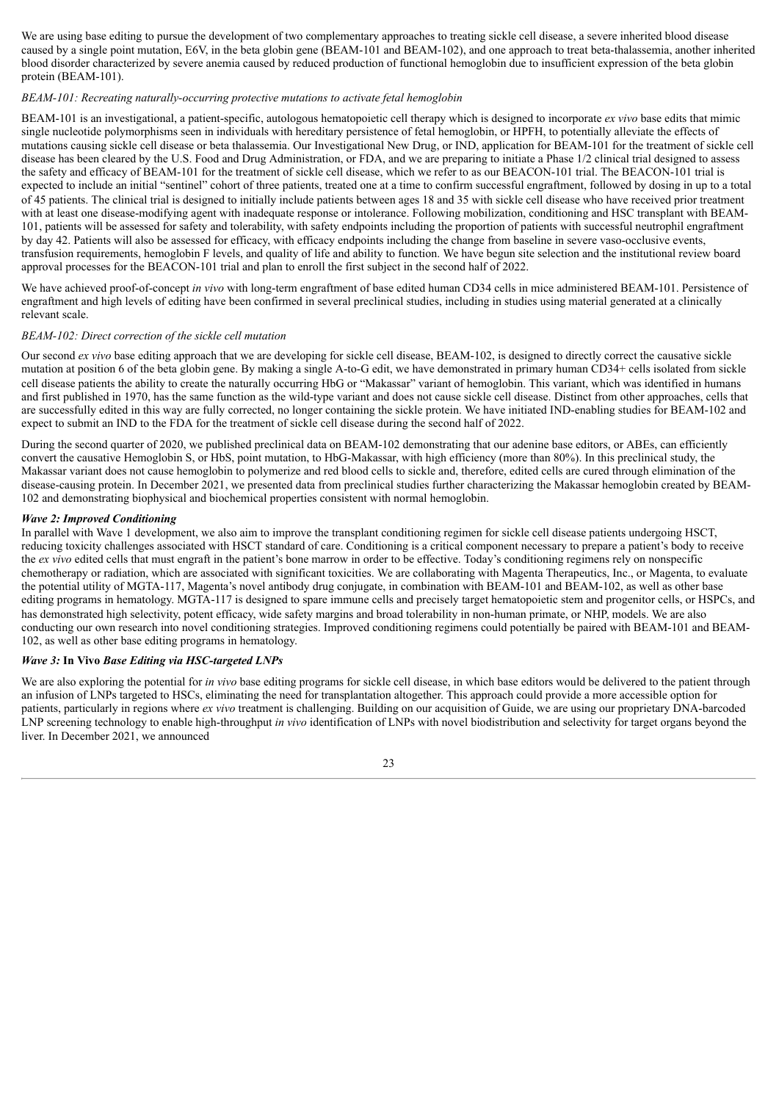We are using base editing to pursue the development of two complementary approaches to treating sickle cell disease, a severe inherited blood disease caused by a single point mutation, E6V, in the beta globin gene (BEAM-101 and BEAM-102), and one approach to treat beta-thalassemia, another inherited blood disorder characterized by severe anemia caused by reduced production of functional hemoglobin due to insufficient expression of the beta globin protein (BEAM-101).

#### *BEAM-101: Recreating naturally-occurring protective mutations to activate fetal hemoglobin*

BEAM-101 is an investigational, a patient-specific, autologous hematopoietic cell therapy which is designed to incorporate *ex vivo* base edits that mimic single nucleotide polymorphisms seen in individuals with hereditary persistence of fetal hemoglobin, or HPFH, to potentially alleviate the effects of mutations causing sickle cell disease or beta thalassemia. Our Investigational New Drug, or IND, application for BEAM-101 for the treatment of sickle cell disease has been cleared by the U.S. Food and Drug Administration, or FDA, and we are preparing to initiate a Phase 1/2 clinical trial designed to assess the safety and efficacy of BEAM-101 for the treatment of sickle cell disease, which we refer to as our BEACON-101 trial. The BEACON-101 trial is expected to include an initial "sentinel" cohort of three patients, treated one at a time to confirm successful engraftment, followed by dosing in up to a total of 45 patients. The clinical trial is designed to initially include patients between ages 18 and 35 with sickle cell disease who have received prior treatment with at least one disease-modifying agent with inadequate response or intolerance. Following mobilization, conditioning and HSC transplant with BEAM-101, patients will be assessed for safety and tolerability, with safety endpoints including the proportion of patients with successful neutrophil engraftment by day 42. Patients will also be assessed for efficacy, with efficacy endpoints including the change from baseline in severe vaso-occlusive events, transfusion requirements, hemoglobin F levels, and quality of life and ability to function. We have begun site selection and the institutional review board approval processes for the BEACON-101 trial and plan to enroll the first subject in the second half of 2022.

We have achieved proof-of-concept *in vivo* with long-term engraftment of base edited human CD34 cells in mice administered BEAM-101. Persistence of engraftment and high levels of editing have been confirmed in several preclinical studies, including in studies using material generated at a clinically relevant scale.

#### *BEAM-102: Direct correction of the sickle cell mutation*

Our second *ex vivo* base editing approach that we are developing for sickle cell disease, BEAM-102, is designed to directly correct the causative sickle mutation at position 6 of the beta globin gene. By making a single A-to-G edit, we have demonstrated in primary human CD34+ cells isolated from sickle cell disease patients the ability to create the naturally occurring HbG or "Makassar" variant of hemoglobin. This variant, which was identified in humans and first published in 1970, has the same function as the wild-type variant and does not cause sickle cell disease. Distinct from other approaches, cells that are successfully edited in this way are fully corrected, no longer containing the sickle protein. We have initiated IND-enabling studies for BEAM-102 and expect to submit an IND to the FDA for the treatment of sickle cell disease during the second half of 2022.

During the second quarter of 2020, we published preclinical data on BEAM-102 demonstrating that our adenine base editors, or ABEs, can efficiently convert the causative Hemoglobin S, or HbS, point mutation, to HbG-Makassar, with high efficiency (more than 80%). In this preclinical study, the Makassar variant does not cause hemoglobin to polymerize and red blood cells to sickle and, therefore, edited cells are cured through elimination of the disease-causing protein. In December 2021, we presented data from preclinical studies further characterizing the Makassar hemoglobin created by BEAM-102 and demonstrating biophysical and biochemical properties consistent with normal hemoglobin.

#### *Wave 2: Improved Conditioning*

In parallel with Wave 1 development, we also aim to improve the transplant conditioning regimen for sickle cell disease patients undergoing HSCT, reducing toxicity challenges associated with HSCT standard of care. Conditioning is a critical component necessary to prepare a patient's body to receive the *ex vivo* edited cells that must engraft in the patient's bone marrow in order to be effective. Today's conditioning regimens rely on nonspecific chemotherapy or radiation, which are associated with significant toxicities. We are collaborating with Magenta Therapeutics, Inc., or Magenta, to evaluate the potential utility of MGTA-117, Magenta's novel antibody drug conjugate, in combination with BEAM-101 and BEAM-102, as well as other base editing programs in hematology. MGTA-117 is designed to spare immune cells and precisely target hematopoietic stem and progenitor cells, or HSPCs, and has demonstrated high selectivity, potent efficacy, wide safety margins and broad tolerability in non-human primate, or NHP, models. We are also conducting our own research into novel conditioning strategies. Improved conditioning regimens could potentially be paired with BEAM-101 and BEAM-102, as well as other base editing programs in hematology.

#### *Wave 3:* **In Vivo** *Base Editing via HSC-targeted LNPs*

We are also exploring the potential for *in vivo* base editing programs for sickle cell disease, in which base editors would be delivered to the patient through an infusion of LNPs targeted to HSCs, eliminating the need for transplantation altogether. This approach could provide a more accessible option for patients, particularly in regions where *ex vivo* treatment is challenging. Building on our acquisition of Guide, we are using our proprietary DNA-barcoded LNP screening technology to enable high-throughput *in vivo* identification of LNPs with novel biodistribution and selectivity for target organs beyond the liver. In December 2021, we announced

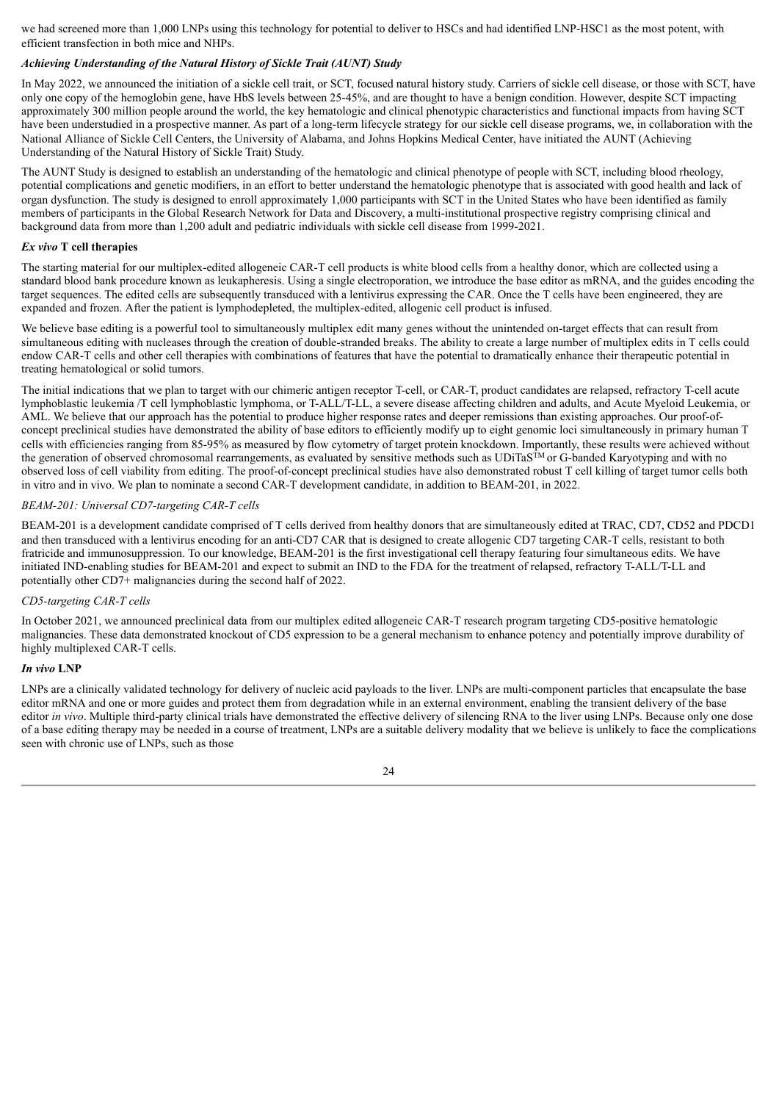we had screened more than 1,000 LNPs using this technology for potential to deliver to HSCs and had identified LNP-HSC1 as the most potent, with efficient transfection in both mice and NHPs.

## *Achieving Understanding of the Natural History of Sickle Trait (AUNT) Study*

In May 2022, we announced the initiation of a sickle cell trait, or SCT, focused natural history study. Carriers of sickle cell disease, or those with SCT, have only one copy of the hemoglobin gene, have HbS levels between 25-45%, and are thought to have a benign condition. However, despite SCT impacting approximately 300 million people around the world, the key hematologic and clinical phenotypic characteristics and functional impacts from having SCT have been understudied in a prospective manner. As part of a long-term lifecycle strategy for our sickle cell disease programs, we, in collaboration with the National Alliance of Sickle Cell Centers, the University of Alabama, and Johns Hopkins Medical Center, have initiated the AUNT (Achieving Understanding of the Natural History of Sickle Trait) Study.

The AUNT Study is designed to establish an understanding of the hematologic and clinical phenotype of people with SCT, including blood rheology, potential complications and genetic modifiers, in an effort to better understand the hematologic phenotype that is associated with good health and lack of organ dysfunction. The study is designed to enroll approximately 1,000 participants with SCT in the United States who have been identified as family members of participants in the Global Research Network for Data and Discovery, a multi-institutional prospective registry comprising clinical and background data from more than 1,200 adult and pediatric individuals with sickle cell disease from 1999-2021.

#### *Ex vivo* **T cell therapies**

The starting material for our multiplex-edited allogeneic CAR-T cell products is white blood cells from a healthy donor, which are collected using a standard blood bank procedure known as leukapheresis. Using a single electroporation, we introduce the base editor as mRNA, and the guides encoding the target sequences. The edited cells are subsequently transduced with a lentivirus expressing the CAR. Once the T cells have been engineered, they are expanded and frozen. After the patient is lymphodepleted, the multiplex-edited, allogenic cell product is infused.

We believe base editing is a powerful tool to simultaneously multiplex edit many genes without the unintended on-target effects that can result from simultaneous editing with nucleases through the creation of double-stranded breaks. The ability to create a large number of multiplex edits in T cells could endow CAR-T cells and other cell therapies with combinations of features that have the potential to dramatically enhance their therapeutic potential in treating hematological or solid tumors.

The initial indications that we plan to target with our chimeric antigen receptor T-cell, or CAR-T, product candidates are relapsed, refractory T-cell acute lymphoblastic leukemia /T cell lymphoblastic lymphoma, or T-ALL/T-LL, a severe disease affecting children and adults, and Acute Myeloid Leukemia, or AML. We believe that our approach has the potential to produce higher response rates and deeper remissions than existing approaches. Our proof-ofconcept preclinical studies have demonstrated the ability of base editors to efficiently modify up to eight genomic loci simultaneously in primary human T cells with efficiencies ranging from 85-95% as measured by flow cytometry of target protein knockdown. Importantly, these results were achieved without the generation of observed chromosomal rearrangements, as evaluated by sensitive methods such as UDiTaS<sup>TM</sup> or G-banded Karyotyping and with no observed loss of cell viability from editing. The proof-of-concept preclinical studies have also demonstrated robust T cell killing of target tumor cells both in vitro and in vivo. We plan to nominate a second CAR-T development candidate, in addition to BEAM-201, in 2022.

## *BEAM-201: Universal CD7-targeting CAR-T cells*

BEAM-201 is a development candidate comprised of T cells derived from healthy donors that are simultaneously edited at TRAC, CD7, CD52 and PDCD1 and then transduced with a lentivirus encoding for an anti-CD7 CAR that is designed to create allogenic CD7 targeting CAR-T cells, resistant to both fratricide and immunosuppression. To our knowledge, BEAM-201 is the first investigational cell therapy featuring four simultaneous edits. We have initiated IND-enabling studies for BEAM-201 and expect to submit an IND to the FDA for the treatment of relapsed, refractory T-ALL/T-LL and potentially other CD7+ malignancies during the second half of 2022.

## *CD5-targeting CAR-T cells*

In October 2021, we announced preclinical data from our multiplex edited allogeneic CAR-T research program targeting CD5-positive hematologic malignancies. These data demonstrated knockout of CD5 expression to be a general mechanism to enhance potency and potentially improve durability of highly multiplexed CAR-T cells.

#### *In vivo* **LNP**

LNPs are a clinically validated technology for delivery of nucleic acid payloads to the liver. LNPs are multi-component particles that encapsulate the base editor mRNA and one or more guides and protect them from degradation while in an external environment, enabling the transient delivery of the base editor *in vivo*. Multiple third-party clinical trials have demonstrated the effective delivery of silencing RNA to the liver using LNPs. Because only one dose of a base editing therapy may be needed in a course of treatment, LNPs are a suitable delivery modality that we believe is unlikely to face the complications seen with chronic use of LNPs, such as those

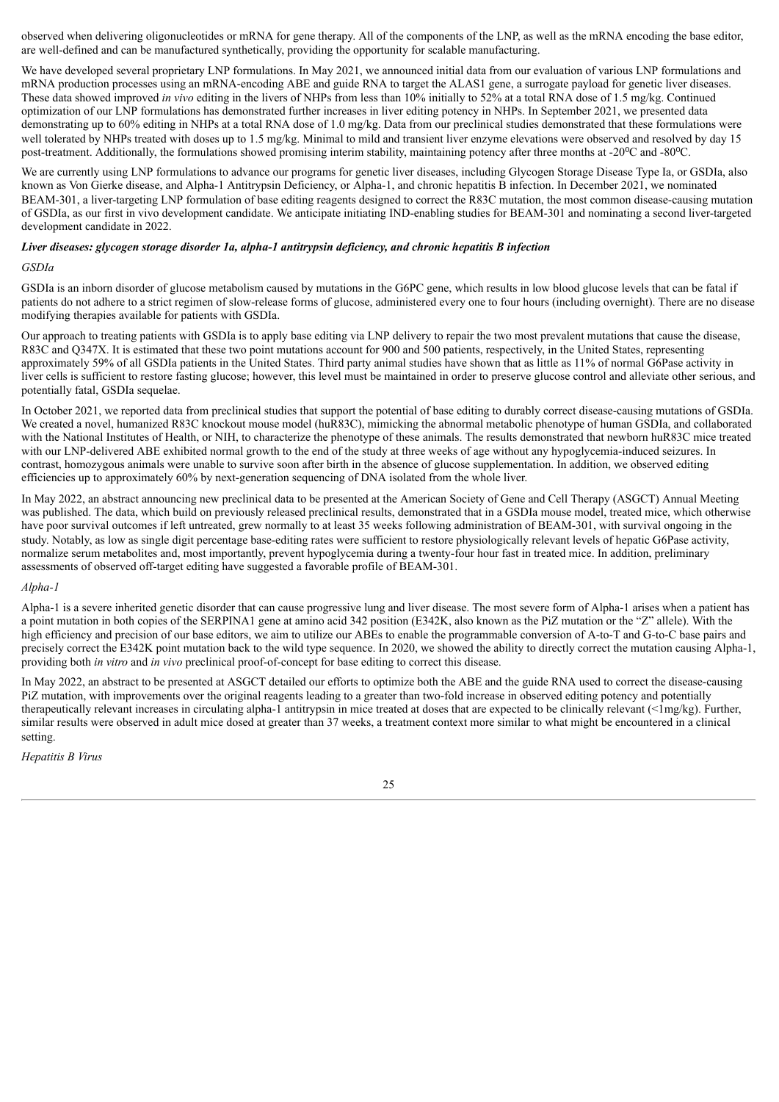observed when delivering oligonucleotides or mRNA for gene therapy. All of the components of the LNP, as well as the mRNA encoding the base editor, are well-defined and can be manufactured synthetically, providing the opportunity for scalable manufacturing.

We have developed several proprietary LNP formulations. In May 2021, we announced initial data from our evaluation of various LNP formulations and mRNA production processes using an mRNA-encoding ABE and guide RNA to target the ALAS1 gene, a surrogate payload for genetic liver diseases. These data showed improved *in vivo* editing in the livers of NHPs from less than 10% initially to 52% at a total RNA dose of 1.5 mg/kg. Continued optimization of our LNP formulations has demonstrated further increases in liver editing potency in NHPs. In September 2021, we presented data demonstrating up to 60% editing in NHPs at a total RNA dose of 1.0 mg/kg. Data from our preclinical studies demonstrated that these formulations were well tolerated by NHPs treated with doses up to 1.5 mg/kg. Minimal to mild and transient liver enzyme elevations were observed and resolved by day 15 post-treatment. Additionally, the formulations showed promising interim stability, maintaining potency after three months at -20<sup>o</sup>C and -80<sup>o</sup>C.

We are currently using LNP formulations to advance our programs for genetic liver diseases, including Glycogen Storage Disease Type Ia, or GSDIa, also known as Von Gierke disease, and Alpha-1 Antitrypsin Deficiency, or Alpha-1, and chronic hepatitis B infection. In December 2021, we nominated BEAM-301, a liver-targeting LNP formulation of base editing reagents designed to correct the R83C mutation, the most common disease-causing mutation of GSDIa, as our first in vivo development candidate. We anticipate initiating IND-enabling studies for BEAM-301 and nominating a second liver-targeted development candidate in 2022.

#### *Liver diseases: glycogen storage disorder 1a, alpha-1 antitrypsin deficiency, and chronic hepatitis B infection*

#### *GSDIa*

GSDIa is an inborn disorder of glucose metabolism caused by mutations in the G6PC gene, which results in low blood glucose levels that can be fatal if patients do not adhere to a strict regimen of slow-release forms of glucose, administered every one to four hours (including overnight). There are no disease modifying therapies available for patients with GSDIa.

Our approach to treating patients with GSDIa is to apply base editing via LNP delivery to repair the two most prevalent mutations that cause the disease, R83C and Q347X. It is estimated that these two point mutations account for 900 and 500 patients, respectively, in the United States, representing approximately 59% of all GSDIa patients in the United States. Third party animal studies have shown that as little as 11% of normal G6Pase activity in liver cells is sufficient to restore fasting glucose; however, this level must be maintained in order to preserve glucose control and alleviate other serious, and potentially fatal, GSDIa sequelae.

In October 2021, we reported data from preclinical studies that support the potential of base editing to durably correct disease-causing mutations of GSDIa. We created a novel, humanized R83C knockout mouse model (huR83C), mimicking the abnormal metabolic phenotype of human GSDIa, and collaborated with the National Institutes of Health, or NIH, to characterize the phenotype of these animals. The results demonstrated that newborn huR83C mice treated with our LNP-delivered ABE exhibited normal growth to the end of the study at three weeks of age without any hypoglycemia-induced seizures. In contrast, homozygous animals were unable to survive soon after birth in the absence of glucose supplementation. In addition, we observed editing efficiencies up to approximately 60% by next-generation sequencing of DNA isolated from the whole liver.

In May 2022, an abstract announcing new preclinical data to be presented at the American Society of Gene and Cell Therapy (ASGCT) Annual Meeting was published. The data, which build on previously released preclinical results, demonstrated that in a GSDIa mouse model, treated mice, which otherwise have poor survival outcomes if left untreated, grew normally to at least 35 weeks following administration of BEAM-301, with survival ongoing in the study. Notably, as low as single digit percentage base-editing rates were sufficient to restore physiologically relevant levels of hepatic G6Pase activity, normalize serum metabolites and, most importantly, prevent hypoglycemia during a twenty-four hour fast in treated mice. In addition, preliminary assessments of observed off-target editing have suggested a favorable profile of BEAM-301.

#### *Alpha-1*

Alpha-1 is a severe inherited genetic disorder that can cause progressive lung and liver disease. The most severe form of Alpha-1 arises when a patient has a point mutation in both copies of the SERPINA1 gene at amino acid 342 position (E342K, also known as the PiZ mutation or the "Z" allele). With the high efficiency and precision of our base editors, we aim to utilize our ABEs to enable the programmable conversion of A-to-T and G-to-C base pairs and precisely correct the E342K point mutation back to the wild type sequence. In 2020, we showed the ability to directly correct the mutation causing Alpha-1, providing both *in vitro* and *in vivo* preclinical proof-of-concept for base editing to correct this disease.

In May 2022, an abstract to be presented at ASGCT detailed our efforts to optimize both the ABE and the guide RNA used to correct the disease-causing PiZ mutation, with improvements over the original reagents leading to a greater than two-fold increase in observed editing potency and potentially therapeutically relevant increases in circulating alpha-1 antitrypsin in mice treated at doses that are expected to be clinically relevant (<1mg/kg). Further, similar results were observed in adult mice dosed at greater than 37 weeks, a treatment context more similar to what might be encountered in a clinical setting.

*Hepatitis B Virus*

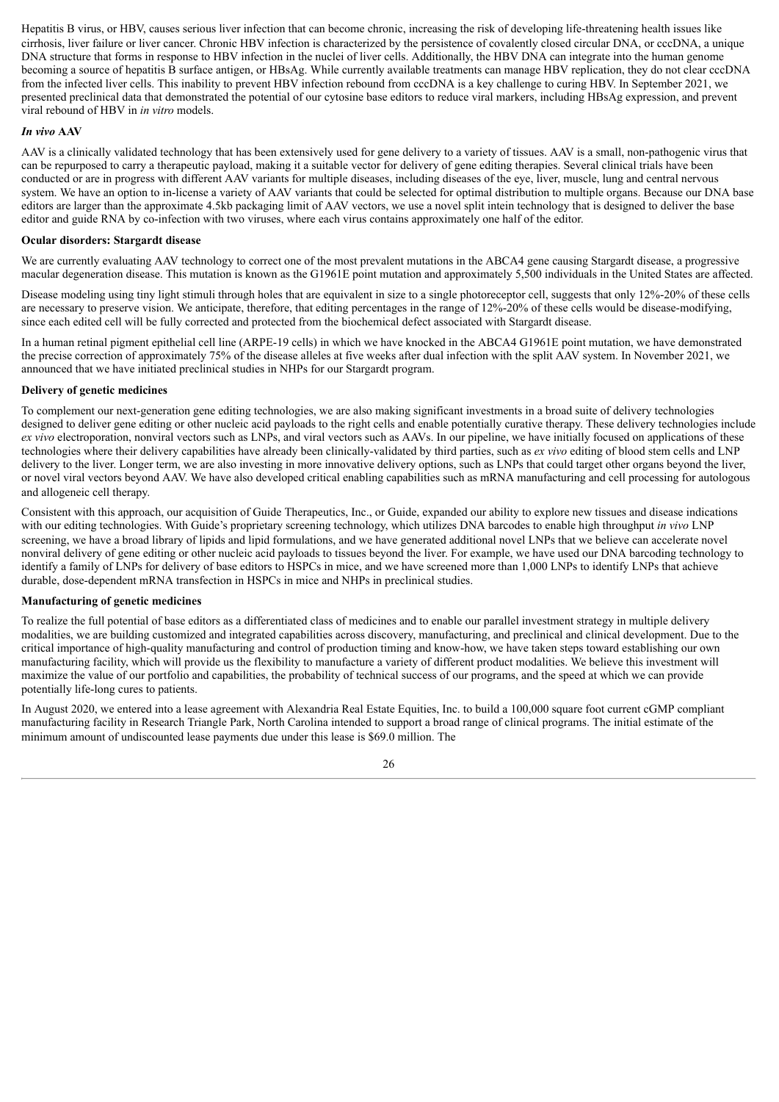Hepatitis B virus, or HBV, causes serious liver infection that can become chronic, increasing the risk of developing life-threatening health issues like cirrhosis, liver failure or liver cancer. Chronic HBV infection is characterized by the persistence of covalently closed circular DNA, or cccDNA, a unique DNA structure that forms in response to HBV infection in the nuclei of liver cells. Additionally, the HBV DNA can integrate into the human genome becoming a source of hepatitis B surface antigen, or HBsAg. While currently available treatments can manage HBV replication, they do not clear cccDNA from the infected liver cells. This inability to prevent HBV infection rebound from cccDNA is a key challenge to curing HBV. In September 2021, we presented preclinical data that demonstrated the potential of our cytosine base editors to reduce viral markers, including HBsAg expression, and prevent viral rebound of HBV in *in vitro* models.

## *In vivo* **AAV**

AAV is a clinically validated technology that has been extensively used for gene delivery to a variety of tissues. AAV is a small, non-pathogenic virus that can be repurposed to carry a therapeutic payload, making it a suitable vector for delivery of gene editing therapies. Several clinical trials have been conducted or are in progress with different AAV variants for multiple diseases, including diseases of the eye, liver, muscle, lung and central nervous system. We have an option to in-license a variety of AAV variants that could be selected for optimal distribution to multiple organs. Because our DNA base editors are larger than the approximate 4.5kb packaging limit of AAV vectors, we use a novel split intein technology that is designed to deliver the base editor and guide RNA by co-infection with two viruses, where each virus contains approximately one half of the editor.

### **Ocular disorders: Stargardt disease**

We are currently evaluating AAV technology to correct one of the most prevalent mutations in the ABCA4 gene causing Stargardt disease, a progressive macular degeneration disease. This mutation is known as the G1961E point mutation and approximately 5,500 individuals in the United States are affected.

Disease modeling using tiny light stimuli through holes that are equivalent in size to a single photoreceptor cell, suggests that only 12%-20% of these cells are necessary to preserve vision. We anticipate, therefore, that editing percentages in the range of 12%-20% of these cells would be disease-modifying, since each edited cell will be fully corrected and protected from the biochemical defect associated with Stargardt disease.

In a human retinal pigment epithelial cell line (ARPE-19 cells) in which we have knocked in the ABCA4 G1961E point mutation, we have demonstrated the precise correction of approximately 75% of the disease alleles at five weeks after dual infection with the split AAV system. In November 2021, we announced that we have initiated preclinical studies in NHPs for our Stargardt program.

## **Delivery of genetic medicines**

To complement our next-generation gene editing technologies, we are also making significant investments in a broad suite of delivery technologies designed to deliver gene editing or other nucleic acid payloads to the right cells and enable potentially curative therapy. These delivery technologies include *ex vivo* electroporation, nonviral vectors such as LNPs, and viral vectors such as AAVs. In our pipeline, we have initially focused on applications of these technologies where their delivery capabilities have already been clinically-validated by third parties, such as *ex vivo* editing of blood stem cells and LNP delivery to the liver. Longer term, we are also investing in more innovative delivery options, such as LNPs that could target other organs beyond the liver, or novel viral vectors beyond AAV. We have also developed critical enabling capabilities such as mRNA manufacturing and cell processing for autologous and allogeneic cell therapy.

Consistent with this approach, our acquisition of Guide Therapeutics, Inc., or Guide, expanded our ability to explore new tissues and disease indications with our editing technologies. With Guide's proprietary screening technology, which utilizes DNA barcodes to enable high throughput *in vivo* LNP screening, we have a broad library of lipids and lipid formulations, and we have generated additional novel LNPs that we believe can accelerate novel nonviral delivery of gene editing or other nucleic acid payloads to tissues beyond the liver. For example, we have used our DNA barcoding technology to identify a family of LNPs for delivery of base editors to HSPCs in mice, and we have screened more than 1,000 LNPs to identify LNPs that achieve durable, dose-dependent mRNA transfection in HSPCs in mice and NHPs in preclinical studies.

## **Manufacturing of genetic medicines**

To realize the full potential of base editors as a differentiated class of medicines and to enable our parallel investment strategy in multiple delivery modalities, we are building customized and integrated capabilities across discovery, manufacturing, and preclinical and clinical development. Due to the critical importance of high-quality manufacturing and control of production timing and know-how, we have taken steps toward establishing our own manufacturing facility, which will provide us the flexibility to manufacture a variety of different product modalities. We believe this investment will maximize the value of our portfolio and capabilities, the probability of technical success of our programs, and the speed at which we can provide potentially life-long cures to patients.

In August 2020, we entered into a lease agreement with Alexandria Real Estate Equities, Inc. to build a 100,000 square foot current cGMP compliant manufacturing facility in Research Triangle Park, North Carolina intended to support a broad range of clinical programs. The initial estimate of the minimum amount of undiscounted lease payments due under this lease is \$69.0 million. The

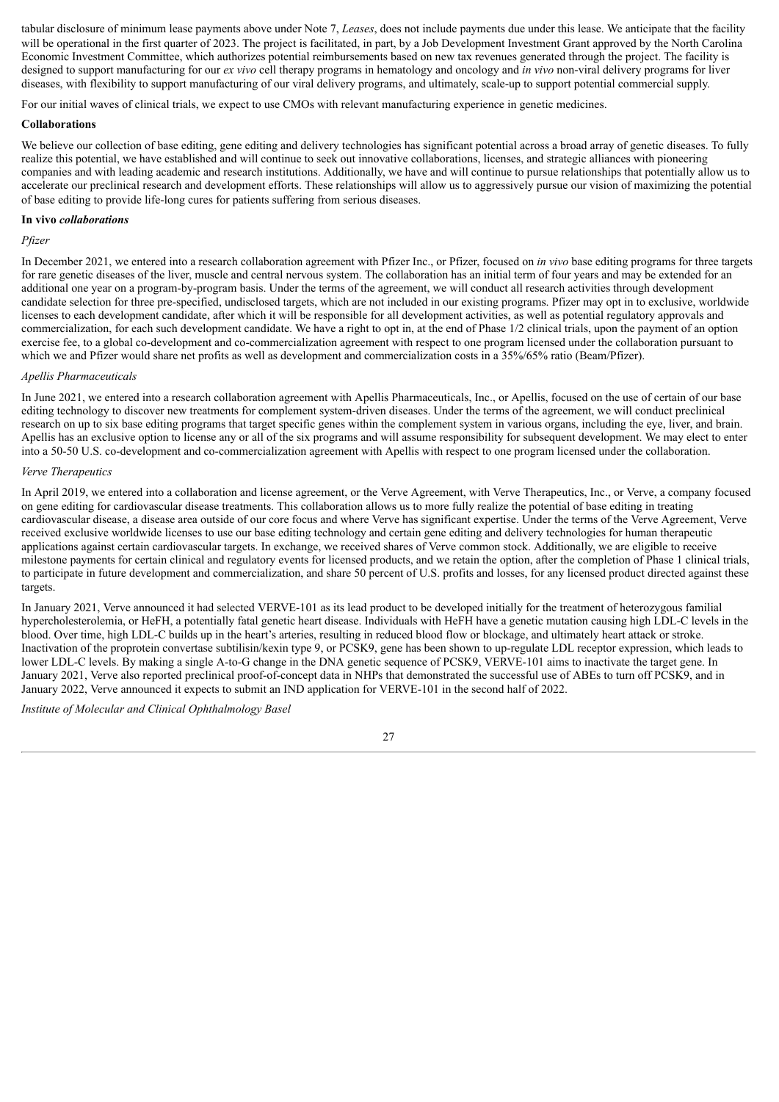tabular disclosure of minimum lease payments above under Note 7, *Leases*, does not include payments due under this lease. We anticipate that the facility will be operational in the first quarter of 2023. The project is facilitated, in part, by a Job Development Investment Grant approved by the North Carolina Economic Investment Committee, which authorizes potential reimbursements based on new tax revenues generated through the project. The facility is designed to support manufacturing for our *ex vivo* cell therapy programs in hematology and oncology and *in vivo* non-viral delivery programs for liver diseases, with flexibility to support manufacturing of our viral delivery programs, and ultimately, scale-up to support potential commercial supply.

For our initial waves of clinical trials, we expect to use CMOs with relevant manufacturing experience in genetic medicines.

#### **Collaborations**

We believe our collection of base editing, gene editing and delivery technologies has significant potential across a broad array of genetic diseases. To fully realize this potential, we have established and will continue to seek out innovative collaborations, licenses, and strategic alliances with pioneering companies and with leading academic and research institutions. Additionally, we have and will continue to pursue relationships that potentially allow us to accelerate our preclinical research and development efforts. These relationships will allow us to aggressively pursue our vision of maximizing the potential of base editing to provide life-long cures for patients suffering from serious diseases.

## **In vivo** *collaborations*

#### *Pfizer*

In December 2021, we entered into a research collaboration agreement with Pfizer Inc., or Pfizer, focused on *in vivo* base editing programs for three targets for rare genetic diseases of the liver, muscle and central nervous system. The collaboration has an initial term of four years and may be extended for an additional one year on a program-by-program basis. Under the terms of the agreement, we will conduct all research activities through development candidate selection for three pre-specified, undisclosed targets, which are not included in our existing programs. Pfizer may opt in to exclusive, worldwide licenses to each development candidate, after which it will be responsible for all development activities, as well as potential regulatory approvals and commercialization, for each such development candidate. We have a right to opt in, at the end of Phase 1/2 clinical trials, upon the payment of an option exercise fee, to a global co-development and co-commercialization agreement with respect to one program licensed under the collaboration pursuant to which we and Pfizer would share net profits as well as development and commercialization costs in a 35%/65% ratio (Beam/Pfizer).

#### *Apellis Pharmaceuticals*

In June 2021, we entered into a research collaboration agreement with Apellis Pharmaceuticals, Inc., or Apellis, focused on the use of certain of our base editing technology to discover new treatments for complement system-driven diseases. Under the terms of the agreement, we will conduct preclinical research on up to six base editing programs that target specific genes within the complement system in various organs, including the eye, liver, and brain. Apellis has an exclusive option to license any or all of the six programs and will assume responsibility for subsequent development. We may elect to enter into a 50-50 U.S. co-development and co-commercialization agreement with Apellis with respect to one program licensed under the collaboration.

#### *Verve Therapeutics*

In April 2019, we entered into a collaboration and license agreement, or the Verve Agreement, with Verve Therapeutics, Inc., or Verve, a company focused on gene editing for cardiovascular disease treatments. This collaboration allows us to more fully realize the potential of base editing in treating cardiovascular disease, a disease area outside of our core focus and where Verve has significant expertise. Under the terms of the Verve Agreement, Verve received exclusive worldwide licenses to use our base editing technology and certain gene editing and delivery technologies for human therapeutic applications against certain cardiovascular targets. In exchange, we received shares of Verve common stock. Additionally, we are eligible to receive milestone payments for certain clinical and regulatory events for licensed products, and we retain the option, after the completion of Phase 1 clinical trials, to participate in future development and commercialization, and share 50 percent of U.S. profits and losses, for any licensed product directed against these targets.

In January 2021, Verve announced it had selected VERVE-101 as its lead product to be developed initially for the treatment of heterozygous familial hypercholesterolemia, or HeFH, a potentially fatal genetic heart disease. Individuals with HeFH have a genetic mutation causing high LDL-C levels in the blood. Over time, high LDL-C builds up in the heart's arteries, resulting in reduced blood flow or blockage, and ultimately heart attack or stroke. Inactivation of the proprotein convertase subtilisin/kexin type 9, or PCSK9, gene has been shown to up-regulate LDL receptor expression, which leads to lower LDL-C levels. By making a single A-to-G change in the DNA genetic sequence of PCSK9, VERVE-101 aims to inactivate the target gene. In January 2021, Verve also reported preclinical proof-of-concept data in NHPs that demonstrated the successful use of ABEs to turn off PCSK9, and in January 2022, Verve announced it expects to submit an IND application for VERVE-101 in the second half of 2022.

*Institute of Molecular and Clinical Ophthalmology Basel*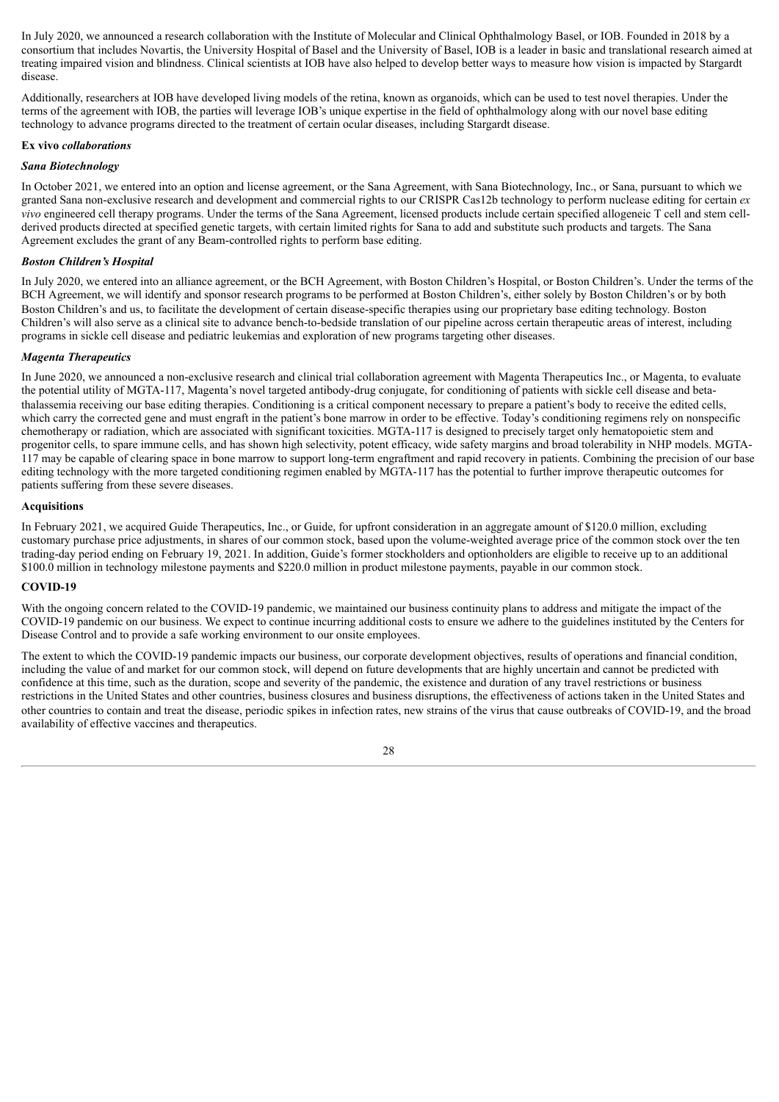In July 2020, we announced a research collaboration with the Institute of Molecular and Clinical Ophthalmology Basel, or IOB. Founded in 2018 by a consortium that includes Novartis, the University Hospital of Basel and the University of Basel, IOB is a leader in basic and translational research aimed at treating impaired vision and blindness. Clinical scientists at IOB have also helped to develop better ways to measure how vision is impacted by Stargardt disease.

Additionally, researchers at IOB have developed living models of the retina, known as organoids, which can be used to test novel therapies. Under the terms of the agreement with IOB, the parties will leverage IOB's unique expertise in the field of ophthalmology along with our novel base editing technology to advance programs directed to the treatment of certain ocular diseases, including Stargardt disease.

### **Ex vivo** *collaborations*

### *Sana Biotechnology*

In October 2021, we entered into an option and license agreement, or the Sana Agreement, with Sana Biotechnology, Inc., or Sana, pursuant to which we granted Sana non-exclusive research and development and commercial rights to our CRISPR Cas12b technology to perform nuclease editing for certain *ex vivo* engineered cell therapy programs. Under the terms of the Sana Agreement, licensed products include certain specified allogeneic T cell and stem cellderived products directed at specified genetic targets, with certain limited rights for Sana to add and substitute such products and targets. The Sana Agreement excludes the grant of any Beam-controlled rights to perform base editing.

### *Boston Children's Hospital*

In July 2020, we entered into an alliance agreement, or the BCH Agreement, with Boston Children's Hospital, or Boston Children's. Under the terms of the BCH Agreement, we will identify and sponsor research programs to be performed at Boston Children's, either solely by Boston Children's or by both Boston Children's and us, to facilitate the development of certain disease-specific therapies using our proprietary base editing technology. Boston Children's will also serve as a clinical site to advance bench-to-bedside translation of our pipeline across certain therapeutic areas of interest, including programs in sickle cell disease and pediatric leukemias and exploration of new programs targeting other diseases.

#### *Magenta Therapeutics*

In June 2020, we announced a non-exclusive research and clinical trial collaboration agreement with Magenta Therapeutics Inc., or Magenta, to evaluate the potential utility of MGTA-117, Magenta's novel targeted antibody-drug conjugate, for conditioning of patients with sickle cell disease and betathalassemia receiving our base editing therapies. Conditioning is a critical component necessary to prepare a patient's body to receive the edited cells, which carry the corrected gene and must engraft in the patient's bone marrow in order to be effective. Today's conditioning regimens rely on nonspecific chemotherapy or radiation, which are associated with significant toxicities. MGTA-117 is designed to precisely target only hematopoietic stem and progenitor cells, to spare immune cells, and has shown high selectivity, potent efficacy, wide safety margins and broad tolerability in NHP models. MGTA-117 may be capable of clearing space in bone marrow to support long-term engraftment and rapid recovery in patients. Combining the precision of our base editing technology with the more targeted conditioning regimen enabled by MGTA-117 has the potential to further improve therapeutic outcomes for patients suffering from these severe diseases.

## **Acquisitions**

In February 2021, we acquired Guide Therapeutics, Inc., or Guide, for upfront consideration in an aggregate amount of \$120.0 million, excluding customary purchase price adjustments, in shares of our common stock, based upon the volume-weighted average price of the common stock over the ten trading-day period ending on February 19, 2021. In addition, Guide's former stockholders and optionholders are eligible to receive up to an additional \$100.0 million in technology milestone payments and \$220.0 million in product milestone payments, payable in our common stock.

#### **COVID-19**

With the ongoing concern related to the COVID-19 pandemic, we maintained our business continuity plans to address and mitigate the impact of the COVID-19 pandemic on our business. We expect to continue incurring additional costs to ensure we adhere to the guidelines instituted by the Centers for Disease Control and to provide a safe working environment to our onsite employees.

The extent to which the COVID-19 pandemic impacts our business, our corporate development objectives, results of operations and financial condition, including the value of and market for our common stock, will depend on future developments that are highly uncertain and cannot be predicted with confidence at this time, such as the duration, scope and severity of the pandemic, the existence and duration of any travel restrictions or business restrictions in the United States and other countries, business closures and business disruptions, the effectiveness of actions taken in the United States and other countries to contain and treat the disease, periodic spikes in infection rates, new strains of the virus that cause outbreaks of COVID-19, and the broad availability of effective vaccines and therapeutics.

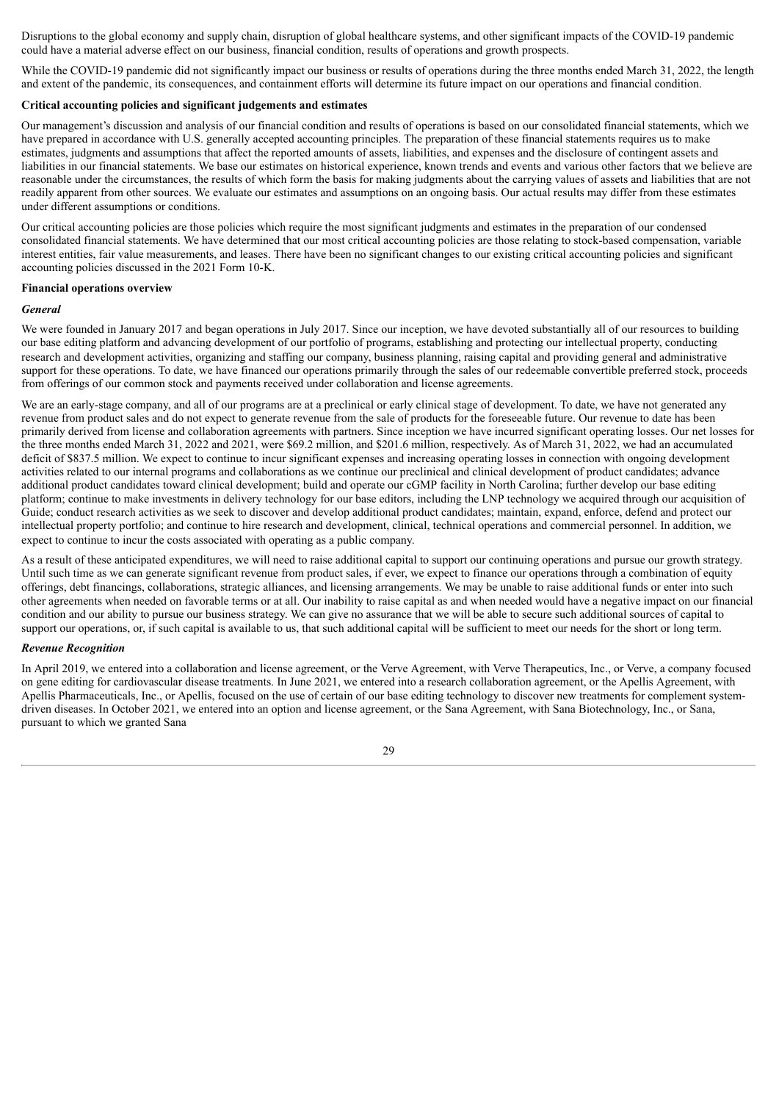Disruptions to the global economy and supply chain, disruption of global healthcare systems, and other significant impacts of the COVID-19 pandemic could have a material adverse effect on our business, financial condition, results of operations and growth prospects.

While the COVID-19 pandemic did not significantly impact our business or results of operations during the three months ended March 31, 2022, the length and extent of the pandemic, its consequences, and containment efforts will determine its future impact on our operations and financial condition.

#### **Critical accounting policies and significant judgements and estimates**

Our management's discussion and analysis of our financial condition and results of operations is based on our consolidated financial statements, which we have prepared in accordance with U.S. generally accepted accounting principles. The preparation of these financial statements requires us to make estimates, judgments and assumptions that affect the reported amounts of assets, liabilities, and expenses and the disclosure of contingent assets and liabilities in our financial statements. We base our estimates on historical experience, known trends and events and various other factors that we believe are reasonable under the circumstances, the results of which form the basis for making judgments about the carrying values of assets and liabilities that are not readily apparent from other sources. We evaluate our estimates and assumptions on an ongoing basis. Our actual results may differ from these estimates under different assumptions or conditions.

Our critical accounting policies are those policies which require the most significant judgments and estimates in the preparation of our condensed consolidated financial statements. We have determined that our most critical accounting policies are those relating to stock-based compensation, variable interest entities, fair value measurements, and leases. There have been no significant changes to our existing critical accounting policies and significant accounting policies discussed in the 2021 Form 10-K.

#### **Financial operations overview**

#### *General*

We were founded in January 2017 and began operations in July 2017. Since our inception, we have devoted substantially all of our resources to building our base editing platform and advancing development of our portfolio of programs, establishing and protecting our intellectual property, conducting research and development activities, organizing and staffing our company, business planning, raising capital and providing general and administrative support for these operations. To date, we have financed our operations primarily through the sales of our redeemable convertible preferred stock, proceeds from offerings of our common stock and payments received under collaboration and license agreements.

We are an early-stage company, and all of our programs are at a preclinical or early clinical stage of development. To date, we have not generated any revenue from product sales and do not expect to generate revenue from the sale of products for the foreseeable future. Our revenue to date has been primarily derived from license and collaboration agreements with partners. Since inception we have incurred significant operating losses. Our net losses for the three months ended March 31, 2022 and 2021, were \$69.2 million, and \$201.6 million, respectively. As of March 31, 2022, we had an accumulated deficit of \$837.5 million. We expect to continue to incur significant expenses and increasing operating losses in connection with ongoing development activities related to our internal programs and collaborations as we continue our preclinical and clinical development of product candidates; advance additional product candidates toward clinical development; build and operate our cGMP facility in North Carolina; further develop our base editing platform; continue to make investments in delivery technology for our base editors, including the LNP technology we acquired through our acquisition of Guide; conduct research activities as we seek to discover and develop additional product candidates; maintain, expand, enforce, defend and protect our intellectual property portfolio; and continue to hire research and development, clinical, technical operations and commercial personnel. In addition, we expect to continue to incur the costs associated with operating as a public company.

As a result of these anticipated expenditures, we will need to raise additional capital to support our continuing operations and pursue our growth strategy. Until such time as we can generate significant revenue from product sales, if ever, we expect to finance our operations through a combination of equity offerings, debt financings, collaborations, strategic alliances, and licensing arrangements. We may be unable to raise additional funds or enter into such other agreements when needed on favorable terms or at all. Our inability to raise capital as and when needed would have a negative impact on our financial condition and our ability to pursue our business strategy. We can give no assurance that we will be able to secure such additional sources of capital to support our operations, or, if such capital is available to us, that such additional capital will be sufficient to meet our needs for the short or long term.

## *Revenue Recognition*

In April 2019, we entered into a collaboration and license agreement, or the Verve Agreement, with Verve Therapeutics, Inc., or Verve, a company focused on gene editing for cardiovascular disease treatments. In June 2021, we entered into a research collaboration agreement, or the Apellis Agreement, with Apellis Pharmaceuticals, Inc., or Apellis, focused on the use of certain of our base editing technology to discover new treatments for complement systemdriven diseases. In October 2021, we entered into an option and license agreement, or the Sana Agreement, with Sana Biotechnology, Inc., or Sana, pursuant to which we granted Sana

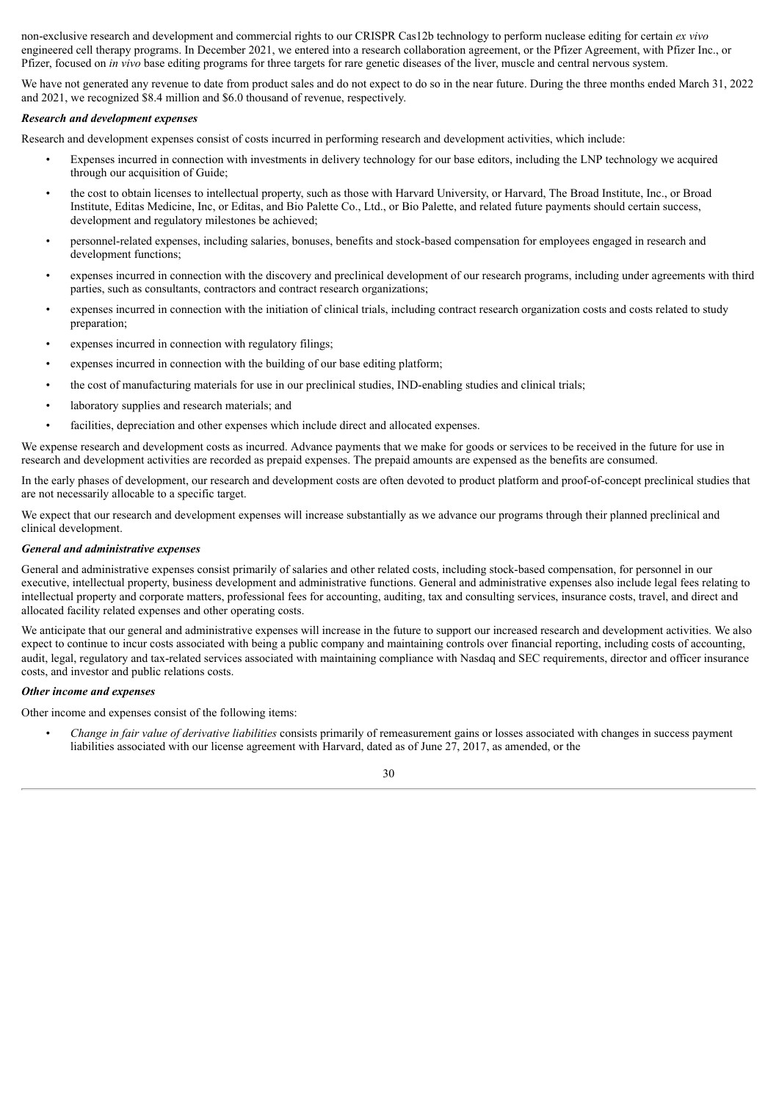non-exclusive research and development and commercial rights to our CRISPR Cas12b technology to perform nuclease editing for certain *ex vivo* engineered cell therapy programs. In December 2021, we entered into a research collaboration agreement, or the Pfizer Agreement, with Pfizer Inc., or Pfizer, focused on *in vivo* base editing programs for three targets for rare genetic diseases of the liver, muscle and central nervous system.

We have not generated any revenue to date from product sales and do not expect to do so in the near future. During the three months ended March 31, 2022 and 2021, we recognized \$8.4 million and \$6.0 thousand of revenue, respectively.

#### *Research and development expenses*

Research and development expenses consist of costs incurred in performing research and development activities, which include:

- Expenses incurred in connection with investments in delivery technology for our base editors, including the LNP technology we acquired through our acquisition of Guide;
- the cost to obtain licenses to intellectual property, such as those with Harvard University, or Harvard, The Broad Institute, Inc., or Broad Institute, Editas Medicine, Inc, or Editas, and Bio Palette Co., Ltd., or Bio Palette, and related future payments should certain success, development and regulatory milestones be achieved;
- personnel-related expenses, including salaries, bonuses, benefits and stock-based compensation for employees engaged in research and development functions;
- expenses incurred in connection with the discovery and preclinical development of our research programs, including under agreements with third parties, such as consultants, contractors and contract research organizations;
- expenses incurred in connection with the initiation of clinical trials, including contract research organization costs and costs related to study preparation;
- expenses incurred in connection with regulatory filings;
- expenses incurred in connection with the building of our base editing platform;
- the cost of manufacturing materials for use in our preclinical studies, IND-enabling studies and clinical trials;
- laboratory supplies and research materials; and
- facilities, depreciation and other expenses which include direct and allocated expenses.

We expense research and development costs as incurred. Advance payments that we make for goods or services to be received in the future for use in research and development activities are recorded as prepaid expenses. The prepaid amounts are expensed as the benefits are consumed.

In the early phases of development, our research and development costs are often devoted to product platform and proof-of-concept preclinical studies that are not necessarily allocable to a specific target.

We expect that our research and development expenses will increase substantially as we advance our programs through their planned preclinical and clinical development.

#### *General and administrative expenses*

General and administrative expenses consist primarily of salaries and other related costs, including stock-based compensation, for personnel in our executive, intellectual property, business development and administrative functions. General and administrative expenses also include legal fees relating to intellectual property and corporate matters, professional fees for accounting, auditing, tax and consulting services, insurance costs, travel, and direct and allocated facility related expenses and other operating costs.

We anticipate that our general and administrative expenses will increase in the future to support our increased research and development activities. We also expect to continue to incur costs associated with being a public company and maintaining controls over financial reporting, including costs of accounting, audit, legal, regulatory and tax-related services associated with maintaining compliance with Nasdaq and SEC requirements, director and officer insurance costs, and investor and public relations costs.

#### *Other income and expenses*

Other income and expenses consist of the following items:

• *Change in fair value of derivative liabilities* consists primarily of remeasurement gains or losses associated with changes in success payment liabilities associated with our license agreement with Harvard, dated as of June 27, 2017, as amended, or the

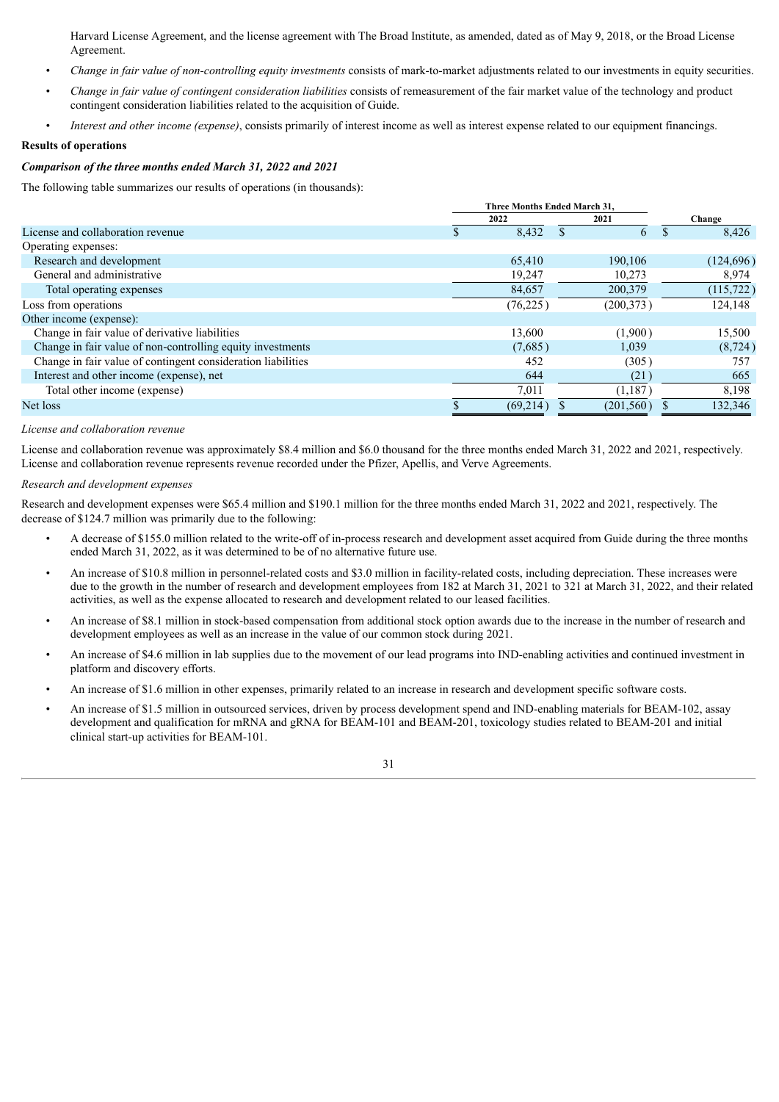Harvard License Agreement, and the license agreement with The Broad Institute, as amended, dated as of May 9, 2018, or the Broad License Agreement.

- *Change in fair value of non-controlling equity investments* consists of mark-to-market adjustments related to our investments in equity securities.
- *Change in fair value of contingent consideration liabilities* consists of remeasurement of the fair market value of the technology and product contingent consideration liabilities related to the acquisition of Guide.
- *Interest and other income (expense)*, consists primarily of interest income as well as interest expense related to our equipment financings.

### **Results of operations**

## *Comparison of the three months ended March 31, 2022 and 2021*

The following table summarizes our results of operations (in thousands):

|                                                              | Three Months Ended March 31, |            |  |            |
|--------------------------------------------------------------|------------------------------|------------|--|------------|
|                                                              | 2022                         | 2021       |  | Change     |
| License and collaboration revenue                            | 8,432                        | 6          |  | 8,426      |
| Operating expenses:                                          |                              |            |  |            |
| Research and development                                     | 65,410                       | 190,106    |  | (124, 696) |
| General and administrative                                   | 19,247                       | 10,273     |  | 8,974      |
| Total operating expenses                                     | 84,657                       | 200,379    |  | (115, 722) |
| Loss from operations                                         | (76, 225)                    | (200, 373) |  | 124,148    |
| Other income (expense):                                      |                              |            |  |            |
| Change in fair value of derivative liabilities               | 13,600                       | (1,900)    |  | 15,500     |
| Change in fair value of non-controlling equity investments   | (7,685)                      | 1,039      |  | (8, 724)   |
| Change in fair value of contingent consideration liabilities | 452                          | (305)      |  | 757        |
| Interest and other income (expense), net                     | 644                          | (21)       |  | 665        |
| Total other income (expense)                                 | 7,011                        | (1,187)    |  | 8,198      |
| Net loss                                                     | (69,214)                     | (201, 560) |  | 132,346    |
|                                                              |                              |            |  |            |

#### *License and collaboration revenue*

License and collaboration revenue was approximately \$8.4 million and \$6.0 thousand for the three months ended March 31, 2022 and 2021, respectively. License and collaboration revenue represents revenue recorded under the Pfizer, Apellis, and Verve Agreements.

#### *Research and development expenses*

Research and development expenses were \$65.4 million and \$190.1 million for the three months ended March 31, 2022 and 2021, respectively. The decrease of \$124.7 million was primarily due to the following:

- A decrease of \$155.0 million related to the write-off of in-process research and development asset acquired from Guide during the three months ended March 31, 2022, as it was determined to be of no alternative future use.
- An increase of \$10.8 million in personnel-related costs and \$3.0 million in facility-related costs, including depreciation. These increases were due to the growth in the number of research and development employees from 182 at March 31, 2021 to 321 at March 31, 2022, and their related activities, as well as the expense allocated to research and development related to our leased facilities.
- An increase of \$8.1 million in stock-based compensation from additional stock option awards due to the increase in the number of research and development employees as well as an increase in the value of our common stock during 2021.
- An increase of \$4.6 million in lab supplies due to the movement of our lead programs into IND-enabling activities and continued investment in platform and discovery efforts.
- An increase of \$1.6 million in other expenses, primarily related to an increase in research and development specific software costs.
- An increase of \$1.5 million in outsourced services, driven by process development spend and IND-enabling materials for BEAM-102, assay development and qualification for mRNA and gRNA for BEAM-101 and BEAM-201, toxicology studies related to BEAM-201 and initial clinical start-up activities for BEAM-101.

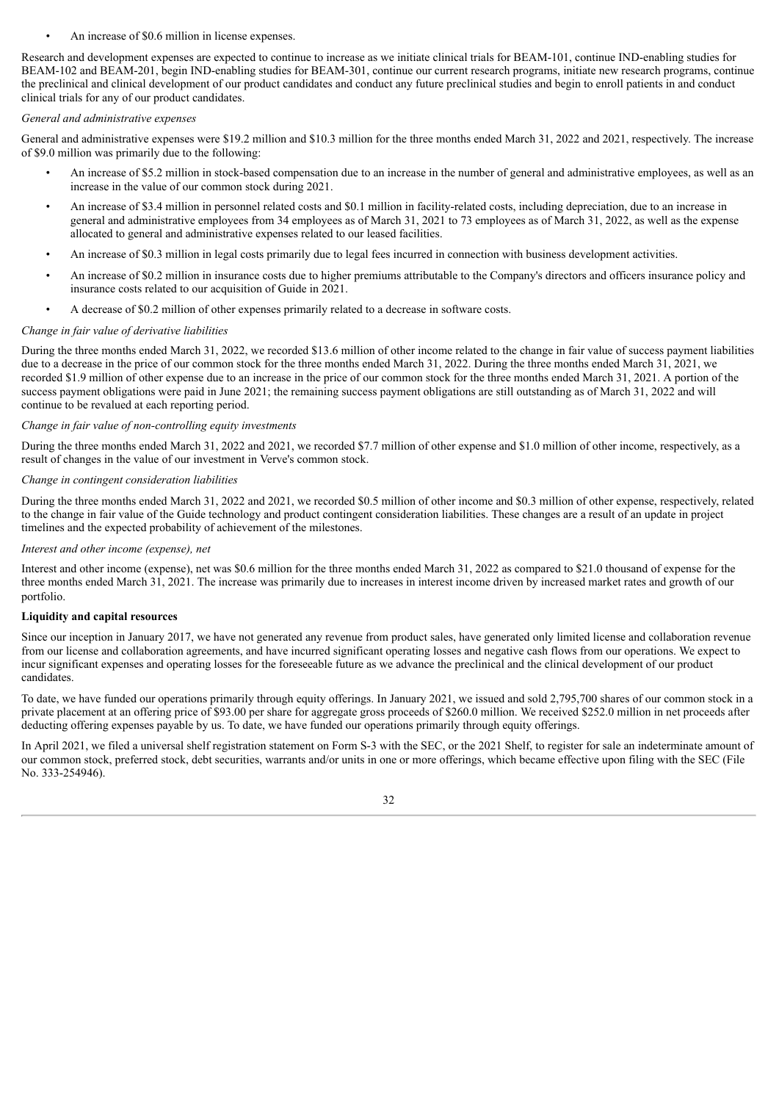An increase of \$0.6 million in license expenses.

Research and development expenses are expected to continue to increase as we initiate clinical trials for BEAM-101, continue IND-enabling studies for BEAM-102 and BEAM-201, begin IND-enabling studies for BEAM-301, continue our current research programs, initiate new research programs, continue the preclinical and clinical development of our product candidates and conduct any future preclinical studies and begin to enroll patients in and conduct clinical trials for any of our product candidates.

### *General and administrative expenses*

General and administrative expenses were \$19.2 million and \$10.3 million for the three months ended March 31, 2022 and 2021, respectively. The increase of \$9.0 million was primarily due to the following:

- An increase of \$5.2 million in stock-based compensation due to an increase in the number of general and administrative employees, as well as an increase in the value of our common stock during 2021.
- An increase of \$3.4 million in personnel related costs and \$0.1 million in facility-related costs, including depreciation, due to an increase in general and administrative employees from 34 employees as of March 31, 2021 to 73 employees as of March 31, 2022, as well as the expense allocated to general and administrative expenses related to our leased facilities.
- An increase of \$0.3 million in legal costs primarily due to legal fees incurred in connection with business development activities.
- An increase of \$0.2 million in insurance costs due to higher premiums attributable to the Company's directors and officers insurance policy and insurance costs related to our acquisition of Guide in 2021.
- A decrease of \$0.2 million of other expenses primarily related to a decrease in software costs.

#### *Change in fair value of derivative liabilities*

During the three months ended March 31, 2022, we recorded \$13.6 million of other income related to the change in fair value of success payment liabilities due to a decrease in the price of our common stock for the three months ended March 31, 2022. During the three months ended March 31, 2021, we recorded \$1.9 million of other expense due to an increase in the price of our common stock for the three months ended March 31, 2021. A portion of the success payment obligations were paid in June 2021; the remaining success payment obligations are still outstanding as of March 31, 2022 and will continue to be revalued at each reporting period.

#### *Change in fair value of non-controlling equity investments*

During the three months ended March 31, 2022 and 2021, we recorded \$7.7 million of other expense and \$1.0 million of other income, respectively, as a result of changes in the value of our investment in Verve's common stock.

#### *Change in contingent consideration liabilities*

During the three months ended March 31, 2022 and 2021, we recorded \$0.5 million of other income and \$0.3 million of other expense, respectively, related to the change in fair value of the Guide technology and product contingent consideration liabilities. These changes are a result of an update in project timelines and the expected probability of achievement of the milestones.

#### *Interest and other income (expense), net*

Interest and other income (expense), net was \$0.6 million for the three months ended March 31, 2022 as compared to \$21.0 thousand of expense for the three months ended March 31, 2021. The increase was primarily due to increases in interest income driven by increased market rates and growth of our portfolio.

#### **Liquidity and capital resources**

Since our inception in January 2017, we have not generated any revenue from product sales, have generated only limited license and collaboration revenue from our license and collaboration agreements, and have incurred significant operating losses and negative cash flows from our operations. We expect to incur significant expenses and operating losses for the foreseeable future as we advance the preclinical and the clinical development of our product candidates.

To date, we have funded our operations primarily through equity offerings. In January 2021, we issued and sold 2,795,700 shares of our common stock in a private placement at an offering price of \$93.00 per share for aggregate gross proceeds of \$260.0 million. We received \$252.0 million in net proceeds after deducting offering expenses payable by us. To date, we have funded our operations primarily through equity offerings.

In April 2021, we filed a universal shelf registration statement on Form S-3 with the SEC, or the 2021 Shelf, to register for sale an indeterminate amount of our common stock, preferred stock, debt securities, warrants and/or units in one or more offerings, which became effective upon filing with the SEC (File No. 333-254946).

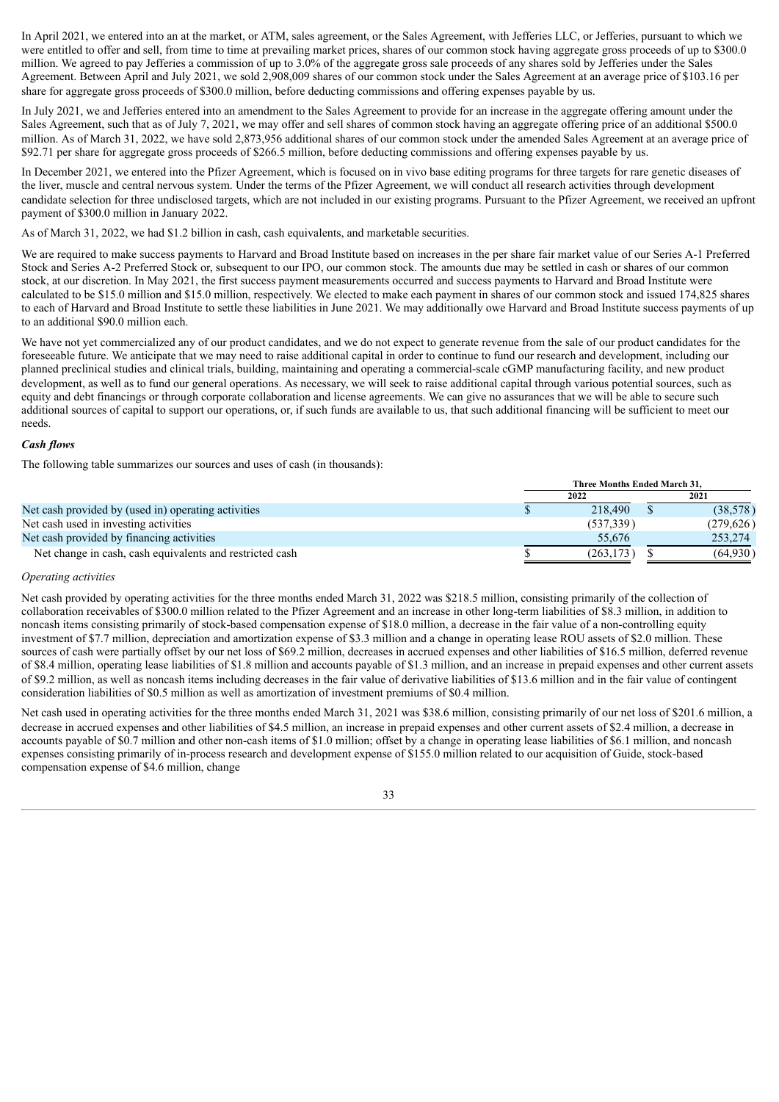In April 2021, we entered into an at the market, or ATM, sales agreement, or the Sales Agreement, with Jefferies LLC, or Jefferies, pursuant to which we were entitled to offer and sell, from time to time at prevailing market prices, shares of our common stock having aggregate gross proceeds of up to \$300.0 million. We agreed to pay Jefferies a commission of up to 3.0% of the aggregate gross sale proceeds of any shares sold by Jefferies under the Sales Agreement. Between April and July 2021, we sold 2,908,009 shares of our common stock under the Sales Agreement at an average price of \$103.16 per share for aggregate gross proceeds of \$300.0 million, before deducting commissions and offering expenses payable by us.

In July 2021, we and Jefferies entered into an amendment to the Sales Agreement to provide for an increase in the aggregate offering amount under the Sales Agreement, such that as of July 7, 2021, we may offer and sell shares of common stock having an aggregate offering price of an additional \$500.0 million. As of March 31, 2022, we have sold 2,873,956 additional shares of our common stock under the amended Sales Agreement at an average price of \$92.71 per share for aggregate gross proceeds of \$266.5 million, before deducting commissions and offering expenses payable by us.

In December 2021, we entered into the Pfizer Agreement, which is focused on in vivo base editing programs for three targets for rare genetic diseases of the liver, muscle and central nervous system. Under the terms of the Pfizer Agreement, we will conduct all research activities through development candidate selection for three undisclosed targets, which are not included in our existing programs. Pursuant to the Pfizer Agreement, we received an upfront payment of \$300.0 million in January 2022.

As of March 31, 2022, we had \$1.2 billion in cash, cash equivalents, and marketable securities.

We are required to make success payments to Harvard and Broad Institute based on increases in the per share fair market value of our Series A-1 Preferred Stock and Series A-2 Preferred Stock or, subsequent to our IPO, our common stock. The amounts due may be settled in cash or shares of our common stock, at our discretion. In May 2021, the first success payment measurements occurred and success payments to Harvard and Broad Institute were calculated to be \$15.0 million and \$15.0 million, respectively. We elected to make each payment in shares of our common stock and issued 174,825 shares to each of Harvard and Broad Institute to settle these liabilities in June 2021. We may additionally owe Harvard and Broad Institute success payments of up to an additional \$90.0 million each.

We have not yet commercialized any of our product candidates, and we do not expect to generate revenue from the sale of our product candidates for the foreseeable future. We anticipate that we may need to raise additional capital in order to continue to fund our research and development, including our planned preclinical studies and clinical trials, building, maintaining and operating a commercial-scale cGMP manufacturing facility, and new product development, as well as to fund our general operations. As necessary, we will seek to raise additional capital through various potential sources, such as equity and debt financings or through corporate collaboration and license agreements. We can give no assurances that we will be able to secure such additional sources of capital to support our operations, or, if such funds are available to us, that such additional financing will be sufficient to meet our needs.

## *Cash flows*

The following table summarizes our sources and uses of cash (in thousands):

|                                                          | Three Months Ended March 31. |  |           |  |  |
|----------------------------------------------------------|------------------------------|--|-----------|--|--|
|                                                          | 2022                         |  | 2021      |  |  |
| Net cash provided by (used in) operating activities      | 218,490                      |  | (38, 578) |  |  |
| Net cash used in investing activities                    | (537, 339)                   |  | (279,626) |  |  |
| Net cash provided by financing activities                | 55.676                       |  | 253,274   |  |  |
| Net change in cash, cash equivalents and restricted cash | (263, 173)                   |  | (64,930)  |  |  |

#### *Operating activities*

Net cash provided by operating activities for the three months ended March 31, 2022 was \$218.5 million, consisting primarily of the collection of collaboration receivables of \$300.0 million related to the Pfizer Agreement and an increase in other long-term liabilities of \$8.3 million, in addition to noncash items consisting primarily of stock-based compensation expense of \$18.0 million, a decrease in the fair value of a non-controlling equity investment of \$7.7 million, depreciation and amortization expense of \$3.3 million and a change in operating lease ROU assets of \$2.0 million. These sources of cash were partially offset by our net loss of \$69.2 million, decreases in accrued expenses and other liabilities of \$16.5 million, deferred revenue of \$8.4 million, operating lease liabilities of \$1.8 million and accounts payable of \$1.3 million, and an increase in prepaid expenses and other current assets of \$9.2 million, as well as noncash items including decreases in the fair value of derivative liabilities of \$13.6 million and in the fair value of contingent consideration liabilities of \$0.5 million as well as amortization of investment premiums of \$0.4 million.

Net cash used in operating activities for the three months ended March 31, 2021 was \$38.6 million, consisting primarily of our net loss of \$201.6 million, a decrease in accrued expenses and other liabilities of \$4.5 million, an increase in prepaid expenses and other current assets of \$2.4 million, a decrease in accounts payable of \$0.7 million and other non-cash items of \$1.0 million; offset by a change in operating lease liabilities of \$6.1 million, and noncash expenses consisting primarily of in-process research and development expense of \$155.0 million related to our acquisition of Guide, stock-based compensation expense of \$4.6 million, change

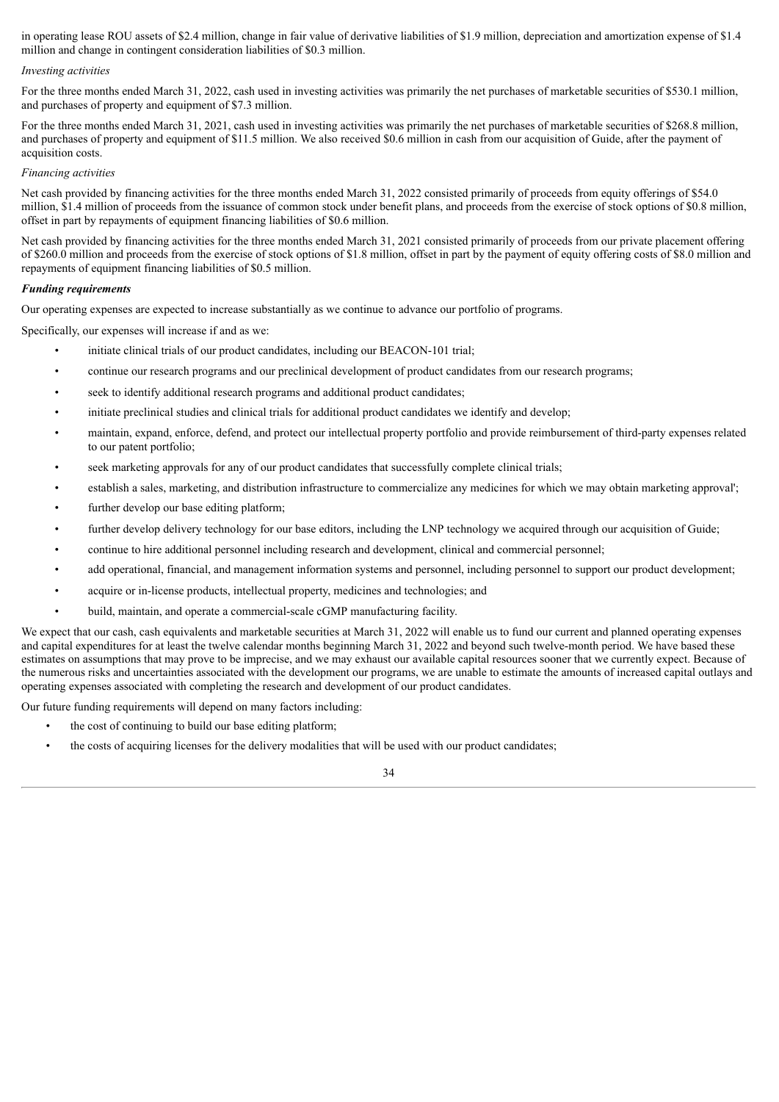in operating lease ROU assets of \$2.4 million, change in fair value of derivative liabilities of \$1.9 million, depreciation and amortization expense of \$1.4 million and change in contingent consideration liabilities of \$0.3 million.

### *Investing activities*

For the three months ended March 31, 2022, cash used in investing activities was primarily the net purchases of marketable securities of \$530.1 million, and purchases of property and equipment of \$7.3 million.

For the three months ended March 31, 2021, cash used in investing activities was primarily the net purchases of marketable securities of \$268.8 million, and purchases of property and equipment of \$11.5 million. We also received \$0.6 million in cash from our acquisition of Guide, after the payment of acquisition costs.

#### *Financing activities*

Net cash provided by financing activities for the three months ended March 31, 2022 consisted primarily of proceeds from equity offerings of \$54.0 million, \$1.4 million of proceeds from the issuance of common stock under benefit plans, and proceeds from the exercise of stock options of \$0.8 million, offset in part by repayments of equipment financing liabilities of \$0.6 million.

Net cash provided by financing activities for the three months ended March 31, 2021 consisted primarily of proceeds from our private placement offering of \$260.0 million and proceeds from the exercise of stock options of \$1.8 million, offset in part by the payment of equity offering costs of \$8.0 million and repayments of equipment financing liabilities of \$0.5 million.

#### *Funding requirements*

Our operating expenses are expected to increase substantially as we continue to advance our portfolio of programs.

Specifically, our expenses will increase if and as we:

- initiate clinical trials of our product candidates, including our BEACON-101 trial;
- continue our research programs and our preclinical development of product candidates from our research programs;
- seek to identify additional research programs and additional product candidates;
- initiate preclinical studies and clinical trials for additional product candidates we identify and develop;
- maintain, expand, enforce, defend, and protect our intellectual property portfolio and provide reimbursement of third-party expenses related to our patent portfolio;
- seek marketing approvals for any of our product candidates that successfully complete clinical trials;
- establish a sales, marketing, and distribution infrastructure to commercialize any medicines for which we may obtain marketing approval';
- further develop our base editing platform;
- further develop delivery technology for our base editors, including the LNP technology we acquired through our acquisition of Guide;
- continue to hire additional personnel including research and development, clinical and commercial personnel;
- add operational, financial, and management information systems and personnel, including personnel to support our product development;
- acquire or in-license products, intellectual property, medicines and technologies; and
- build, maintain, and operate a commercial-scale cGMP manufacturing facility.

We expect that our cash, cash equivalents and marketable securities at March 31, 2022 will enable us to fund our current and planned operating expenses and capital expenditures for at least the twelve calendar months beginning March 31, 2022 and beyond such twelve-month period. We have based these estimates on assumptions that may prove to be imprecise, and we may exhaust our available capital resources sooner that we currently expect. Because of the numerous risks and uncertainties associated with the development our programs, we are unable to estimate the amounts of increased capital outlays and operating expenses associated with completing the research and development of our product candidates.

Our future funding requirements will depend on many factors including:

- the cost of continuing to build our base editing platform;
- the costs of acquiring licenses for the delivery modalities that will be used with our product candidates;

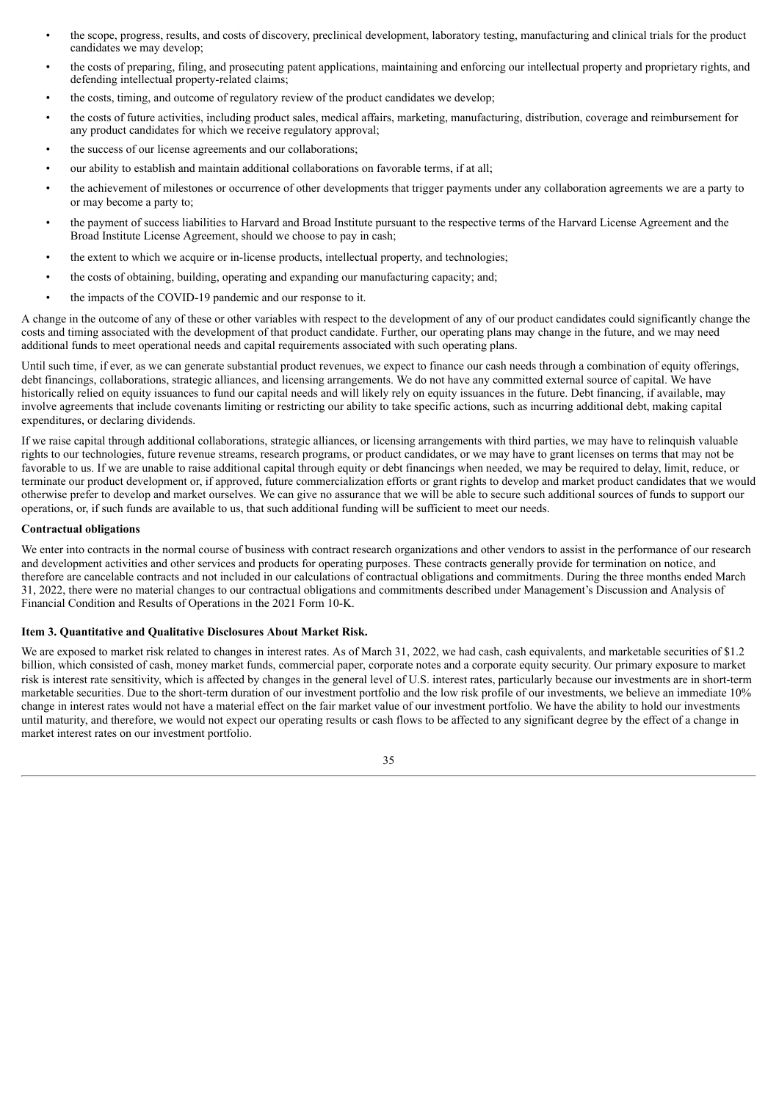- the scope, progress, results, and costs of discovery, preclinical development, laboratory testing, manufacturing and clinical trials for the product candidates we may develop;
- the costs of preparing, filing, and prosecuting patent applications, maintaining and enforcing our intellectual property and proprietary rights, and defending intellectual property-related claims;
- the costs, timing, and outcome of regulatory review of the product candidates we develop;
- the costs of future activities, including product sales, medical affairs, marketing, manufacturing, distribution, coverage and reimbursement for any product candidates for which we receive regulatory approval;
- the success of our license agreements and our collaborations;
- our ability to establish and maintain additional collaborations on favorable terms, if at all;
- the achievement of milestones or occurrence of other developments that trigger payments under any collaboration agreements we are a party to or may become a party to;
- the payment of success liabilities to Harvard and Broad Institute pursuant to the respective terms of the Harvard License Agreement and the Broad Institute License Agreement, should we choose to pay in cash;
- the extent to which we acquire or in-license products, intellectual property, and technologies;
- the costs of obtaining, building, operating and expanding our manufacturing capacity; and;
- the impacts of the COVID-19 pandemic and our response to it.

A change in the outcome of any of these or other variables with respect to the development of any of our product candidates could significantly change the costs and timing associated with the development of that product candidate. Further, our operating plans may change in the future, and we may need additional funds to meet operational needs and capital requirements associated with such operating plans.

Until such time, if ever, as we can generate substantial product revenues, we expect to finance our cash needs through a combination of equity offerings, debt financings, collaborations, strategic alliances, and licensing arrangements. We do not have any committed external source of capital. We have historically relied on equity issuances to fund our capital needs and will likely rely on equity issuances in the future. Debt financing, if available, may involve agreements that include covenants limiting or restricting our ability to take specific actions, such as incurring additional debt, making capital expenditures, or declaring dividends.

If we raise capital through additional collaborations, strategic alliances, or licensing arrangements with third parties, we may have to relinquish valuable rights to our technologies, future revenue streams, research programs, or product candidates, or we may have to grant licenses on terms that may not be favorable to us. If we are unable to raise additional capital through equity or debt financings when needed, we may be required to delay, limit, reduce, or terminate our product development or, if approved, future commercialization efforts or grant rights to develop and market product candidates that we would otherwise prefer to develop and market ourselves. We can give no assurance that we will be able to secure such additional sources of funds to support our operations, or, if such funds are available to us, that such additional funding will be sufficient to meet our needs.

#### **Contractual obligations**

We enter into contracts in the normal course of business with contract research organizations and other vendors to assist in the performance of our research and development activities and other services and products for operating purposes. These contracts generally provide for termination on notice, and therefore are cancelable contracts and not included in our calculations of contractual obligations and commitments. During the three months ended March 31, 2022, there were no material changes to our contractual obligations and commitments described under Management's Discussion and Analysis of Financial Condition and Results of Operations in the 2021 Form 10-K.

#### <span id="page-38-0"></span>**Item 3. Quantitative and Qualitative Disclosures About Market Risk.**

We are exposed to market risk related to changes in interest rates. As of March 31, 2022, we had cash, cash equivalents, and marketable securities of \$1.2 billion, which consisted of cash, money market funds, commercial paper, corporate notes and a corporate equity security. Our primary exposure to market risk is interest rate sensitivity, which is affected by changes in the general level of U.S. interest rates, particularly because our investments are in short-term marketable securities. Due to the short-term duration of our investment portfolio and the low risk profile of our investments, we believe an immediate 10% change in interest rates would not have a material effect on the fair market value of our investment portfolio. We have the ability to hold our investments until maturity, and therefore, we would not expect our operating results or cash flows to be affected to any significant degree by the effect of a change in market interest rates on our investment portfolio.

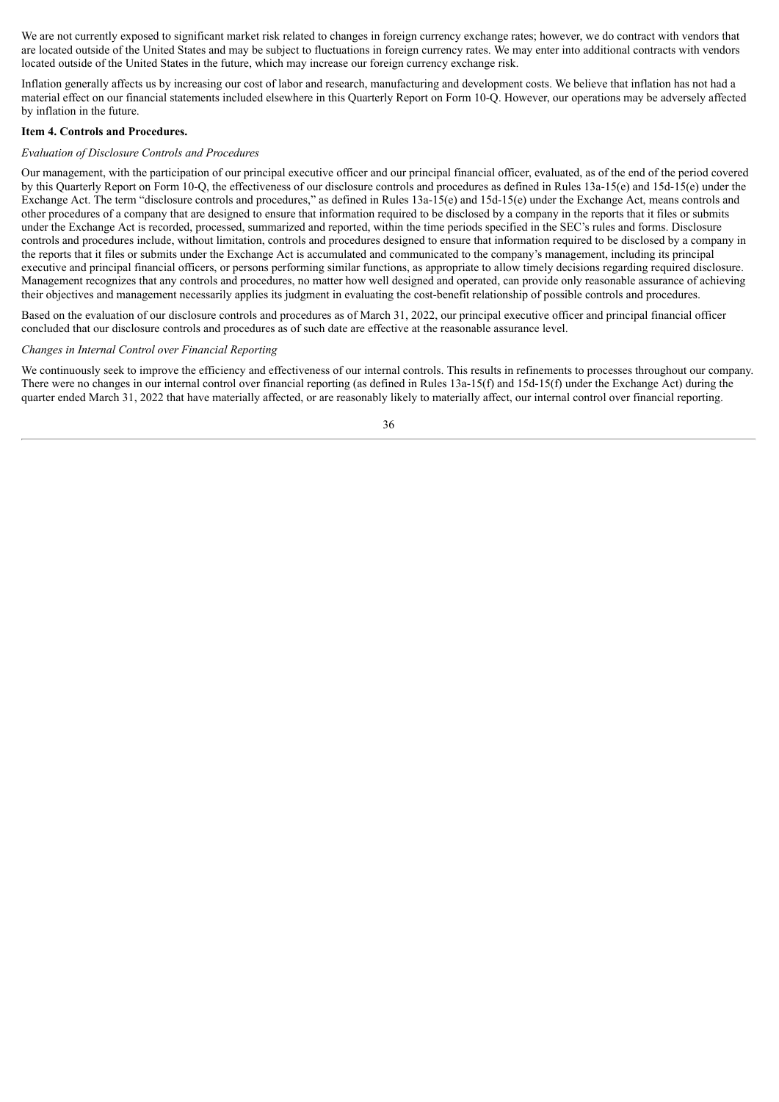We are not currently exposed to significant market risk related to changes in foreign currency exchange rates; however, we do contract with vendors that are located outside of the United States and may be subject to fluctuations in foreign currency rates. We may enter into additional contracts with vendors located outside of the United States in the future, which may increase our foreign currency exchange risk.

Inflation generally affects us by increasing our cost of labor and research, manufacturing and development costs. We believe that inflation has not had a material effect on our financial statements included elsewhere in this Quarterly Report on Form 10-Q. However, our operations may be adversely affected by inflation in the future.

#### <span id="page-39-0"></span>**Item 4. Controls and Procedures.**

#### *Evaluation of Disclosure Controls and Procedures*

Our management, with the participation of our principal executive officer and our principal financial officer, evaluated, as of the end of the period covered by this Quarterly Report on Form 10-Q, the effectiveness of our disclosure controls and procedures as defined in Rules 13a-15(e) and 15d-15(e) under the Exchange Act. The term "disclosure controls and procedures," as defined in Rules 13a-15(e) and 15d-15(e) under the Exchange Act, means controls and other procedures of a company that are designed to ensure that information required to be disclosed by a company in the reports that it files or submits under the Exchange Act is recorded, processed, summarized and reported, within the time periods specified in the SEC's rules and forms. Disclosure controls and procedures include, without limitation, controls and procedures designed to ensure that information required to be disclosed by a company in the reports that it files or submits under the Exchange Act is accumulated and communicated to the company's management, including its principal executive and principal financial officers, or persons performing similar functions, as appropriate to allow timely decisions regarding required disclosure. Management recognizes that any controls and procedures, no matter how well designed and operated, can provide only reasonable assurance of achieving their objectives and management necessarily applies its judgment in evaluating the cost-benefit relationship of possible controls and procedures.

Based on the evaluation of our disclosure controls and procedures as of March 31, 2022, our principal executive officer and principal financial officer concluded that our disclosure controls and procedures as of such date are effective at the reasonable assurance level.

#### *Changes in Internal Control over Financial Reporting*

We continuously seek to improve the efficiency and effectiveness of our internal controls. This results in refinements to processes throughout our company. There were no changes in our internal control over financial reporting (as defined in Rules 13a-15(f) and 15d-15(f) under the Exchange Act) during the quarter ended March 31, 2022 that have materially affected, or are reasonably likely to materially affect, our internal control over financial reporting.

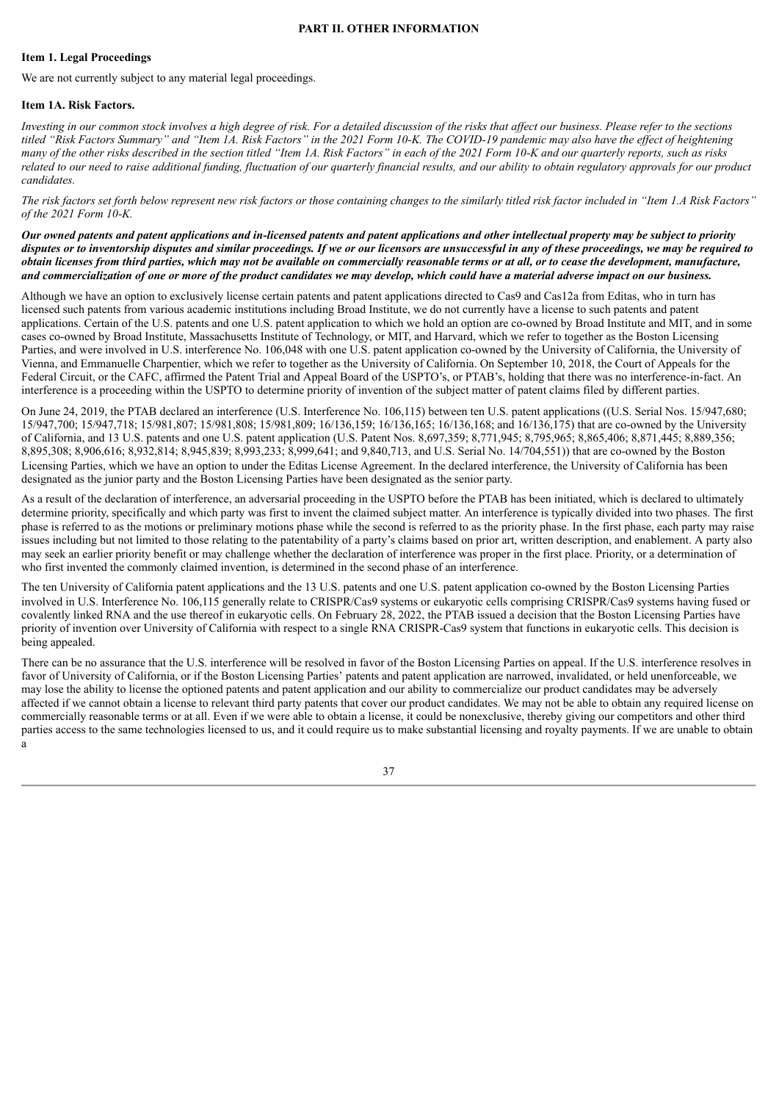#### **PART II. OTHER INFORMATION**

#### <span id="page-40-1"></span><span id="page-40-0"></span>**Item 1. Legal Proceedings**

We are not currently subject to any material legal proceedings.

#### <span id="page-40-2"></span>**Item 1A. Risk Factors.**

Investing in our common stock involves a high degree of risk. For a detailed discussion of the risks that affect our business. Please refer to the sections titled "Risk Factors Summary" and "Item 1A. Risk Factors" in the 2021 Form 10-K. The COVID-19 pandemic may also have the effect of heightening many of the other risks described in the section titled "Item 1A. Risk Factors" in each of the 2021 Form 10-K and our quarterly reports, such as risks related to our need to raise additional funding, fluctuation of our quarterly financial results, and our ability to obtain regulatory approvals for our product *candidates.*

The risk factors set forth below represent new risk factors or those containing changes to the similarly titled risk factor included in "Item 1.A Risk Factors" *of the 2021 Form 10-K.*

Our owned patents and patent applications and in-licensed patents and patent applications and other intellectual property may be subject to priority disputes or to inventorship disputes and similar proceedings. If we or our licensors are unsuccessful in any of these proceedings, we may be required to obtain licenses from third parties, which may not be available on commercially reasonable terms or at all, or to cease the development, manufacture, and commercialization of one or more of the product candidates we may develop, which could have a material adverse impact on our business.

Although we have an option to exclusively license certain patents and patent applications directed to Cas9 and Cas12a from Editas, who in turn has licensed such patents from various academic institutions including Broad Institute, we do not currently have a license to such patents and patent applications. Certain of the U.S. patents and one U.S. patent application to which we hold an option are co-owned by Broad Institute and MIT, and in some cases co-owned by Broad Institute, Massachusetts Institute of Technology, or MIT, and Harvard, which we refer to together as the Boston Licensing Parties, and were involved in U.S. interference No. 106,048 with one U.S. patent application co-owned by the University of California, the University of Vienna, and Emmanuelle Charpentier, which we refer to together as the University of California. On September 10, 2018, the Court of Appeals for the Federal Circuit, or the CAFC, affirmed the Patent Trial and Appeal Board of the USPTO's, or PTAB's, holding that there was no interference-in-fact. An interference is a proceeding within the USPTO to determine priority of invention of the subject matter of patent claims filed by different parties.

On June 24, 2019, the PTAB declared an interference (U.S. Interference No. 106,115) between ten U.S. patent applications ((U.S. Serial Nos. 15/947,680; 15/947,700; 15/947,718; 15/981,807; 15/981,808; 15/981,809; 16/136,159; 16/136,165; 16/136,168; and 16/136,175) that are co-owned by the University of California, and 13 U.S. patents and one U.S. patent application (U.S. Patent Nos. 8,697,359; 8,771,945; 8,795,965; 8,865,406; 8,871,445; 8,889,356; 8,895,308; 8,906,616; 8,932,814; 8,945,839; 8,993,233; 8,999,641; and 9,840,713, and U.S. Serial No. 14/704,551)) that are co-owned by the Boston Licensing Parties, which we have an option to under the Editas License Agreement. In the declared interference, the University of California has been designated as the junior party and the Boston Licensing Parties have been designated as the senior party.

As a result of the declaration of interference, an adversarial proceeding in the USPTO before the PTAB has been initiated, which is declared to ultimately determine priority, specifically and which party was first to invent the claimed subject matter. An interference is typically divided into two phases. The first phase is referred to as the motions or preliminary motions phase while the second is referred to as the priority phase. In the first phase, each party may raise issues including but not limited to those relating to the patentability of a party's claims based on prior art, written description, and enablement. A party also may seek an earlier priority benefit or may challenge whether the declaration of interference was proper in the first place. Priority, or a determination of who first invented the commonly claimed invention, is determined in the second phase of an interference.

The ten University of California patent applications and the 13 U.S. patents and one U.S. patent application co-owned by the Boston Licensing Parties involved in U.S. Interference No. 106,115 generally relate to CRISPR/Cas9 systems or eukaryotic cells comprising CRISPR/Cas9 systems having fused or covalently linked RNA and the use thereof in eukaryotic cells. On February 28, 2022, the PTAB issued a decision that the Boston Licensing Parties have priority of invention over University of California with respect to a single RNA CRISPR-Cas9 system that functions in eukaryotic cells. This decision is being appealed.

There can be no assurance that the U.S. interference will be resolved in favor of the Boston Licensing Parties on appeal. If the U.S. interference resolves in favor of University of California, or if the Boston Licensing Parties' patents and patent application are narrowed, invalidated, or held unenforceable, we may lose the ability to license the optioned patents and patent application and our ability to commercialize our product candidates may be adversely affected if we cannot obtain a license to relevant third party patents that cover our product candidates. We may not be able to obtain any required license on commercially reasonable terms or at all. Even if we were able to obtain a license, it could be nonexclusive, thereby giving our competitors and other third parties access to the same technologies licensed to us, and it could require us to make substantial licensing and royalty payments. If we are unable to obtain a

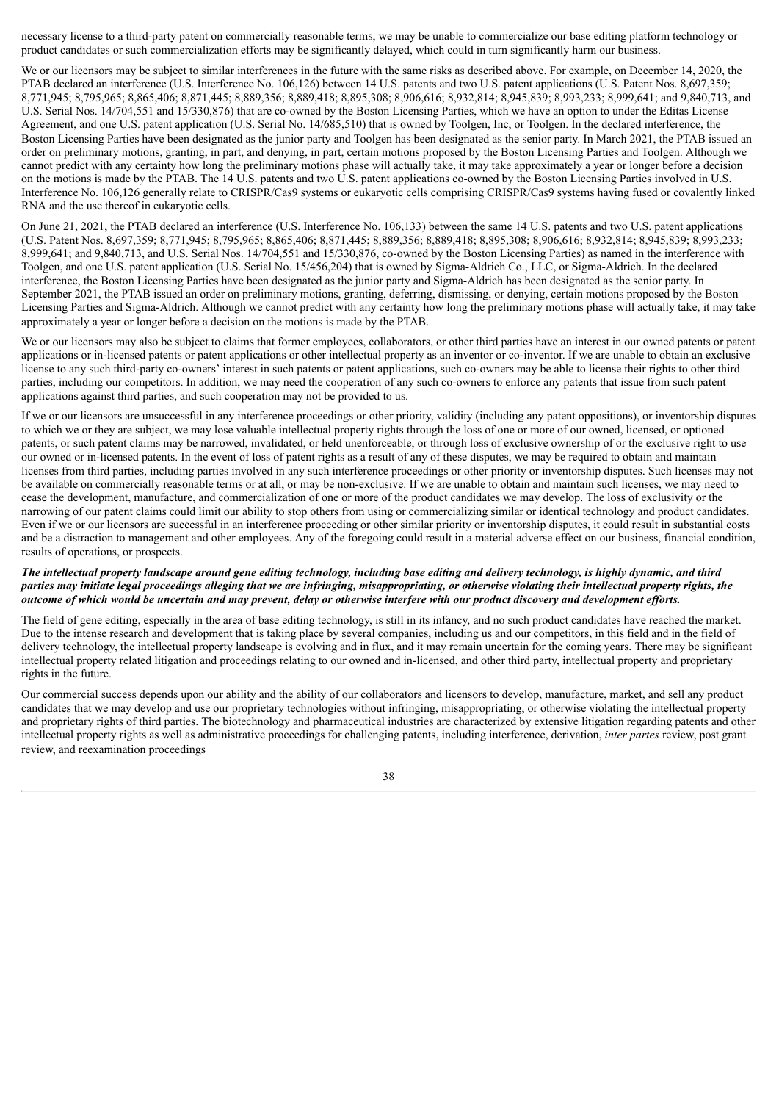necessary license to a third-party patent on commercially reasonable terms, we may be unable to commercialize our base editing platform technology or product candidates or such commercialization efforts may be significantly delayed, which could in turn significantly harm our business.

We or our licensors may be subject to similar interferences in the future with the same risks as described above. For example, on December 14, 2020, the PTAB declared an interference (U.S. Interference No. 106,126) between 14 U.S. patents and two U.S. patent applications (U.S. Patent Nos. 8,697,359; 8,771,945; 8,795,965; 8,865,406; 8,871,445; 8,889,356; 8,889,418; 8,895,308; 8,906,616; 8,932,814; 8,945,839; 8,993,233; 8,999,641; and 9,840,713, and U.S. Serial Nos. 14/704,551 and 15/330,876) that are co-owned by the Boston Licensing Parties, which we have an option to under the Editas License Agreement, and one U.S. patent application (U.S. Serial No. 14/685,510) that is owned by Toolgen, Inc, or Toolgen. In the declared interference, the Boston Licensing Parties have been designated as the junior party and Toolgen has been designated as the senior party. In March 2021, the PTAB issued an order on preliminary motions, granting, in part, and denying, in part, certain motions proposed by the Boston Licensing Parties and Toolgen. Although we cannot predict with any certainty how long the preliminary motions phase will actually take, it may take approximately a year or longer before a decision on the motions is made by the PTAB. The 14 U.S. patents and two U.S. patent applications co-owned by the Boston Licensing Parties involved in U.S. Interference No. 106,126 generally relate to CRISPR/Cas9 systems or eukaryotic cells comprising CRISPR/Cas9 systems having fused or covalently linked RNA and the use thereof in eukaryotic cells.

On June 21, 2021, the PTAB declared an interference (U.S. Interference No. 106,133) between the same 14 U.S. patents and two U.S. patent applications (U.S. Patent Nos. 8,697,359; 8,771,945; 8,795,965; 8,865,406; 8,871,445; 8,889,356; 8,889,418; 8,895,308; 8,906,616; 8,932,814; 8,945,839; 8,993,233; 8,999,641; and 9,840,713, and U.S. Serial Nos. 14/704,551 and 15/330,876, co-owned by the Boston Licensing Parties) as named in the interference with Toolgen, and one U.S. patent application (U.S. Serial No. 15/456,204) that is owned by Sigma-Aldrich Co., LLC, or Sigma-Aldrich. In the declared interference, the Boston Licensing Parties have been designated as the junior party and Sigma-Aldrich has been designated as the senior party. In September 2021, the PTAB issued an order on preliminary motions, granting, deferring, dismissing, or denying, certain motions proposed by the Boston Licensing Parties and Sigma-Aldrich. Although we cannot predict with any certainty how long the preliminary motions phase will actually take, it may take approximately a year or longer before a decision on the motions is made by the PTAB.

We or our licensors may also be subject to claims that former employees, collaborators, or other third parties have an interest in our owned patents or patent applications or in-licensed patents or patent applications or other intellectual property as an inventor or co-inventor. If we are unable to obtain an exclusive license to any such third-party co-owners' interest in such patents or patent applications, such co-owners may be able to license their rights to other third parties, including our competitors. In addition, we may need the cooperation of any such co-owners to enforce any patents that issue from such patent applications against third parties, and such cooperation may not be provided to us.

If we or our licensors are unsuccessful in any interference proceedings or other priority, validity (including any patent oppositions), or inventorship disputes to which we or they are subject, we may lose valuable intellectual property rights through the loss of one or more of our owned, licensed, or optioned patents, or such patent claims may be narrowed, invalidated, or held unenforceable, or through loss of exclusive ownership of or the exclusive right to use our owned or in-licensed patents. In the event of loss of patent rights as a result of any of these disputes, we may be required to obtain and maintain licenses from third parties, including parties involved in any such interference proceedings or other priority or inventorship disputes. Such licenses may not be available on commercially reasonable terms or at all, or may be non-exclusive. If we are unable to obtain and maintain such licenses, we may need to cease the development, manufacture, and commercialization of one or more of the product candidates we may develop. The loss of exclusivity or the narrowing of our patent claims could limit our ability to stop others from using or commercializing similar or identical technology and product candidates. Even if we or our licensors are successful in an interference proceeding or other similar priority or inventorship disputes, it could result in substantial costs and be a distraction to management and other employees. Any of the foregoing could result in a material adverse effect on our business, financial condition, results of operations, or prospects.

## The intellectual property landscape around gene editing technology, including base editing and delivery technology, is highly dynamic, and third parties may initiate legal proceedings alleging that we are infringing, misappropriating, or otherwise violating their intellectual property rights, the outcome of which would be uncertain and may prevent, delay or otherwise interfere with our product discovery and development efforts.

The field of gene editing, especially in the area of base editing technology, is still in its infancy, and no such product candidates have reached the market. Due to the intense research and development that is taking place by several companies, including us and our competitors, in this field and in the field of delivery technology, the intellectual property landscape is evolving and in flux, and it may remain uncertain for the coming years. There may be significant intellectual property related litigation and proceedings relating to our owned and in-licensed, and other third party, intellectual property and proprietary rights in the future.

Our commercial success depends upon our ability and the ability of our collaborators and licensors to develop, manufacture, market, and sell any product candidates that we may develop and use our proprietary technologies without infringing, misappropriating, or otherwise violating the intellectual property and proprietary rights of third parties. The biotechnology and pharmaceutical industries are characterized by extensive litigation regarding patents and other intellectual property rights as well as administrative proceedings for challenging patents, including interference, derivation, *inter partes* review, post grant review, and reexamination proceedings

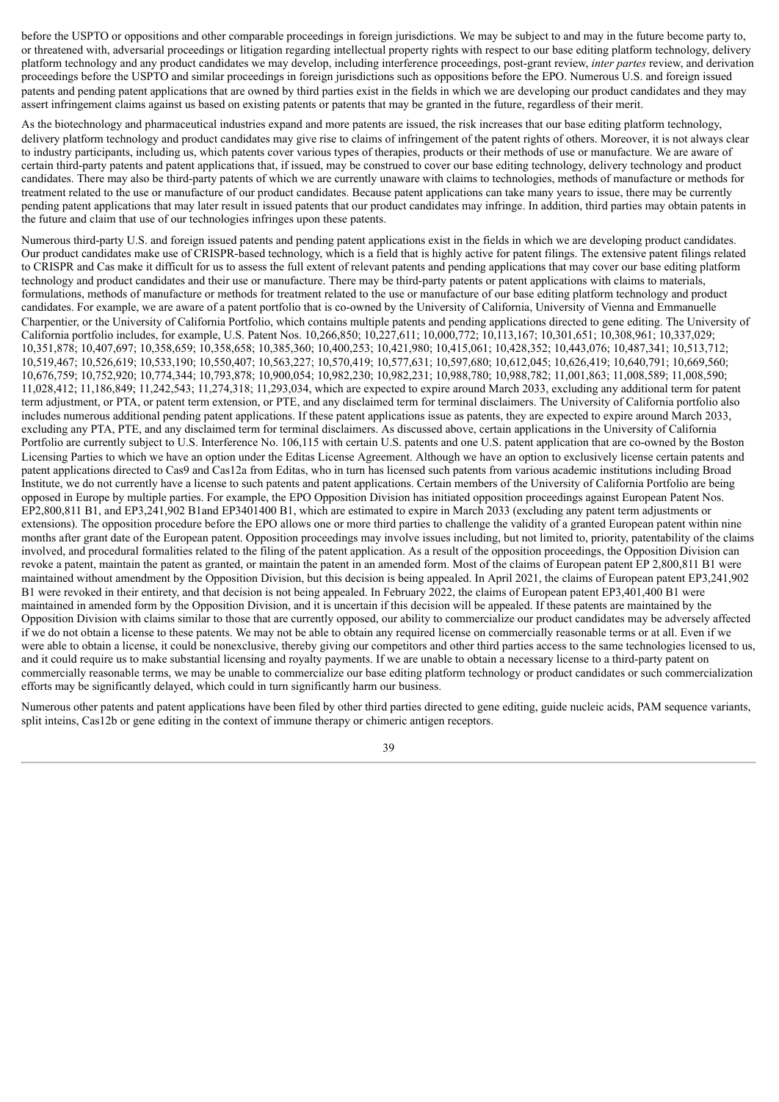before the USPTO or oppositions and other comparable proceedings in foreign jurisdictions. We may be subject to and may in the future become party to, or threatened with, adversarial proceedings or litigation regarding intellectual property rights with respect to our base editing platform technology, delivery platform technology and any product candidates we may develop, including interference proceedings, post-grant review, *inter partes* review, and derivation proceedings before the USPTO and similar proceedings in foreign jurisdictions such as oppositions before the EPO. Numerous U.S. and foreign issued patents and pending patent applications that are owned by third parties exist in the fields in which we are developing our product candidates and they may assert infringement claims against us based on existing patents or patents that may be granted in the future, regardless of their merit.

As the biotechnology and pharmaceutical industries expand and more patents are issued, the risk increases that our base editing platform technology, delivery platform technology and product candidates may give rise to claims of infringement of the patent rights of others. Moreover, it is not always clear to industry participants, including us, which patents cover various types of therapies, products or their methods of use or manufacture. We are aware of certain third-party patents and patent applications that, if issued, may be construed to cover our base editing technology, delivery technology and product candidates. There may also be third-party patents of which we are currently unaware with claims to technologies, methods of manufacture or methods for treatment related to the use or manufacture of our product candidates. Because patent applications can take many years to issue, there may be currently pending patent applications that may later result in issued patents that our product candidates may infringe. In addition, third parties may obtain patents in the future and claim that use of our technologies infringes upon these patents.

Numerous third-party U.S. and foreign issued patents and pending patent applications exist in the fields in which we are developing product candidates. Our product candidates make use of CRISPR-based technology, which is a field that is highly active for patent filings. The extensive patent filings related to CRISPR and Cas make it difficult for us to assess the full extent of relevant patents and pending applications that may cover our base editing platform technology and product candidates and their use or manufacture. There may be third-party patents or patent applications with claims to materials, formulations, methods of manufacture or methods for treatment related to the use or manufacture of our base editing platform technology and product candidates. For example, we are aware of a patent portfolio that is co-owned by the University of California, University of Vienna and Emmanuelle Charpentier, or the University of California Portfolio, which contains multiple patents and pending applications directed to gene editing. The University of California portfolio includes, for example, U.S. Patent Nos. 10,266,850; 10,227,611; 10,000,772; 10,113,167; 10,301,651; 10,308,961; 10,337,029; 10,351,878; 10,407,697; 10,358,659; 10,358,658; 10,385,360; 10,400,253; 10,421,980; 10,415,061; 10,428,352; 10,443,076; 10,487,341; 10,513,712; 10,519,467; 10,526,619; 10,533,190; 10,550,407; 10,563,227; 10,570,419; 10,577,631; 10,597,680; 10,612,045; 10,626,419; 10,640,791; 10,669,560; 10,676,759; 10,752,920; 10,774,344; 10,793,878; 10,900,054; 10,982,230; 10,982,231; 10,988,780; 10,988,782; 11,001,863; 11,008,589; 11,008,590; 11,028,412; 11,186,849; 11,242,543; 11,274,318; 11,293,034, which are expected to expire around March 2033, excluding any additional term for patent term adjustment, or PTA, or patent term extension, or PTE, and any disclaimed term for terminal disclaimers. The University of California portfolio also includes numerous additional pending patent applications. If these patent applications issue as patents, they are expected to expire around March 2033, excluding any PTA, PTE, and any disclaimed term for terminal disclaimers. As discussed above, certain applications in the University of California Portfolio are currently subject to U.S. Interference No. 106,115 with certain U.S. patents and one U.S. patent application that are co-owned by the Boston Licensing Parties to which we have an option under the Editas License Agreement. Although we have an option to exclusively license certain patents and patent applications directed to Cas9 and Cas12a from Editas, who in turn has licensed such patents from various academic institutions including Broad Institute, we do not currently have a license to such patents and patent applications. Certain members of the University of California Portfolio are being opposed in Europe by multiple parties. For example, the EPO Opposition Division has initiated opposition proceedings against European Patent Nos. EP2,800,811 B1, and EP3,241,902 B1and EP3401400 B1, which are estimated to expire in March 2033 (excluding any patent term adjustments or extensions). The opposition procedure before the EPO allows one or more third parties to challenge the validity of a granted European patent within nine months after grant date of the European patent. Opposition proceedings may involve issues including, but not limited to, priority, patentability of the claims involved, and procedural formalities related to the filing of the patent application. As a result of the opposition proceedings, the Opposition Division can revoke a patent, maintain the patent as granted, or maintain the patent in an amended form. Most of the claims of European patent EP 2,800,811 B1 were maintained without amendment by the Opposition Division, but this decision is being appealed. In April 2021, the claims of European patent EP3,241,902 B1 were revoked in their entirety, and that decision is not being appealed. In February 2022, the claims of European patent EP3,401,400 B1 were maintained in amended form by the Opposition Division, and it is uncertain if this decision will be appealed. If these patents are maintained by the Opposition Division with claims similar to those that are currently opposed, our ability to commercialize our product candidates may be adversely affected if we do not obtain a license to these patents. We may not be able to obtain any required license on commercially reasonable terms or at all. Even if we were able to obtain a license, it could be nonexclusive, thereby giving our competitors and other third parties access to the same technologies licensed to us, and it could require us to make substantial licensing and royalty payments. If we are unable to obtain a necessary license to a third-party patent on commercially reasonable terms, we may be unable to commercialize our base editing platform technology or product candidates or such commercialization efforts may be significantly delayed, which could in turn significantly harm our business.

Numerous other patents and patent applications have been filed by other third parties directed to gene editing, guide nucleic acids, PAM sequence variants, split inteins, Cas12b or gene editing in the context of immune therapy or chimeric antigen receptors.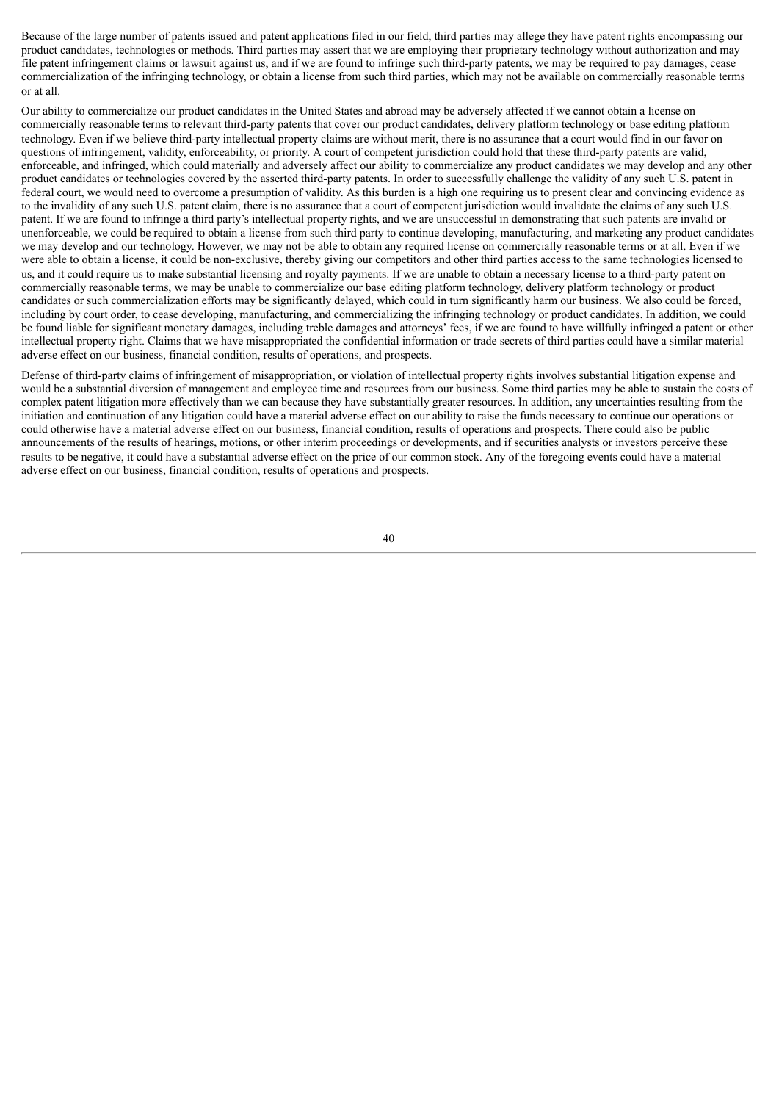Because of the large number of patents issued and patent applications filed in our field, third parties may allege they have patent rights encompassing our product candidates, technologies or methods. Third parties may assert that we are employing their proprietary technology without authorization and may file patent infringement claims or lawsuit against us, and if we are found to infringe such third-party patents, we may be required to pay damages, cease commercialization of the infringing technology, or obtain a license from such third parties, which may not be available on commercially reasonable terms or at all.

Our ability to commercialize our product candidates in the United States and abroad may be adversely affected if we cannot obtain a license on commercially reasonable terms to relevant third-party patents that cover our product candidates, delivery platform technology or base editing platform technology. Even if we believe third-party intellectual property claims are without merit, there is no assurance that a court would find in our favor on questions of infringement, validity, enforceability, or priority. A court of competent jurisdiction could hold that these third-party patents are valid, enforceable, and infringed, which could materially and adversely affect our ability to commercialize any product candidates we may develop and any other product candidates or technologies covered by the asserted third-party patents. In order to successfully challenge the validity of any such U.S. patent in federal court, we would need to overcome a presumption of validity. As this burden is a high one requiring us to present clear and convincing evidence as to the invalidity of any such U.S. patent claim, there is no assurance that a court of competent jurisdiction would invalidate the claims of any such U.S. patent. If we are found to infringe a third party's intellectual property rights, and we are unsuccessful in demonstrating that such patents are invalid or unenforceable, we could be required to obtain a license from such third party to continue developing, manufacturing, and marketing any product candidates we may develop and our technology. However, we may not be able to obtain any required license on commercially reasonable terms or at all. Even if we were able to obtain a license, it could be non-exclusive, thereby giving our competitors and other third parties access to the same technologies licensed to us, and it could require us to make substantial licensing and royalty payments. If we are unable to obtain a necessary license to a third-party patent on commercially reasonable terms, we may be unable to commercialize our base editing platform technology, delivery platform technology or product candidates or such commercialization efforts may be significantly delayed, which could in turn significantly harm our business. We also could be forced, including by court order, to cease developing, manufacturing, and commercializing the infringing technology or product candidates. In addition, we could be found liable for significant monetary damages, including treble damages and attorneys' fees, if we are found to have willfully infringed a patent or other intellectual property right. Claims that we have misappropriated the confidential information or trade secrets of third parties could have a similar material adverse effect on our business, financial condition, results of operations, and prospects.

Defense of third-party claims of infringement of misappropriation, or violation of intellectual property rights involves substantial litigation expense and would be a substantial diversion of management and employee time and resources from our business. Some third parties may be able to sustain the costs of complex patent litigation more effectively than we can because they have substantially greater resources. In addition, any uncertainties resulting from the initiation and continuation of any litigation could have a material adverse effect on our ability to raise the funds necessary to continue our operations or could otherwise have a material adverse effect on our business, financial condition, results of operations and prospects. There could also be public announcements of the results of hearings, motions, or other interim proceedings or developments, and if securities analysts or investors perceive these results to be negative, it could have a substantial adverse effect on the price of our common stock. Any of the foregoing events could have a material adverse effect on our business, financial condition, results of operations and prospects.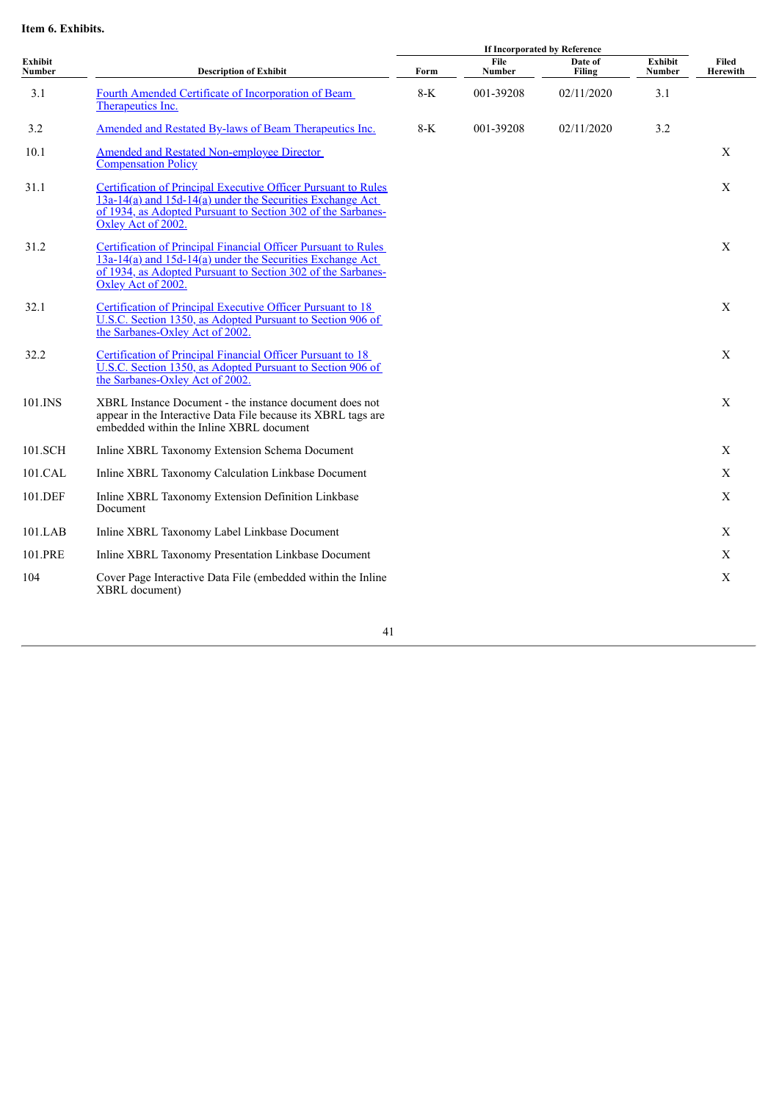## <span id="page-44-0"></span>**Item 6. Exhibits.**

|                   |                                                                                                                                                                                                                              | If Incorporated by Reference |                       |                          |                          |                           |
|-------------------|------------------------------------------------------------------------------------------------------------------------------------------------------------------------------------------------------------------------------|------------------------------|-----------------------|--------------------------|--------------------------|---------------------------|
| Exhibit<br>Number | <b>Description of Exhibit</b>                                                                                                                                                                                                | Form                         | File<br><b>Number</b> | Date of<br><b>Filing</b> | <b>Exhibit</b><br>Number | Filed<br>Herewith         |
| 3.1               | Fourth Amended Certificate of Incorporation of Beam<br>Therapeutics Inc.                                                                                                                                                     | $8-K$                        | 001-39208             | 02/11/2020               | 3.1                      |                           |
| 3.2               | Amended and Restated By-laws of Beam Therapeutics Inc.                                                                                                                                                                       | $8-K$                        | 001-39208             | 02/11/2020               | 3.2                      |                           |
| 10.1              | <b>Amended and Restated Non-employee Director</b><br><b>Compensation Policy</b>                                                                                                                                              |                              |                       |                          |                          | X                         |
| 31.1              | <b>Certification of Principal Executive Officer Pursuant to Rules</b><br>$13a-14(a)$ and $15d-14(a)$ under the Securities Exchange Act<br>of 1934, as Adopted Pursuant to Section 302 of the Sarbanes-<br>Oxley Act of 2002. |                              |                       |                          |                          | $\boldsymbol{\mathrm{X}}$ |
| 31.2              | Certification of Principal Financial Officer Pursuant to Rules<br>$13a-14(a)$ and $15d-14(a)$ under the Securities Exchange Act<br>of 1934, as Adopted Pursuant to Section 302 of the Sarbanes-<br>Oxley Act of 2002.        |                              |                       |                          |                          | X                         |
| 32.1              | Certification of Principal Executive Officer Pursuant to 18<br>U.S.C. Section 1350, as Adopted Pursuant to Section 906 of<br>the Sarbanes-Oxley Act of 2002.                                                                 |                              |                       |                          |                          | X                         |
| 32.2              | Certification of Principal Financial Officer Pursuant to 18<br>U.S.C. Section 1350, as Adopted Pursuant to Section 906 of<br>the Sarbanes-Oxley Act of 2002.                                                                 |                              |                       |                          |                          | $\boldsymbol{\mathrm{X}}$ |
| 101.INS           | XBRL Instance Document - the instance document does not<br>appear in the Interactive Data File because its XBRL tags are<br>embedded within the Inline XBRL document                                                         |                              |                       |                          |                          | X                         |
| 101.SCH           | Inline XBRL Taxonomy Extension Schema Document                                                                                                                                                                               |                              |                       |                          |                          | X                         |
| 101.CAL           | Inline XBRL Taxonomy Calculation Linkbase Document                                                                                                                                                                           |                              |                       |                          |                          | X                         |
| 101.DEF           | Inline XBRL Taxonomy Extension Definition Linkbase<br>Document                                                                                                                                                               |                              |                       |                          |                          | $\boldsymbol{\mathrm{X}}$ |
| 101.LAB           | Inline XBRL Taxonomy Label Linkbase Document                                                                                                                                                                                 |                              |                       |                          |                          | X                         |
| 101.PRE           | Inline XBRL Taxonomy Presentation Linkbase Document                                                                                                                                                                          |                              |                       |                          |                          | $\boldsymbol{\mathrm{X}}$ |
| 104               | Cover Page Interactive Data File (embedded within the Inline<br>XBRL document)                                                                                                                                               |                              |                       |                          |                          | X                         |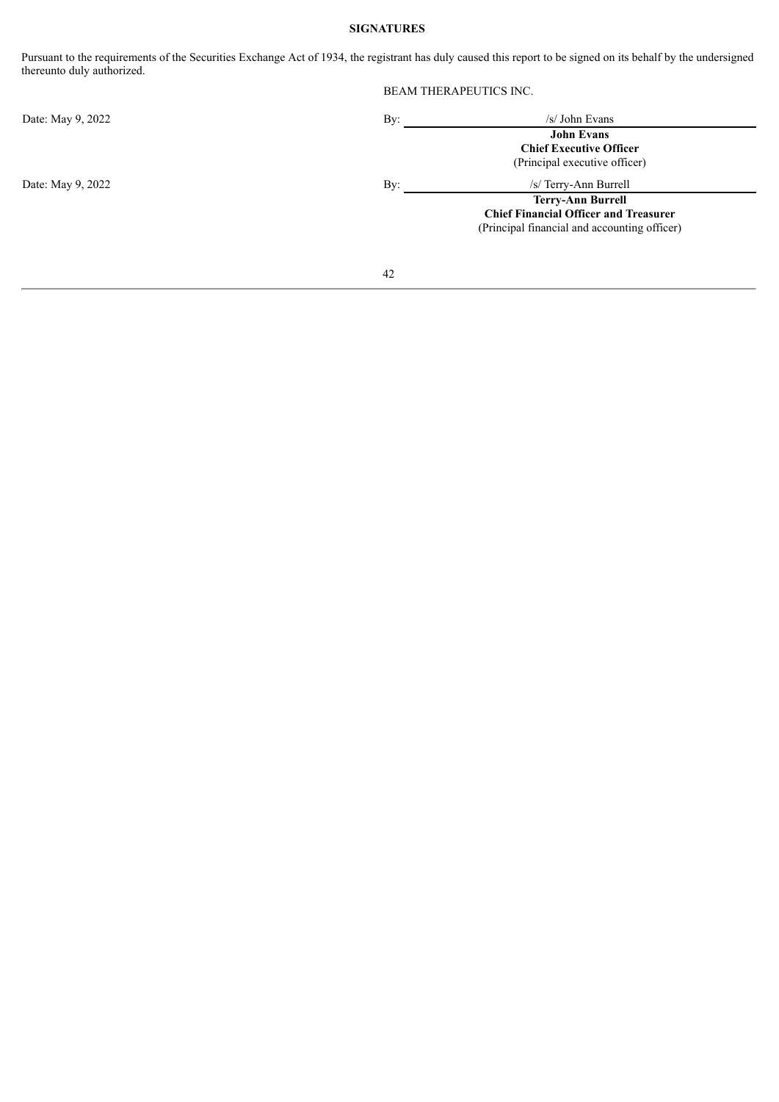## **SIGNATURES**

<span id="page-45-0"></span>Pursuant to the requirements of the Securities Exchange Act of 1934, the registrant has duly caused this report to be signed on its behalf by the undersigned thereunto duly authorized.

## BEAM THERAPEUTICS INC.

| Date: May 9, 2022 | By: | $/s/$ John Evans                             |
|-------------------|-----|----------------------------------------------|
|                   |     | <b>John Evans</b>                            |
|                   |     | <b>Chief Executive Officer</b>               |
|                   |     | (Principal executive officer)                |
| Date: May 9, 2022 | By: | /s/ Terry-Ann Burrell                        |
|                   |     | <b>Terry-Ann Burrell</b>                     |
|                   |     | <b>Chief Financial Officer and Treasurer</b> |
|                   |     | (Principal financial and accounting officer) |
|                   |     |                                              |
|                   | 42  |                                              |
|                   |     |                                              |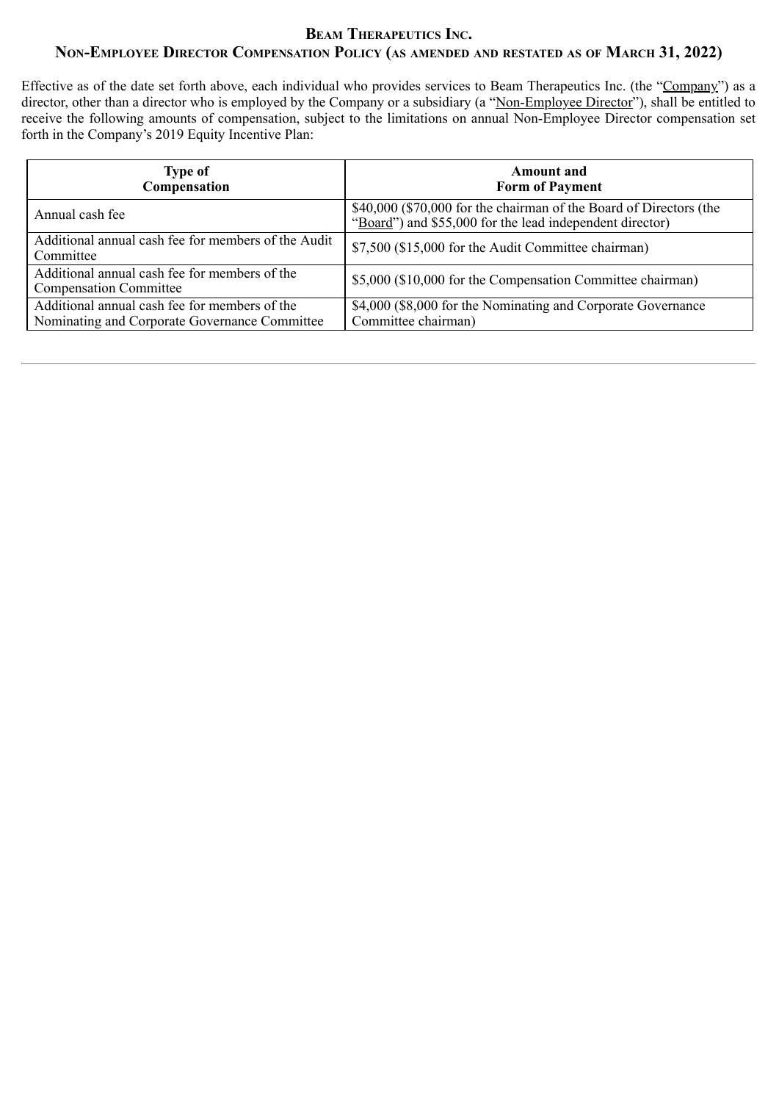## **Beam Therapeutics Inc.**

## <span id="page-46-0"></span>NON-EMPLOYEE DIRECTOR COMPENSATION POLICY (AS AMENDED AND RESTATED AS OF MARCH 31, 2022)

Effective as of the date set forth above, each individual who provides services to Beam Therapeutics Inc. (the "Company") as a director, other than a director who is employed by the Company or a subsidiary (a "<u>Non-Employee Director</u>"), shall be entitled to receive the following amounts of compensation, subject to the limitations on annual Non-Employee Director compensation set forth in the Company's 2019 Equity Incentive Plan:

| <b>Type of</b><br>Compensation                                                                 | <b>Amount</b> and<br><b>Form of Payment</b>                                                                                    |  |  |
|------------------------------------------------------------------------------------------------|--------------------------------------------------------------------------------------------------------------------------------|--|--|
| Annual cash fee                                                                                | \$40,000 (\$70,000 for the chairman of the Board of Directors (the<br>"Board") and \$55,000 for the lead independent director) |  |  |
| Additional annual cash fee for members of the Audit<br>Committee                               | \$7,500 (\$15,000 for the Audit Committee chairman)                                                                            |  |  |
| Additional annual cash fee for members of the<br><b>Compensation Committee</b>                 | \$5,000 (\$10,000 for the Compensation Committee chairman)                                                                     |  |  |
| Additional annual cash fee for members of the<br>Nominating and Corporate Governance Committee | \$4,000 (\$8,000 for the Nominating and Corporate Governance<br>Committee chairman)                                            |  |  |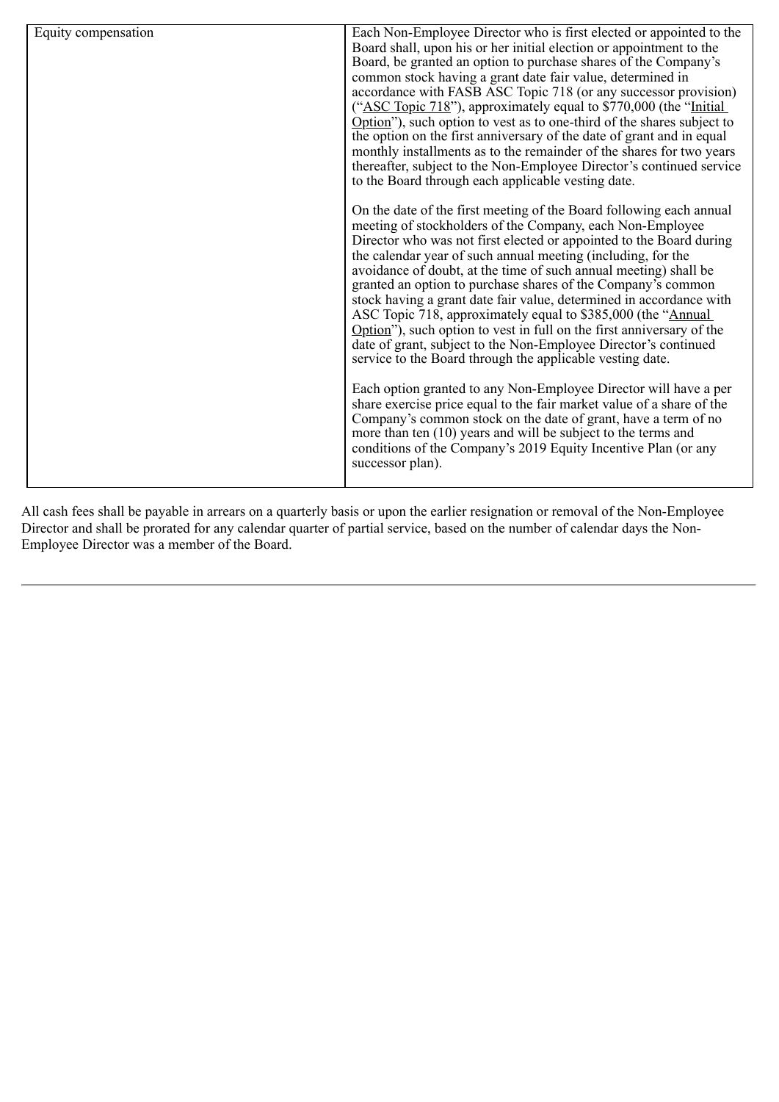All cash fees shall be payable in arrears on a quarterly basis or upon the earlier resignation or removal of the Non-Employee Director and shall be prorated for any calendar quarter of partial service, based on the number of calendar days the Non-Employee Director was a member of the Board.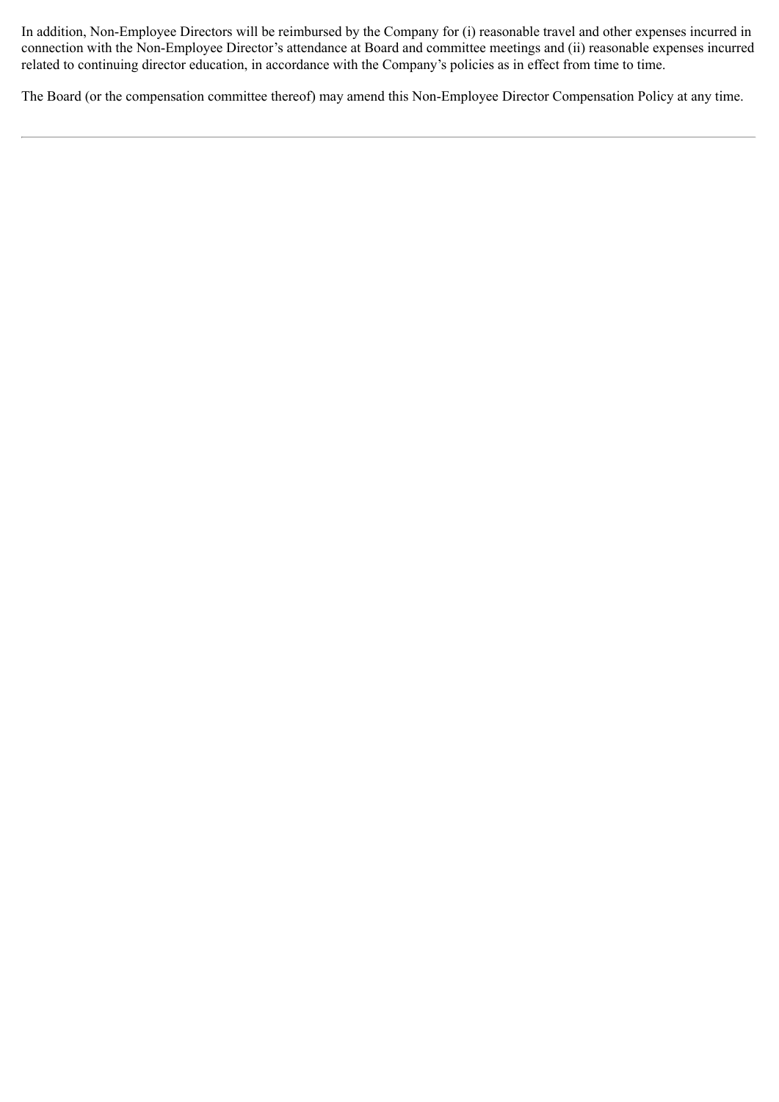In addition, Non-Employee Directors will be reimbursed by the Company for (i) reasonable travel and other expenses incurred in connection with the Non-Employee Director's attendance at Board and committee meetings and (ii) reasonable expenses incurred related to continuing director education, in accordance with the Company's policies as in effect from time to time.

The Board (or the compensation committee thereof) may amend this Non-Employee Director Compensation Policy at any time.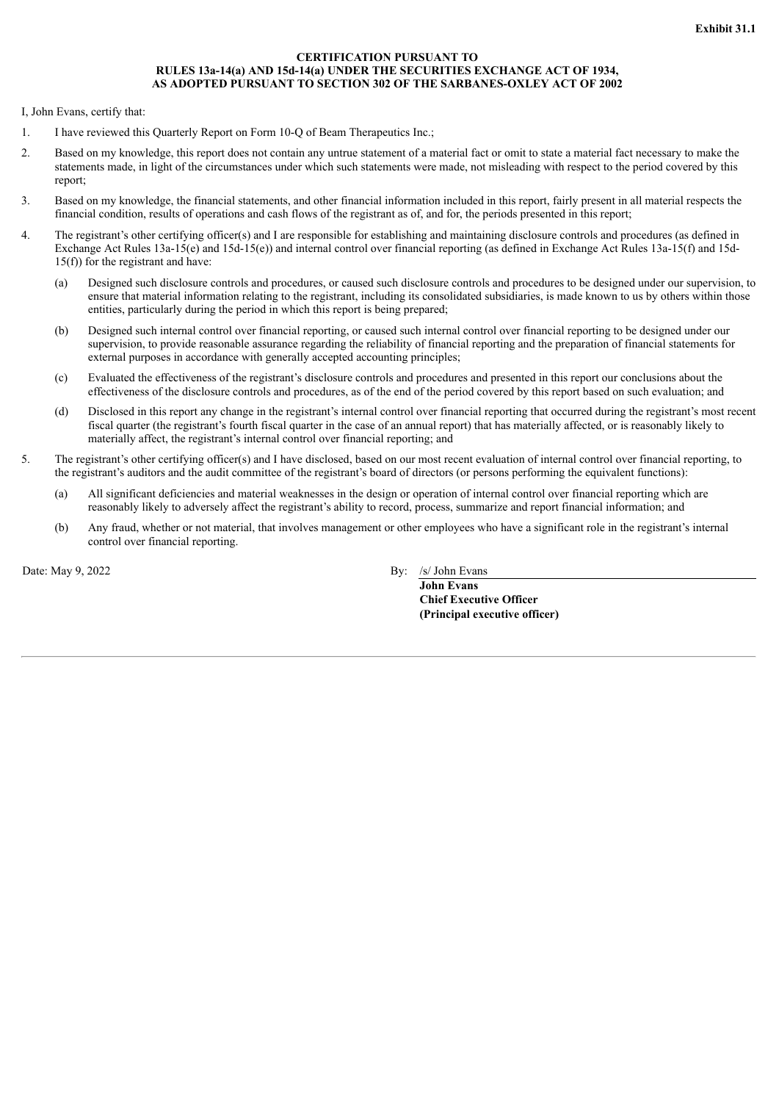### **CERTIFICATION PURSUANT TO RULES 13a-14(a) AND 15d-14(a) UNDER THE SECURITIES EXCHANGE ACT OF 1934, AS ADOPTED PURSUANT TO SECTION 302 OF THE SARBANES-OXLEY ACT OF 2002**

<span id="page-49-0"></span>I, John Evans, certify that:

- 1. I have reviewed this Quarterly Report on Form 10-Q of Beam Therapeutics Inc.;
- 2. Based on my knowledge, this report does not contain any untrue statement of a material fact or omit to state a material fact necessary to make the statements made, in light of the circumstances under which such statements were made, not misleading with respect to the period covered by this report;
- 3. Based on my knowledge, the financial statements, and other financial information included in this report, fairly present in all material respects the financial condition, results of operations and cash flows of the registrant as of, and for, the periods presented in this report;
- 4. The registrant's other certifying officer(s) and I are responsible for establishing and maintaining disclosure controls and procedures (as defined in Exchange Act Rules 13a-15(e) and 15d-15(e)) and internal control over financial reporting (as defined in Exchange Act Rules 13a-15(f) and 15d-15(f)) for the registrant and have:
	- (a) Designed such disclosure controls and procedures, or caused such disclosure controls and procedures to be designed under our supervision, to ensure that material information relating to the registrant, including its consolidated subsidiaries, is made known to us by others within those entities, particularly during the period in which this report is being prepared;
	- (b) Designed such internal control over financial reporting, or caused such internal control over financial reporting to be designed under our supervision, to provide reasonable assurance regarding the reliability of financial reporting and the preparation of financial statements for external purposes in accordance with generally accepted accounting principles;
	- (c) Evaluated the effectiveness of the registrant's disclosure controls and procedures and presented in this report our conclusions about the effectiveness of the disclosure controls and procedures, as of the end of the period covered by this report based on such evaluation; and
	- (d) Disclosed in this report any change in the registrant's internal control over financial reporting that occurred during the registrant's most recent fiscal quarter (the registrant's fourth fiscal quarter in the case of an annual report) that has materially affected, or is reasonably likely to materially affect, the registrant's internal control over financial reporting; and
- 5. The registrant's other certifying officer(s) and I have disclosed, based on our most recent evaluation of internal control over financial reporting, to the registrant's auditors and the audit committee of the registrant's board of directors (or persons performing the equivalent functions):
	- (a) All significant deficiencies and material weaknesses in the design or operation of internal control over financial reporting which are reasonably likely to adversely affect the registrant's ability to record, process, summarize and report financial information; and
	- (b) Any fraud, whether or not material, that involves management or other employees who have a significant role in the registrant's internal control over financial reporting.

Date: May 9, 2022 By: /s/ John Evans

**John Evans Chief Executive Officer (Principal executive officer)**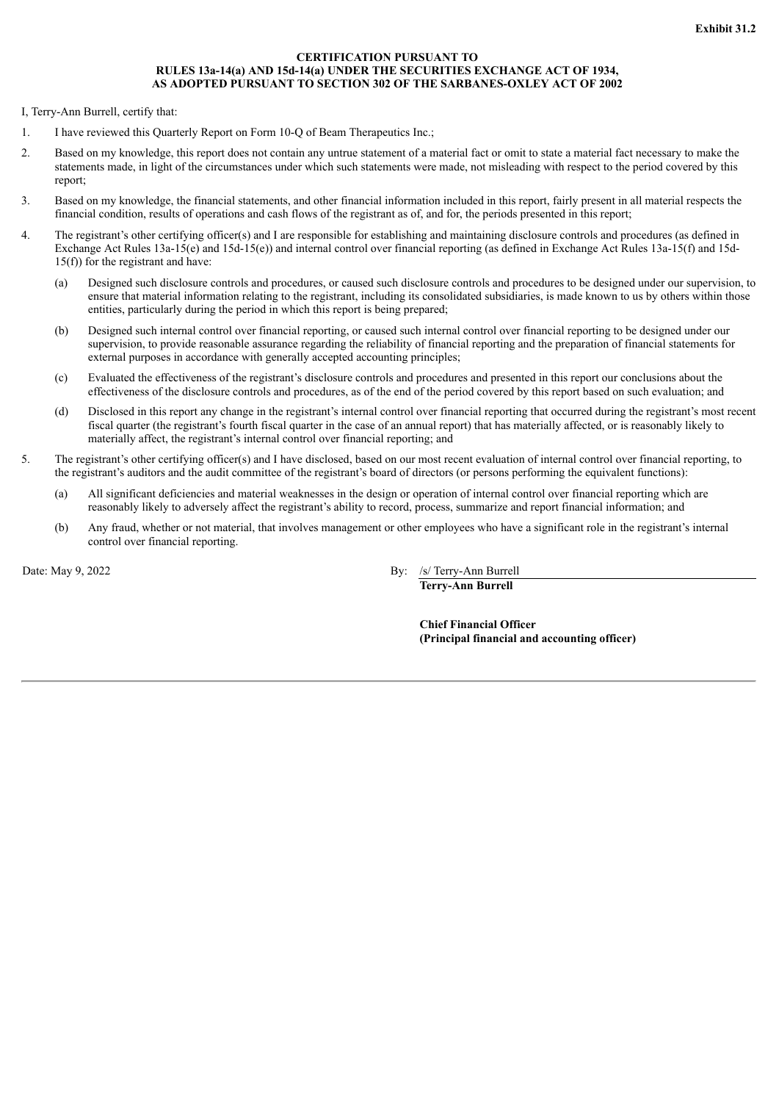#### **CERTIFICATION PURSUANT TO RULES 13a-14(a) AND 15d-14(a) UNDER THE SECURITIES EXCHANGE ACT OF 1934, AS ADOPTED PURSUANT TO SECTION 302 OF THE SARBANES-OXLEY ACT OF 2002**

<span id="page-50-0"></span>I, Terry-Ann Burrell, certify that:

- 1. I have reviewed this Quarterly Report on Form 10-Q of Beam Therapeutics Inc.;
- 2. Based on my knowledge, this report does not contain any untrue statement of a material fact or omit to state a material fact necessary to make the statements made, in light of the circumstances under which such statements were made, not misleading with respect to the period covered by this report;
- 3. Based on my knowledge, the financial statements, and other financial information included in this report, fairly present in all material respects the financial condition, results of operations and cash flows of the registrant as of, and for, the periods presented in this report;
- 4. The registrant's other certifying officer(s) and I are responsible for establishing and maintaining disclosure controls and procedures (as defined in Exchange Act Rules 13a-15(e) and 15d-15(e)) and internal control over financial reporting (as defined in Exchange Act Rules 13a-15(f) and 15d-15(f)) for the registrant and have:
	- (a) Designed such disclosure controls and procedures, or caused such disclosure controls and procedures to be designed under our supervision, to ensure that material information relating to the registrant, including its consolidated subsidiaries, is made known to us by others within those entities, particularly during the period in which this report is being prepared;
	- (b) Designed such internal control over financial reporting, or caused such internal control over financial reporting to be designed under our supervision, to provide reasonable assurance regarding the reliability of financial reporting and the preparation of financial statements for external purposes in accordance with generally accepted accounting principles;
	- (c) Evaluated the effectiveness of the registrant's disclosure controls and procedures and presented in this report our conclusions about the effectiveness of the disclosure controls and procedures, as of the end of the period covered by this report based on such evaluation; and
	- (d) Disclosed in this report any change in the registrant's internal control over financial reporting that occurred during the registrant's most recent fiscal quarter (the registrant's fourth fiscal quarter in the case of an annual report) that has materially affected, or is reasonably likely to materially affect, the registrant's internal control over financial reporting; and
- 5. The registrant's other certifying officer(s) and I have disclosed, based on our most recent evaluation of internal control over financial reporting, to the registrant's auditors and the audit committee of the registrant's board of directors (or persons performing the equivalent functions):
	- (a) All significant deficiencies and material weaknesses in the design or operation of internal control over financial reporting which are reasonably likely to adversely affect the registrant's ability to record, process, summarize and report financial information; and
	- (b) Any fraud, whether or not material, that involves management or other employees who have a significant role in the registrant's internal control over financial reporting.

Date: May 9, 2022 By: /s/ Terry-Ann Burrell **Terry-Ann Burrell**

> **Chief Financial Officer (Principal financial and accounting officer)**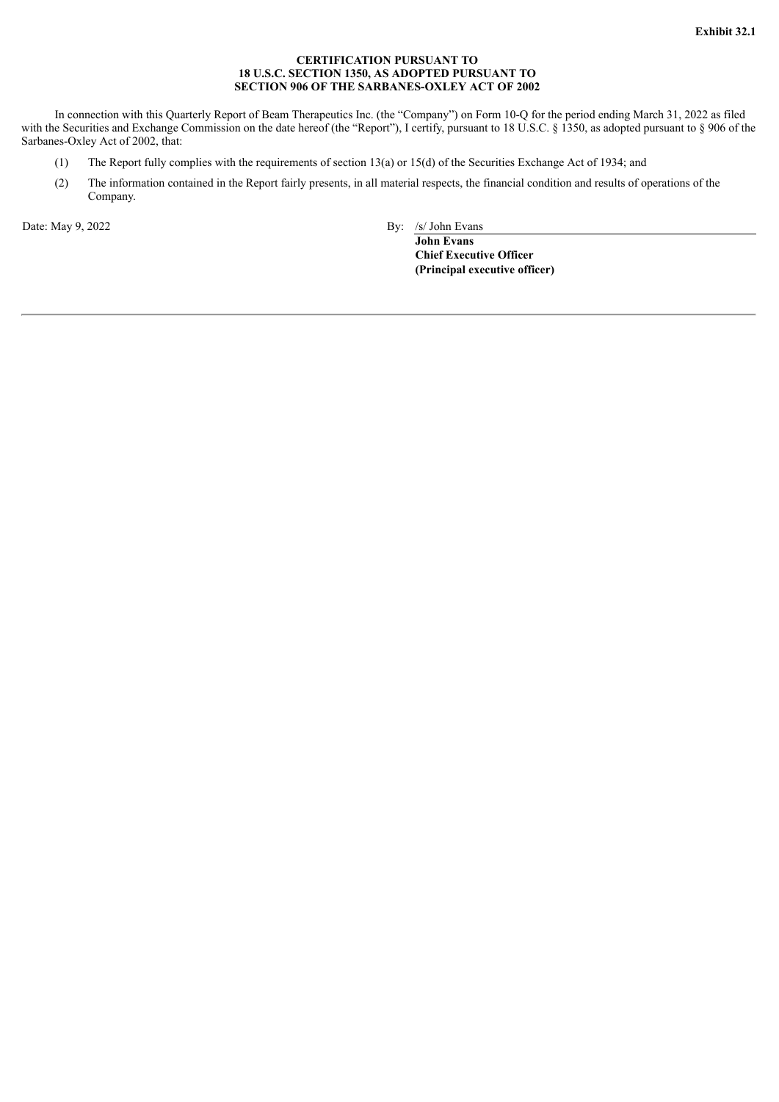## **CERTIFICATION PURSUANT TO 18 U.S.C. SECTION 1350, AS ADOPTED PURSUANT TO SECTION 906 OF THE SARBANES-OXLEY ACT OF 2002**

<span id="page-51-0"></span>In connection with this Quarterly Report of Beam Therapeutics Inc. (the "Company") on Form 10-Q for the period ending March 31, 2022 as filed with the Securities and Exchange Commission on the date hereof (the "Report"), I certify, pursuant to 18 U.S.C. § 1350, as adopted pursuant to § 906 of the Sarbanes-Oxley Act of 2002, that:

- (1) The Report fully complies with the requirements of section 13(a) or 15(d) of the Securities Exchange Act of 1934; and
- (2) The information contained in the Report fairly presents, in all material respects, the financial condition and results of operations of the Company.

Date: May 9, 2022 By: /s/ John Evans

**John Evans Chief Executive Officer (Principal executive officer)**